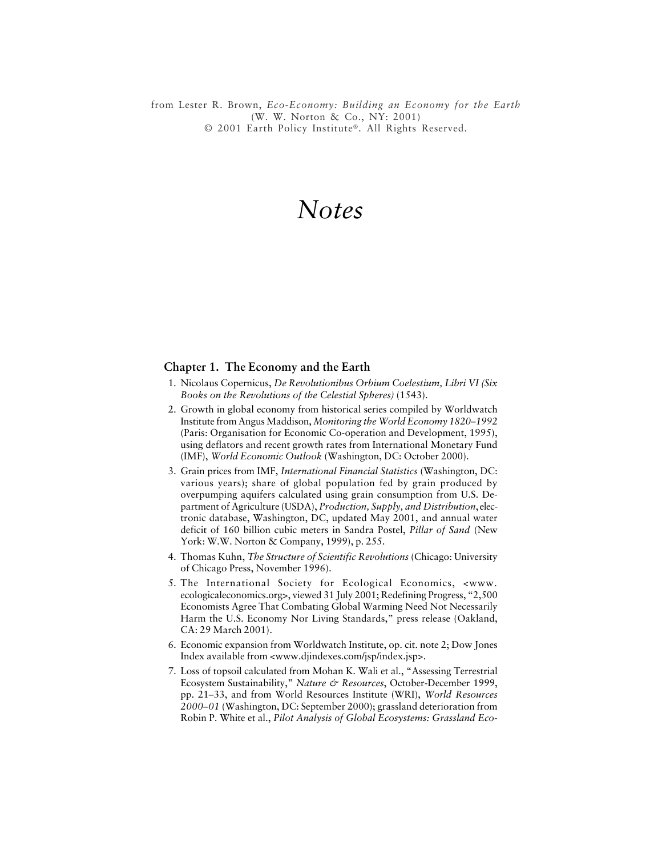*Notes 277* © 2001 Earth Policy Institute®. All Rights Reserved.from Lester R. Brown, *Eco-Economy: Building an Economy for the Earth* (W. W. Norton & Co., NY: 2001)

# *Notes*

#### **Chapter 1. The Economy and the Earth**

- 1. Nicolaus Copernicus, *De Revolutionibus Orbium Coelestium, Libri VI (Six Books on the Revolutions of the Celestial Spheres)* (1543).
- 2. Growth in global economy from historical series compiled by Worldwatch Institute from Angus Maddison, *Monitoring the World Economy 1820–1992* (Paris: Organisation for Economic Co-operation and Development, 1995), using deflators and recent growth rates from International Monetary Fund (IMF), *World Economic Outlook* (Washington, DC: October 2000).
- 3. Grain prices from IMF, *International Financial Statistics* (Washington, DC: various years); share of global population fed by grain produced by overpumping aquifers calculated using grain consumption from U.S. Department of Agriculture (USDA), *Production, Supply, and Distribution*, electronic database, Washington, DC, updated May 2001, and annual water deficit of 160 billion cubic meters in Sandra Postel, *Pillar of Sand* (New York: W.W. Norton & Company, 1999), p. 255.
- 4. Thomas Kuhn, *The Structure of Scientific Revolutions* (Chicago: University of Chicago Press, November 1996).
- 5. The International Society for Ecological Economics, <www. ecologicaleconomics.org>, viewed 31 July 2001; Redefining Progress, "2,500 Economists Agree That Combating Global Warming Need Not Necessarily Harm the U.S. Economy Nor Living Standards," press release (Oakland, CA: 29 March 2001).
- 6. Economic expansion from Worldwatch Institute, op. cit. note 2; Dow Jones Index available from <www.djindexes.com/jsp/index.jsp>.
- 7. Loss of topsoil calculated from Mohan K. Wali et al., "Assessing Terrestrial Ecosystem Sustainability," *Nature & Resources*, October-December 1999, pp. 21–33, and from World Resources Institute (WRI), *World Resources 2000–01* (Washington, DC: September 2000); grassland deterioration from Robin P. White et al., *Pilot Analysis of Global Ecosystems: Grassland Eco-*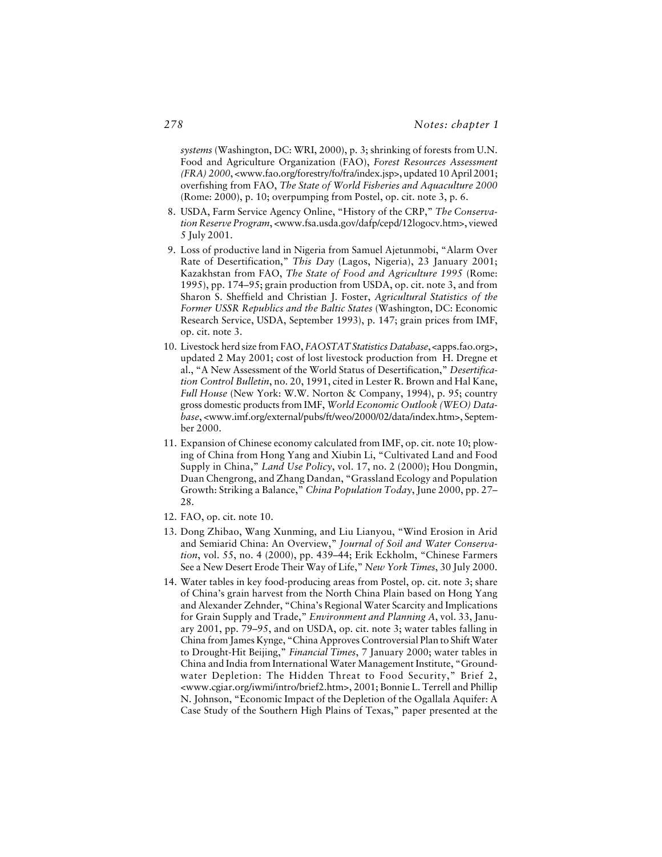*systems* (Washington, DC: WRI, 2000), p. 3; shrinking of forests from U.N. Food and Agriculture Organization (FAO), *Forest Resources Assessment (FRA) 2000*, <www.fao.org/forestry/fo/fra/index.jsp>, updated 10 April 2001; overfishing from FAO, *The State of World Fisheries and Aquaculture 2000* (Rome: 2000), p. 10; overpumping from Postel, op. cit. note 3, p. 6.

- 8. USDA, Farm Service Agency Online, "History of the CRP," *The Conservation Reserve Program*, <www.fsa.usda.gov/dafp/cepd/12logocv.htm>, viewed 5 July 2001.
- 9. Loss of productive land in Nigeria from Samuel Ajetunmobi, "Alarm Over Rate of Desertification," *This Day* (Lagos, Nigeria), 23 January 2001; Kazakhstan from FAO, *The State of Food and Agriculture 1995* (Rome: 1995), pp. 174–95; grain production from USDA, op. cit. note 3, and from Sharon S. Sheffield and Christian J. Foster, *Agricultural Statistics of the Former USSR Republics and the Baltic States* (Washington, DC: Economic Research Service, USDA, September 1993), p. 147; grain prices from IMF, op. cit. note 3.
- 10. Livestock herd size from FAO, *FAOSTAT Statistics Database*, <apps.fao.org>, updated 2 May 2001; cost of lost livestock production from H. Dregne et al., "A New Assessment of the World Status of Desertification," *Desertification Control Bulletin*, no. 20, 1991, cited in Lester R. Brown and Hal Kane, *Full House* (New York: W.W. Norton & Company, 1994), p. 95; country gross domestic products from IMF, *World Economic Outlook (WEO) Database*, <www.imf.org/external/pubs/ft/weo/2000/02/data/index.htm>, September 2000.
- 11. Expansion of Chinese economy calculated from IMF, op. cit. note 10; plowing of China from Hong Yang and Xiubin Li, "Cultivated Land and Food Supply in China," *Land Use Policy*, vol. 17, no. 2 (2000); Hou Dongmin, Duan Chengrong, and Zhang Dandan, "Grassland Ecology and Population Growth: Striking a Balance," *China Population Today*, June 2000, pp. 27– 28.
- 12. FAO, op. cit. note 10.
- 13. Dong Zhibao, Wang Xunming, and Liu Lianyou, "Wind Erosion in Arid and Semiarid China: An Overview," *Journal of Soil and Water Conservation*, vol. 55, no. 4 (2000), pp. 439–44; Erik Eckholm, "Chinese Farmers See a New Desert Erode Their Way of Life," *New York Times*, 30 July 2000.
- 14. Water tables in key food-producing areas from Postel, op. cit. note 3; share of China's grain harvest from the North China Plain based on Hong Yang and Alexander Zehnder, "China's Regional Water Scarcity and Implications for Grain Supply and Trade," *Environment and Planning A*, vol. 33, January 2001, pp. 79–95, and on USDA, op. cit. note 3; water tables falling in China from James Kynge, "China Approves Controversial Plan to Shift Water to Drought-Hit Beijing," *Financial Times*, 7 January 2000; water tables in China and India from International Water Management Institute, "Groundwater Depletion: The Hidden Threat to Food Security," Brief 2, <www.cgiar.org/iwmi/intro/brief2.htm>, 2001; Bonnie L. Terrell and Phillip N. Johnson, "Economic Impact of the Depletion of the Ogallala Aquifer: A Case Study of the Southern High Plains of Texas," paper presented at the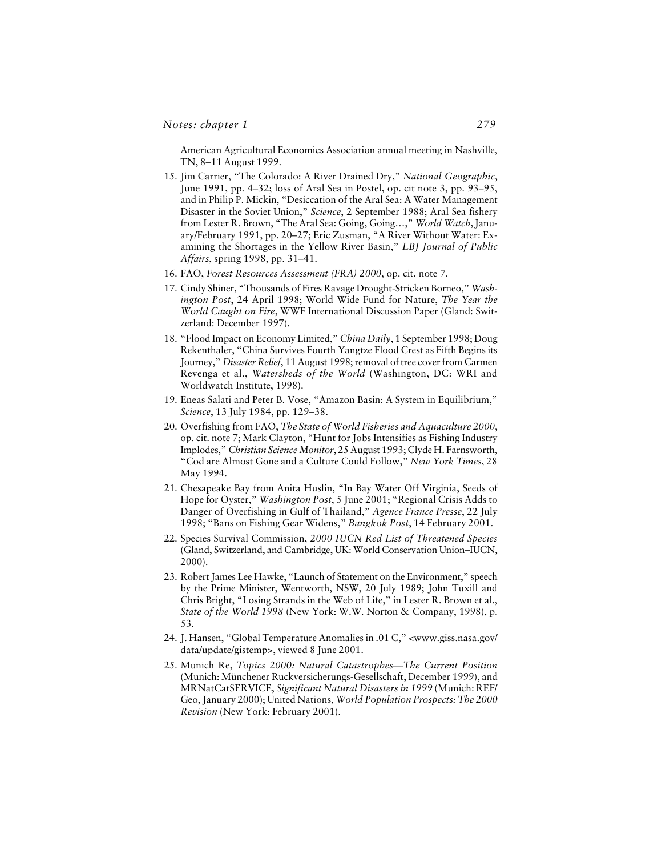American Agricultural Economics Association annual meeting in Nashville, TN, 8–11 August 1999.

- 15. Jim Carrier, "The Colorado: A River Drained Dry," *National Geographic*, June 1991, pp. 4–32; loss of Aral Sea in Postel, op. cit note 3, pp. 93–95, and in Philip P. Mickin, "Desiccation of the Aral Sea: A Water Management Disaster in the Soviet Union," *Science*, 2 September 1988; Aral Sea fishery from Lester R. Brown, "The Aral Sea: Going, Going…," *World Watch*, January/February 1991, pp. 20–27; Eric Zusman, "A River Without Water: Examining the Shortages in the Yellow River Basin," *LBJ Journal of Public Affairs*, spring 1998, pp. 31–41.
- 16. FAO, *Forest Resources Assessment (FRA) 2000*, op. cit. note 7.
- 17. Cindy Shiner, "Thousands of Fires Ravage Drought-Stricken Borneo," *Washington Post*, 24 April 1998; World Wide Fund for Nature, *The Year the World Caught on Fire*, WWF International Discussion Paper (Gland: Switzerland: December 1997).
- 18. "Flood Impact on Economy Limited," *China Daily*, 1 September 1998; Doug Rekenthaler, "China Survives Fourth Yangtze Flood Crest as Fifth Begins its Journey," *Disaster Relief*, 11 August 1998; removal of tree cover from Carmen Revenga et al., *Watersheds of the World* (Washington, DC: WRI and Worldwatch Institute, 1998).
- 19. Eneas Salati and Peter B. Vose, "Amazon Basin: A System in Equilibrium," *Science*, 13 July 1984, pp. 129–38.
- 20. Overfishing from FAO, *The State of World Fisheries and Aquaculture 2000*, op. cit. note 7; Mark Clayton, "Hunt for Jobs Intensifies as Fishing Industry Implodes," *Christian Science Monitor*, 25 August 1993; Clyde H. Farnsworth, "Cod are Almost Gone and a Culture Could Follow," *New York Times*, 28 May 1994.
- 21. Chesapeake Bay from Anita Huslin, "In Bay Water Off Virginia, Seeds of Hope for Oyster," *Washington Post*, 5 June 2001; "Regional Crisis Adds to Danger of Overfishing in Gulf of Thailand," *Agence France Presse*, 22 July 1998; "Bans on Fishing Gear Widens," *Bangkok Post*, 14 February 2001.
- 22. Species Survival Commission, *2000 IUCN Red List of Threatened Species* (Gland, Switzerland, and Cambridge, UK: World Conservation Union–IUCN, 2000).
- 23. Robert James Lee Hawke, "Launch of Statement on the Environment," speech by the Prime Minister, Wentworth, NSW, 20 July 1989; John Tuxill and Chris Bright, "Losing Strands in the Web of Life," in Lester R. Brown et al., *State of the World 1998* (New York: W.W. Norton & Company, 1998), p. 53.
- 24. J. Hansen, "Global Temperature Anomalies in .01 C," <www.giss.nasa.gov/ data/update/gistemp>, viewed 8 June 2001.
- 25. Munich Re, *Topics 2000: Natural Catastrophes—The Current Position* (Munich: Münchener Ruckversicherungs-Gesellschaft, December 1999), and MRNatCatSERVICE, *Significant Natural Disasters in 1999* (Munich: REF/ Geo, January 2000); United Nations, *World Population Prospects: The 2000 Revision* (New York: February 2001).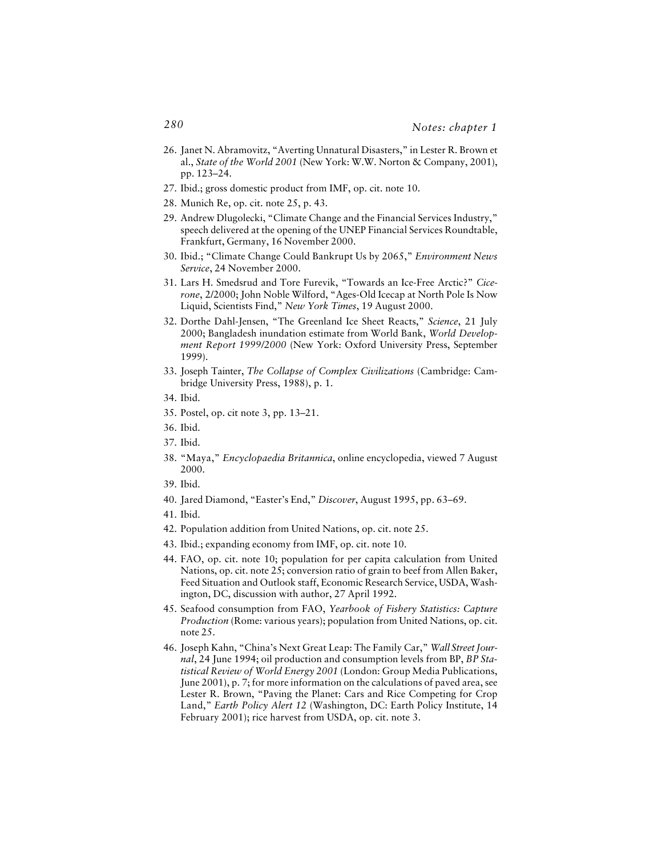- 26. Janet N. Abramovitz, "Averting Unnatural Disasters," in Lester R. Brown et al., *State of the World 2001* (New York: W.W. Norton & Company, 2001), pp. 123–24.
- 27. Ibid.; gross domestic product from IMF, op. cit. note 10.
- 28. Munich Re, op. cit. note 25, p. 43.
- 29. Andrew Dlugolecki, "Climate Change and the Financial Services Industry," speech delivered at the opening of the UNEP Financial Services Roundtable, Frankfurt, Germany, 16 November 2000.
- 30. Ibid.; "Climate Change Could Bankrupt Us by 2065," *Environment News Service*, 24 November 2000.
- 31. Lars H. Smedsrud and Tore Furevik, "Towards an Ice-Free Arctic?" *Cicerone*, 2/2000; John Noble Wilford, "Ages-Old Icecap at North Pole Is Now Liquid, Scientists Find," *New York Times*, 19 August 2000.
- 32. Dorthe Dahl-Jensen, "The Greenland Ice Sheet Reacts," *Science*, 21 July 2000; Bangladesh inundation estimate from World Bank, *World Development Report 1999/2000* (New York: Oxford University Press, September 1999).
- 33. Joseph Tainter, *The Collapse of Complex Civilizations* (Cambridge: Cambridge University Press, 1988), p. 1.
- 34. Ibid.
- 35. Postel, op. cit note 3, pp. 13–21.
- 36. Ibid.
- 37. Ibid.
- 38. "Maya," *Encyclopaedia Britannica*, online encyclopedia, viewed 7 August 2000.
- 39. Ibid.
- 40. Jared Diamond, "Easter's End," *Discover*, August 1995, pp. 63–69.
- 41. Ibid.
- 42. Population addition from United Nations, op. cit. note 25.
- 43. Ibid.; expanding economy from IMF, op. cit. note 10.
- 44. FAO, op. cit. note 10; population for per capita calculation from United Nations, op. cit. note 25; conversion ratio of grain to beef from Allen Baker, Feed Situation and Outlook staff, Economic Research Service, USDA, Washington, DC, discussion with author, 27 April 1992.
- 45. Seafood consumption from FAO, *Yearbook of Fishery Statistics: Capture Production* (Rome: various years); population from United Nations, op. cit. note 25.
- 46. Joseph Kahn, "China's Next Great Leap: The Family Car," *Wall Street Journal*, 24 June 1994; oil production and consumption levels from BP, *BP Statistical Review of World Energy 2001* (London: Group Media Publications, June 2001), p. 7; for more information on the calculations of paved area, see Lester R. Brown, "Paving the Planet: Cars and Rice Competing for Crop Land," *Earth Policy Alert 12* (Washington, DC: Earth Policy Institute, 14 February 2001); rice harvest from USDA, op. cit. note 3.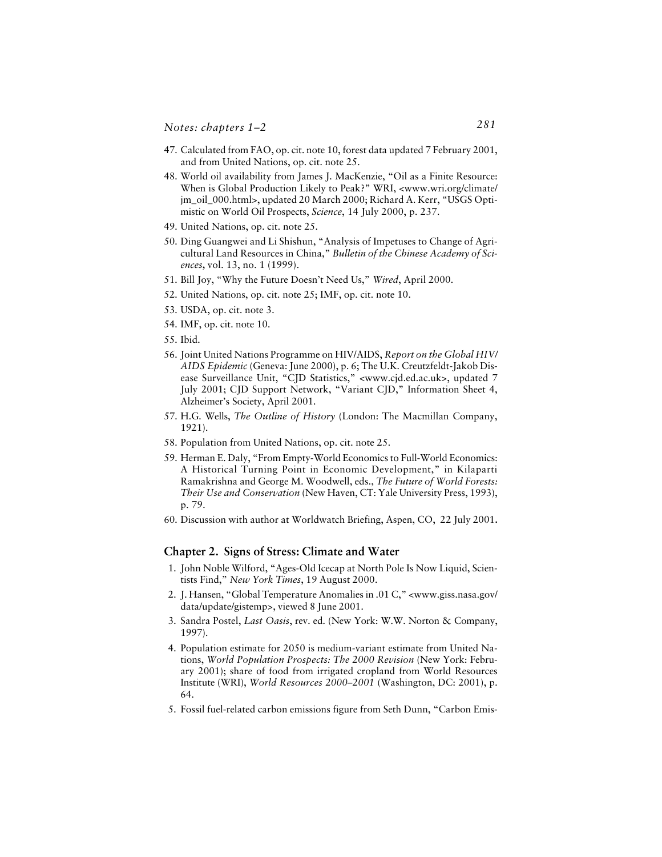- 47. Calculated from FAO, op. cit. note 10, forest data updated 7 February 2001, and from United Nations, op. cit. note 25.
- 48. World oil availability from James J. MacKenzie, "Oil as a Finite Resource: When is Global Production Likely to Peak?" WRI, <www.wri.org/climate/ jm\_oil\_000.html>, updated 20 March 2000; Richard A. Kerr, "USGS Optimistic on World Oil Prospects, *Science*, 14 July 2000, p. 237.
- 49. United Nations, op. cit. note 25.
- 50. Ding Guangwei and Li Shishun, "Analysis of Impetuses to Change of Agricultural Land Resources in China," *Bulletin of the Chinese Academy of Sciences***,** vol. 13, no. 1 (1999).
- 51. Bill Joy, "Why the Future Doesn't Need Us," *Wired*, April 2000.
- 52. United Nations, op. cit. note 25; IMF, op. cit. note 10.
- 53. USDA, op. cit. note 3.
- 54. IMF, op. cit. note 10.
- 55. Ibid.
- 56. Joint United Nations Programme on HIV/AIDS, *Report on the Global HIV/ AIDS Epidemic* (Geneva: June 2000), p. 6; The U.K. Creutzfeldt-Jakob Disease Surveillance Unit, "CJD Statistics," <www.cjd.ed.ac.uk>, updated 7 July 2001; CJD Support Network, "Variant CJD," Information Sheet 4, Alzheimer's Society, April 2001.
- 57. H.G. Wells, *The Outline of History* (London: The Macmillan Company, 1921).
- 58. Population from United Nations, op. cit. note 25.
- 59. Herman E. Daly, "From Empty-World Economics to Full-World Economics: A Historical Turning Point in Economic Development," in Kilaparti Ramakrishna and George M. Woodwell, eds., *The Future of World Forests: Their Use and Conservation* (New Haven, CT: Yale University Press, 1993), p. 79.
- 60. Discussion with author at Worldwatch Briefing, Aspen, CO, 22 July 2001**.**

#### **Chapter 2. Signs of Stress: Climate and Water**

- 1. John Noble Wilford, "Ages-Old Icecap at North Pole Is Now Liquid, Scientists Find," *New York Times*, 19 August 2000.
- 2. J. Hansen, "Global Temperature Anomalies in .01 C," <www.giss.nasa.gov/ data/update/gistemp>, viewed 8 June 2001.
- 3. Sandra Postel, *Last Oasis*, rev. ed. (New York: W.W. Norton & Company, 1997).
- 4. Population estimate for 2050 is medium-variant estimate from United Nations, *World Population Prospects: The 2000 Revision* (New York: February 2001); share of food from irrigated cropland from World Resources Institute (WRI), *World Resources 2000–2001* (Washington, DC: 2001), p. 64.
- 5. Fossil fuel-related carbon emissions figure from Seth Dunn, "Carbon Emis-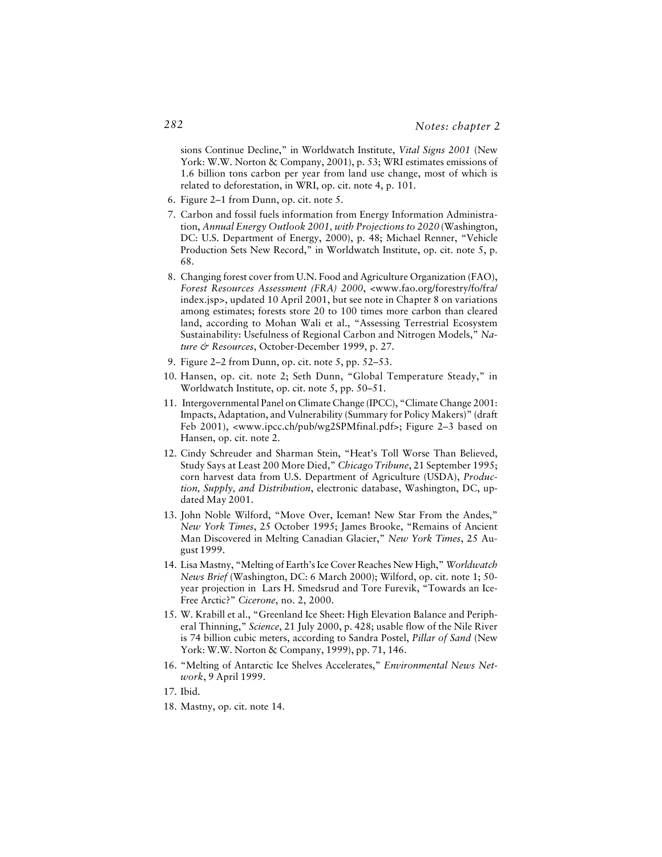sions Continue Decline," in Worldwatch Institute, *Vital Signs 2001* (New York: W.W. Norton & Company, 2001), p. 53; WRI estimates emissions of 1.6 billion tons carbon per year from land use change, most of which is related to deforestation, in WRI, op. cit. note 4, p. 101.

- 6. Figure 2–1 from Dunn, op. cit. note 5.
- 7. Carbon and fossil fuels information from Energy Information Administration, *Annual Energy Outlook 2001, with Projections to 2020* (Washington, DC: U.S. Department of Energy, 2000), p. 48; Michael Renner, "Vehicle Production Sets New Record," in Worldwatch Institute, op. cit. note 5, p. 68.
- 8. Changing forest cover from U.N. Food and Agriculture Organization (FAO), *Forest Resources Assessment (FRA) 2000*, <www.fao.org/forestry/fo/fra/ index.jsp>, updated 10 April 2001, but see note in Chapter 8 on variations among estimates; forests store 20 to 100 times more carbon than cleared land, according to Mohan Wali et al., "Assessing Terrestrial Ecosystem Sustainability: Usefulness of Regional Carbon and Nitrogen Models," *Nature & Resources*, October-December 1999, p. 27.
- 9. Figure 2–2 from Dunn, op. cit. note 5, pp. 52–53.
- 10. Hansen, op. cit. note 2; Seth Dunn, "Global Temperature Steady," in Worldwatch Institute, op. cit. note 5, pp. 50–51.
- 11. Intergovernmental Panel on Climate Change (IPCC), "Climate Change 2001: Impacts, Adaptation, and Vulnerability (Summary for Policy Makers)" (draft Feb 2001), <www.ipcc.ch/pub/wg2SPMfinal.pdf>; Figure 2–3 based on Hansen, op. cit. note 2.
- 12. Cindy Schreuder and Sharman Stein, "Heat's Toll Worse Than Believed, Study Says at Least 200 More Died," *Chicago Tribune*, 21 September 1995; corn harvest data from U.S. Department of Agriculture (USDA), *Production, Supply, and Distribution*, electronic database, Washington, DC, updated May 2001.
- 13. John Noble Wilford, "Move Over, Iceman! New Star From the Andes," *New York Times*, 25 October 1995; James Brooke, "Remains of Ancient Man Discovered in Melting Canadian Glacier," *New York Times*, 25 August 1999.
- 14. Lisa Mastny, "Melting of Earth's Ice Cover Reaches New High," *Worldwatch News Brief* (Washington, DC: 6 March 2000); Wilford, op. cit. note 1; 50 year projection in Lars H. Smedsrud and Tore Furevik, "Towards an Ice-Free Arctic?" *Cicerone*, no. 2, 2000.
- 15. W. Krabill et al., "Greenland Ice Sheet: High Elevation Balance and Peripheral Thinning," *Science*, 21 July 2000, p. 428; usable flow of the Nile River is 74 billion cubic meters, according to Sandra Postel, *Pillar of Sand* (New York: W.W. Norton & Company, 1999), pp. 71, 146.
- 16. "Melting of Antarctic Ice Shelves Accelerates," *Environmental News Network*, 9 April 1999.
- 17. Ibid.
- 18. Mastny, op. cit. note 14.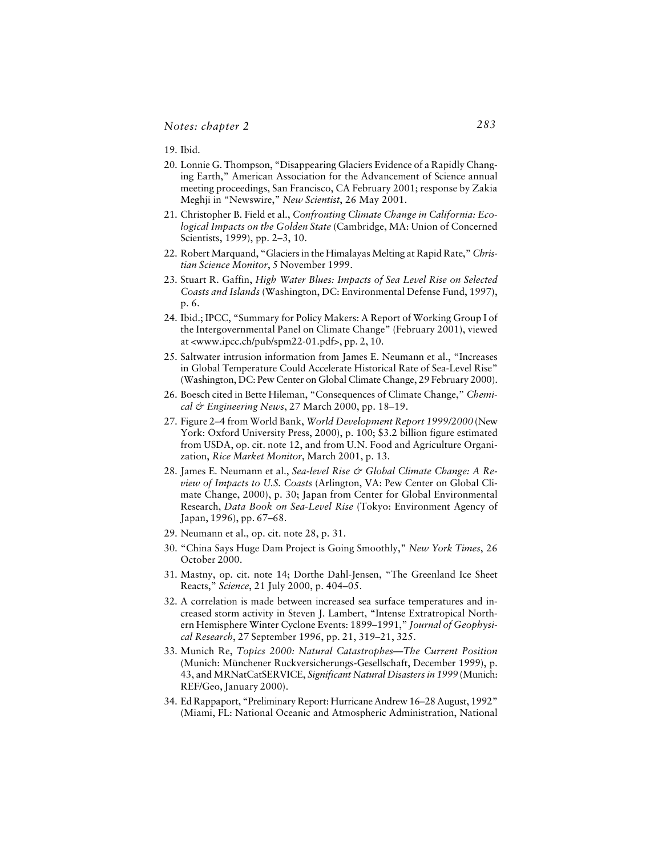19. Ibid.

- 20. Lonnie G. Thompson, "Disappearing Glaciers Evidence of a Rapidly Changing Earth," American Association for the Advancement of Science annual meeting proceedings, San Francisco, CA February 2001; response by Zakia Meghji in "Newswire," *New Scientist*, 26 May 2001.
- 21. Christopher B. Field et al., *Confronting Climate Change in California: Ecological Impacts on the Golden State* (Cambridge, MA: Union of Concerned Scientists, 1999), pp. 2–3, 10.
- 22. Robert Marquand, "Glaciers in the Himalayas Melting at Rapid Rate," *Christian Science Monitor*, 5 November 1999.
- 23. Stuart R. Gaffin, *High Water Blues: Impacts of Sea Level Rise on Selected Coasts and Islands* (Washington, DC: Environmental Defense Fund, 1997), p. 6.
- 24. Ibid.; IPCC, "Summary for Policy Makers: A Report of Working Group I of the Intergovernmental Panel on Climate Change" (February 2001), viewed at <www.ipcc.ch/pub/spm22-01.pdf>, pp. 2, 10.
- 25. Saltwater intrusion information from James E. Neumann et al., "Increases in Global Temperature Could Accelerate Historical Rate of Sea-Level Rise" (Washington, DC: Pew Center on Global Climate Change, 29 February 2000).
- 26. Boesch cited in Bette Hileman, "Consequences of Climate Change," *Chemical & Engineering News*, 27 March 2000, pp. 18–19.
- 27. Figure 2–4 from World Bank, *World Development Report 1999/2000* (New York: Oxford University Press, 2000), p. 100; \$3.2 billion figure estimated from USDA, op. cit. note 12, and from U.N. Food and Agriculture Organization, *Rice Market Monitor*, March 2001, p. 13.
- 28. James E. Neumann et al., *Sea-level Rise & Global Climate Change: A Review of Impacts to U.S. Coasts* (Arlington, VA: Pew Center on Global Climate Change, 2000), p. 30; Japan from Center for Global Environmental Research, *Data Book on Sea-Level Rise* (Tokyo: Environment Agency of Japan, 1996), pp. 67–68.
- 29. Neumann et al., op. cit. note 28, p. 31.
- 30. "China Says Huge Dam Project is Going Smoothly," *New York Times*, 26 October 2000.
- 31. Mastny, op. cit. note 14; Dorthe Dahl-Jensen, "The Greenland Ice Sheet Reacts," *Science*, 21 July 2000, p. 404–05.
- 32. A correlation is made between increased sea surface temperatures and increased storm activity in Steven J. Lambert, "Intense Extratropical Northern Hemisphere Winter Cyclone Events: 1899–1991," *Journal of Geophysical Research*, 27 September 1996, pp. 21, 319–21, 325.
- 33. Munich Re, *Topics 2000: Natural Catastrophes—The Current Position* (Munich: Münchener Ruckversicherungs-Gesellschaft, December 1999), p. 43, and MRNatCatSERVICE, *Significant Natural Disasters in 1999* (Munich: REF/Geo, January 2000).
- 34. Ed Rappaport, "Preliminary Report: Hurricane Andrew 16–28 August, 1992" (Miami, FL: National Oceanic and Atmospheric Administration, National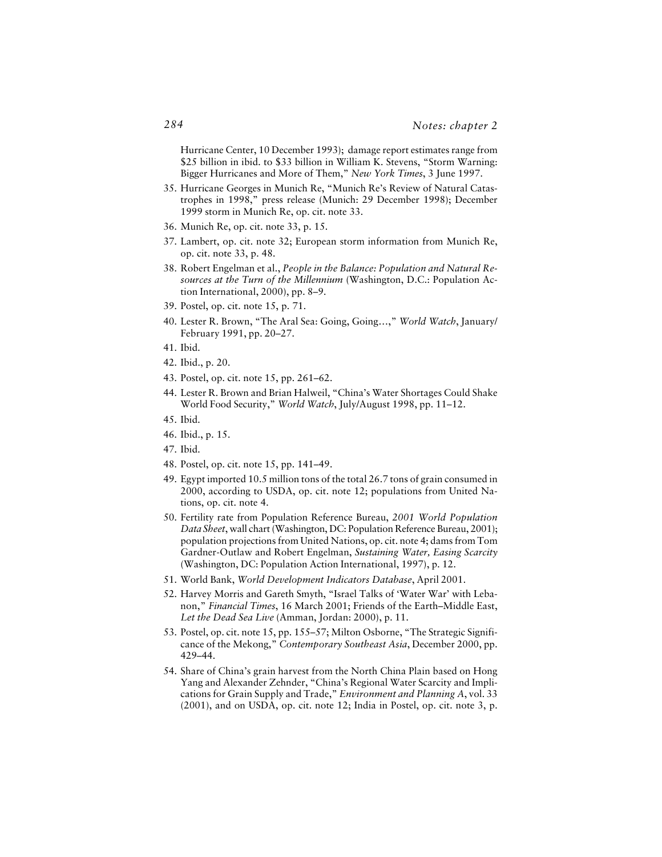Hurricane Center, 10 December 1993); damage report estimates range from \$25 billion in ibid. to \$33 billion in William K. Stevens, "Storm Warning: Bigger Hurricanes and More of Them," *New York Times*, 3 June 1997.

- 35. Hurricane Georges in Munich Re, "Munich Re's Review of Natural Catastrophes in 1998," press release (Munich: 29 December 1998); December 1999 storm in Munich Re, op. cit. note 33.
- 36. Munich Re, op. cit. note 33, p. 15.
- 37. Lambert, op. cit. note 32; European storm information from Munich Re, op. cit. note 33, p. 48.
- 38. Robert Engelman et al., *People in the Balance: Population and Natural Resources at the Turn of the Millennium* (Washington, D.C.: Population Action International, 2000), pp. 8–9.
- 39. Postel, op. cit. note 15, p. 71.
- 40. Lester R. Brown, "The Aral Sea: Going, Going…," *World Watch*, January/ February 1991, pp. 20–27.
- 41. Ibid.
- 42. Ibid., p. 20.
- 43. Postel, op. cit. note 15, pp. 261–62.
- 44. Lester R. Brown and Brian Halweil, "China's Water Shortages Could Shake World Food Security," *World Watch*, July/August 1998, pp. 11–12.
- 45. Ibid.
- 46. Ibid., p. 15.
- 47. Ibid.
- 48. Postel, op. cit. note 15, pp. 141–49.
- 49. Egypt imported 10.5 million tons of the total 26.7 tons of grain consumed in 2000, according to USDA, op. cit. note 12; populations from United Nations, op. cit. note 4.
- 50. Fertility rate from Population Reference Bureau, *2001 World Population Data Sheet*, wall chart (Washington, DC: Population Reference Bureau, 2001); population projections from United Nations, op. cit. note 4; dams from Tom Gardner-Outlaw and Robert Engelman, *Sustaining Water, Easing Scarcity* (Washington, DC: Population Action International, 1997), p. 12.
- 51. World Bank, *World Development Indicators Database*, April 2001.
- 52. Harvey Morris and Gareth Smyth, "Israel Talks of 'Water War' with Lebanon," *Financial Times*, 16 March 2001; Friends of the Earth–Middle East, *Let the Dead Sea Live* (Amman, Jordan: 2000), p. 11.
- 53. Postel, op. cit. note 15, pp. 155–57; Milton Osborne, "The Strategic Significance of the Mekong," *Contemporary Southeast Asia*, December 2000, pp. 429–44.
- 54. Share of China's grain harvest from the North China Plain based on Hong Yang and Alexander Zehnder, "China's Regional Water Scarcity and Implications for Grain Supply and Trade," *Environment and Planning A*, vol. 33 (2001), and on USDA, op. cit. note 12; India in Postel, op. cit. note 3, p.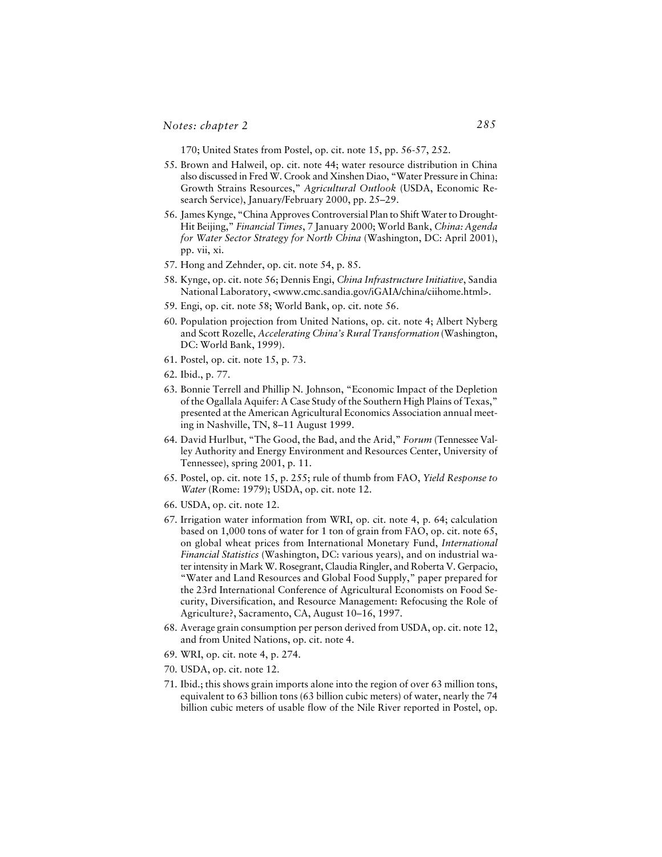170; United States from Postel, op. cit. note 15, pp. 56-57, 252.

- 55. Brown and Halweil, op. cit. note 44; water resource distribution in China also discussed in Fred W. Crook and Xinshen Diao, "Water Pressure in China: Growth Strains Resources," *Agricultural Outlook* (USDA, Economic Research Service), January/February 2000, pp. 25–29.
- 56. James Kynge, "China Approves Controversial Plan to Shift Water to Drought-Hit Beijing," *Financial Times*, 7 January 2000; World Bank, *China: Agenda for Water Sector Strategy for North China* (Washington, DC: April 2001), pp. vii, xi.
- 57. Hong and Zehnder, op. cit. note 54, p. 85.
- 58. Kynge, op. cit. note 56; Dennis Engi, *China Infrastructure Initiative*, Sandia National Laboratory, <www.cmc.sandia.gov/iGAIA/china/ciihome.html>.
- 59. Engi, op. cit. note 58; World Bank, op. cit. note 56.
- 60. Population projection from United Nations, op. cit. note 4; Albert Nyberg and Scott Rozelle, *Accelerating China's Rural Transformation* (Washington, DC: World Bank, 1999).
- 61. Postel, op. cit. note 15, p. 73.
- 62. Ibid., p. 77.
- 63. Bonnie Terrell and Phillip N. Johnson, "Economic Impact of the Depletion of the Ogallala Aquifer: A Case Study of the Southern High Plains of Texas," presented at the American Agricultural Economics Association annual meeting in Nashville, TN, 8–11 August 1999.
- 64. David Hurlbut, "The Good, the Bad, and the Arid," *Forum* (Tennessee Valley Authority and Energy Environment and Resources Center, University of Tennessee), spring 2001, p. 11.
- 65. Postel, op. cit. note 15, p. 255; rule of thumb from FAO, *Yield Response to Water* (Rome: 1979); USDA, op. cit. note 12.
- 66. USDA, op. cit. note 12.
- 67. Irrigation water information from WRI, op. cit. note 4, p. 64; calculation based on 1,000 tons of water for 1 ton of grain from FAO, op. cit. note 65, on global wheat prices from International Monetary Fund, *International Financial Statistics* (Washington, DC: various years), and on industrial water intensity in Mark W. Rosegrant, Claudia Ringler, and Roberta V. Gerpacio, "Water and Land Resources and Global Food Supply," paper prepared for the 23rd International Conference of Agricultural Economists on Food Security, Diversification, and Resource Management: Refocusing the Role of Agriculture?, Sacramento, CA, August 10–16, 1997.
- 68. Average grain consumption per person derived from USDA, op. cit. note 12, and from United Nations, op. cit. note 4.
- 69. WRI, op. cit. note 4, p. 274.
- 70. USDA, op. cit. note 12.
- 71. Ibid.; this shows grain imports alone into the region of over 63 million tons, equivalent to 63 billion tons (63 billion cubic meters) of water, nearly the 74 billion cubic meters of usable flow of the Nile River reported in Postel, op.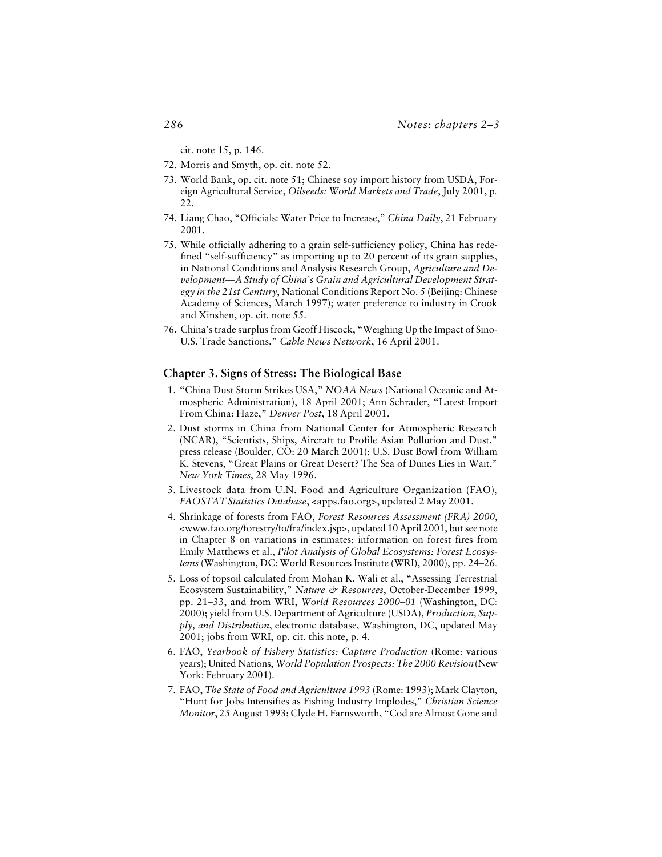cit. note 15, p. 146.

- 72. Morris and Smyth, op. cit. note 52.
- 73. World Bank, op. cit. note 51; Chinese soy import history from USDA, Foreign Agricultural Service, *Oilseeds: World Markets and Trade*, July 2001, p. 22.
- 74. Liang Chao, "Officials: Water Price to Increase," *China Daily*, 21 February 2001.
- 75. While officially adhering to a grain self-sufficiency policy, China has redefined "self-sufficiency" as importing up to 20 percent of its grain supplies, in National Conditions and Analysis Research Group, *Agriculture and Development—A Study of China's Grain and Agricultural Development Strategy in the 21st Century*, National Conditions Report No. 5 (Beijing: Chinese Academy of Sciences, March 1997); water preference to industry in Crook and Xinshen, op. cit. note 55.
- 76. China's trade surplus from Geoff Hiscock, "Weighing Up the Impact of Sino-U.S. Trade Sanctions," *Cable News Network*, 16 April 2001.

#### **Chapter 3. Signs of Stress: The Biological Base**

- 1. "China Dust Storm Strikes USA," *NOAA News* (National Oceanic and Atmospheric Administration), 18 April 2001; Ann Schrader, "Latest Import From China: Haze," *Denver Post*, 18 April 2001.
- 2. Dust storms in China from National Center for Atmospheric Research (NCAR), "Scientists, Ships, Aircraft to Profile Asian Pollution and Dust." press release (Boulder, CO: 20 March 2001); U.S. Dust Bowl from William K. Stevens, "Great Plains or Great Desert? The Sea of Dunes Lies in Wait," *New York Times*, 28 May 1996.
- 3. Livestock data from U.N. Food and Agriculture Organization (FAO), *FAOSTAT Statistics Database*, <apps.fao.org>, updated 2 May 2001.
- 4. Shrinkage of forests from FAO, *Forest Resources Assessment (FRA) 2000*, <www.fao.org/forestry/fo/fra/index.jsp>, updated 10 April 2001, but see note in Chapter 8 on variations in estimates; information on forest fires from Emily Matthews et al., *Pilot Analysis of Global Ecosystems: Forest Ecosystems* (Washington, DC: World Resources Institute (WRI), 2000), pp. 24–26.
- 5. Loss of topsoil calculated from Mohan K. Wali et al., "Assessing Terrestrial Ecosystem Sustainability," *Nature & Resources*, October-December 1999, pp. 21–33, and from WRI, *World Resources 2000–01* (Washington, DC: 2000); yield from U.S. Department of Agriculture (USDA), *Production, Supply, and Distribution*, electronic database, Washington, DC, updated May 2001; jobs from WRI, op. cit. this note, p. 4.
- 6. FAO, *Yearbook of Fishery Statistics: Capture Production* (Rome: various years); United Nations, *World Population Prospects: The 2000 Revision* (New York: February 2001).
- 7. FAO, *The State of Food and Agriculture 1993* (Rome: 1993); Mark Clayton, "Hunt for Jobs Intensifies as Fishing Industry Implodes," *Christian Science Monitor*, 25 August 1993; Clyde H. Farnsworth, "Cod are Almost Gone and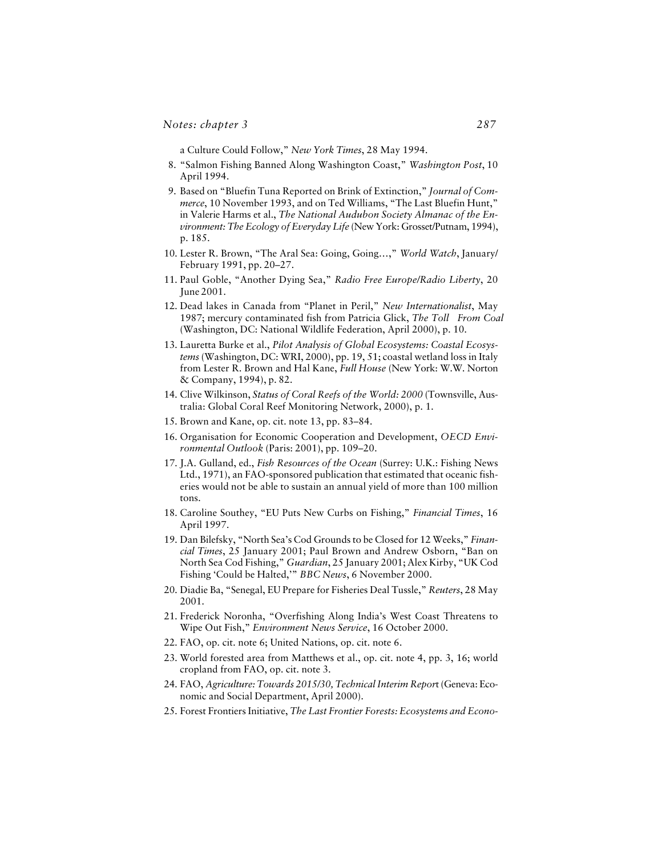a Culture Could Follow," *New York Times*, 28 May 1994.

- 8. "Salmon Fishing Banned Along Washington Coast," *Washington Post*, 10 April 1994.
- 9. Based on "Bluefin Tuna Reported on Brink of Extinction," *Journal of Commerce*, 10 November 1993, and on Ted Williams, "The Last Bluefin Hunt," in Valerie Harms et al., *The National Audubon Society Almanac of the Environment: The Ecology of Everyday Life* (New York: Grosset/Putnam, 1994), p. 185.
- 10. Lester R. Brown, "The Aral Sea: Going, Going…," *World Watch*, January/ February 1991, pp. 20–27.
- 11. Paul Goble, "Another Dying Sea," *Radio Free Europe/Radio Liberty*, 20 June 2001.
- 12. Dead lakes in Canada from "Planet in Peril," *New Internationalist*, May 1987; mercury contaminated fish from Patricia Glick, *The Toll From Coal* (Washington, DC: National Wildlife Federation, April 2000), p. 10.
- 13. Lauretta Burke et al., *Pilot Analysis of Global Ecosystems: Coastal Ecosystems* (Washington, DC: WRI, 2000), pp. 19, 51; coastal wetland loss in Italy from Lester R. Brown and Hal Kane, *Full House* (New York: W.W. Norton & Company, 1994), p. 82.
- 14. Clive Wilkinson, *Status of Coral Reefs of the World: 2000* (Townsville, Australia: Global Coral Reef Monitoring Network, 2000), p. 1.
- 15. Brown and Kane, op. cit. note 13, pp. 83–84.
- 16. Organisation for Economic Cooperation and Development, *OECD Environmental Outlook* (Paris: 2001), pp. 109–20.
- 17. J.A. Gulland, ed., *Fish Resources of the Ocean* (Surrey: U.K.: Fishing News Ltd., 1971), an FAO-sponsored publication that estimated that oceanic fisheries would not be able to sustain an annual yield of more than 100 million tons.
- 18. Caroline Southey, "EU Puts New Curbs on Fishing," *Financial Times*, 16 April 1997.
- 19. Dan Bilefsky, "North Sea's Cod Grounds to be Closed for 12 Weeks," *Financial Times*, 25 January 2001; Paul Brown and Andrew Osborn, "Ban on North Sea Cod Fishing," *Guardian*, 25 January 2001; Alex Kirby, "UK Cod Fishing 'Could be Halted,'" *BBC News*, 6 November 2000.
- 20. Diadie Ba, "Senegal, EU Prepare for Fisheries Deal Tussle," *Reuters*, 28 May 2001.
- 21. Frederick Noronha, "Overfishing Along India's West Coast Threatens to Wipe Out Fish," *Environment News Service*, 16 October 2000.
- 22. FAO, op. cit. note 6; United Nations, op. cit. note 6.
- 23. World forested area from Matthews et al., op. cit. note 4, pp. 3, 16; world cropland from FAO, op. cit. note 3.
- 24. FAO, *Agriculture: Towards 2015/30, Technical Interim Repor*t (Geneva: Economic and Social Department, April 2000).
- 25. Forest Frontiers Initiative, *The Last Frontier Forests: Ecosystems and Econo-*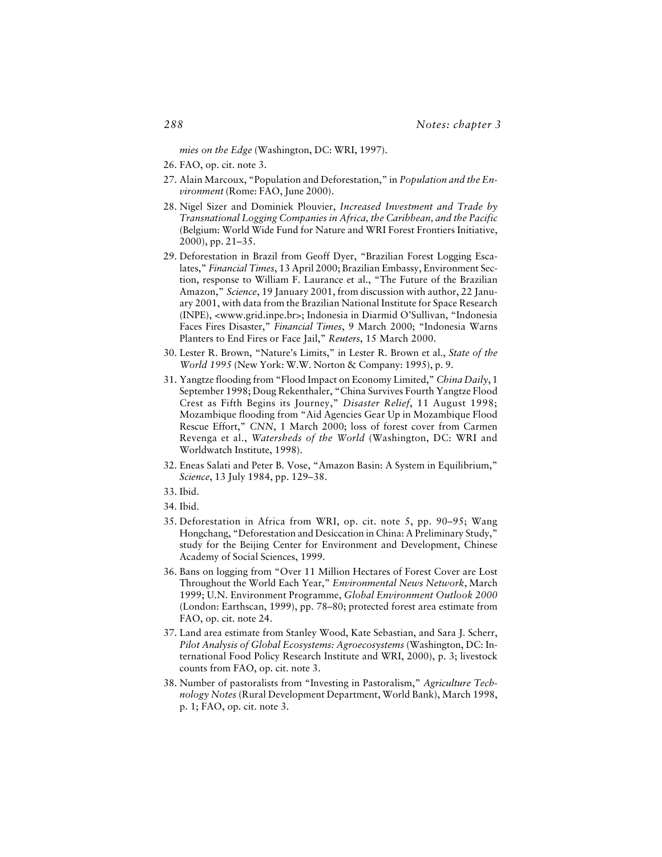*mies on the Edge* (Washington, DC: WRI, 1997).

- 26. FAO, op. cit. note 3.
- 27. Alain Marcoux, "Population and Deforestation," in *Population and the Environment* (Rome: FAO, June 2000).
- 28. Nigel Sizer and Dominiek Plouvier, *Increased Investment and Trade by Transnational Logging Companies in Africa, the Caribbean, and the Pacific* (Belgium: World Wide Fund for Nature and WRI Forest Frontiers Initiative, 2000), pp. 21–35.
- 29. Deforestation in Brazil from Geoff Dyer, "Brazilian Forest Logging Escalates," *Financial Times*, 13 April 2000; Brazilian Embassy, Environment Section, response to William F. Laurance et al., "The Future of the Brazilian Amazon," *Science*, 19 January 2001, from discussion with author, 22 January 2001, with data from the Brazilian National Institute for Space Research (INPE), <www.grid.inpe.br>; Indonesia in Diarmid O'Sullivan, "Indonesia Faces Fires Disaster," *Financial Times*, 9 March 2000; "Indonesia Warns Planters to End Fires or Face Jail," *Reuters*, 15 March 2000.
- 30. Lester R. Brown, "Nature's Limits," in Lester R. Brown et al., *State of the World 1995* (New York: W.W. Norton & Company: 1995), p. 9.
- 31. Yangtze flooding from "Flood Impact on Economy Limited," *China Daily*, 1 September 1998; Doug Rekenthaler, "China Survives Fourth Yangtze Flood Crest as Fifth Begins its Journey," *Disaster Relief*, 11 August 1998; Mozambique flooding from "Aid Agencies Gear Up in Mozambique Flood Rescue Effort," *CNN*, 1 March 2000; loss of forest cover from Carmen Revenga et al., *Watersheds of the World* (Washington, DC: WRI and Worldwatch Institute, 1998).
- 32. Eneas Salati and Peter B. Vose, "Amazon Basin: A System in Equilibrium," *Science*, 13 July 1984, pp. 129–38.
- 33. Ibid.
- 34. Ibid.
- 35. Deforestation in Africa from WRI, op. cit. note 5, pp. 90–95; Wang Hongchang, "Deforestation and Desiccation in China: A Preliminary Study," study for the Beijing Center for Environment and Development, Chinese Academy of Social Sciences, 1999.
- 36. Bans on logging from "Over 11 Million Hectares of Forest Cover are Lost Throughout the World Each Year," *Environmental News Network*, March 1999; U.N. Environment Programme, *Global Environment Outlook 2000* (London: Earthscan, 1999), pp. 78–80; protected forest area estimate from FAO, op. cit. note 24.
- 37. Land area estimate from Stanley Wood, Kate Sebastian, and Sara J. Scherr, *Pilot Analysis of Global Ecosystems: Agroecosystems* (Washington, DC: International Food Policy Research Institute and WRI, 2000), p. 3; livestock counts from FAO, op. cit. note 3.
- 38. Number of pastoralists from "Investing in Pastoralism," *Agriculture Technology Notes* (Rural Development Department, World Bank), March 1998, p. 1; FAO, op. cit. note 3.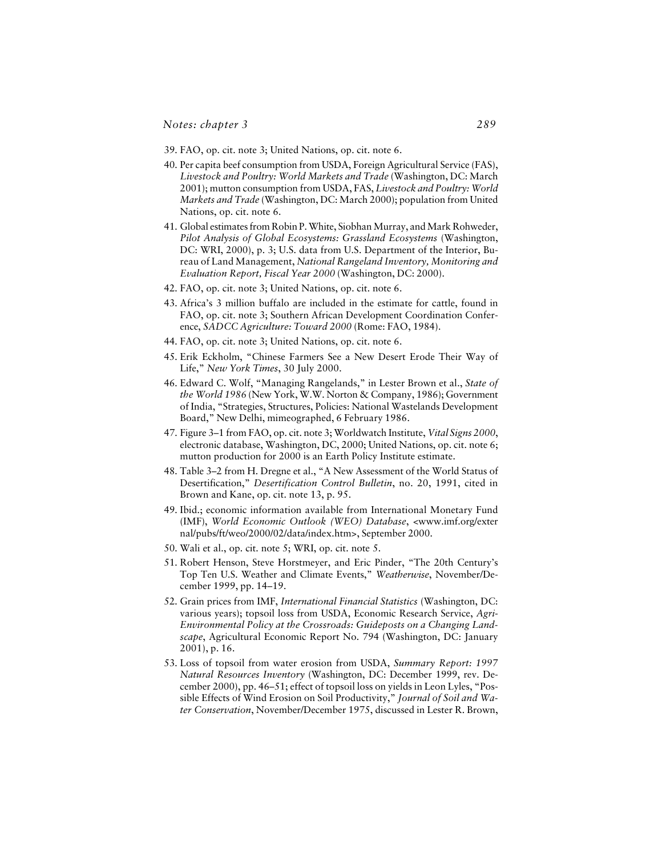- 39. FAO, op. cit. note 3; United Nations, op. cit. note 6.
- 40. Per capita beef consumption from USDA, Foreign Agricultural Service (FAS), *Livestock and Poultry: World Markets and Trade* (Washington, DC: March 2001); mutton consumption from USDA, FAS, *Livestock and Poultry: World Markets and Trade* (Washington, DC: March 2000); population from United Nations, op. cit. note 6.
- 41. Global estimates from Robin P. White, Siobhan Murray, and Mark Rohweder, *Pilot Analysis of Global Ecosystems: Grassland Ecosystems* (Washington, DC: WRI, 2000), p. 3; U.S. data from U.S. Department of the Interior, Bureau of Land Management, *National Rangeland Inventory, Monitoring and Evaluation Report, Fiscal Year 2000* (Washington, DC: 2000).
- 42. FAO, op. cit. note 3; United Nations, op. cit. note 6.
- 43. Africa's 3 million buffalo are included in the estimate for cattle, found in FAO, op. cit. note 3; Southern African Development Coordination Conference, *SADCC Agriculture: Toward 2000* (Rome: FAO, 1984).
- 44. FAO, op. cit. note 3; United Nations, op. cit. note 6.
- 45. Erik Eckholm, "Chinese Farmers See a New Desert Erode Their Way of Life," *New York Times*, 30 July 2000.
- 46. Edward C. Wolf, "Managing Rangelands," in Lester Brown et al., *State of the World 1986* (New York, W.W. Norton & Company, 1986); Government of India, "Strategies, Structures, Policies: National Wastelands Development Board," New Delhi, mimeographed, 6 February 1986.
- 47. Figure 3–1 from FAO, op. cit. note 3; Worldwatch Institute, *Vital Signs 2000*, electronic database, Washington, DC, 2000; United Nations, op. cit. note 6; mutton production for 2000 is an Earth Policy Institute estimate.
- 48. Table 3–2 from H. Dregne et al., "A New Assessment of the World Status of Desertification," *Desertification Control Bulletin*, no. 20, 1991, cited in Brown and Kane, op. cit. note 13, p. 95.
- 49. Ibid.; economic information available from International Monetary Fund (IMF), *World Economic Outlook (WEO) Database*, <www.imf.org/exter nal/pubs/ft/weo/2000/02/data/index.htm>, September 2000.
- 50. Wali et al., op. cit. note 5; WRI, op. cit. note 5.
- 51. Robert Henson, Steve Horstmeyer, and Eric Pinder, "The 20th Century's Top Ten U.S. Weather and Climate Events," *Weatherwise*, November/December 1999, pp. 14–19.
- 52. Grain prices from IMF, *International Financial Statistics* (Washington, DC: various years); topsoil loss from USDA, Economic Research Service, *Agri-Environmental Policy at the Crossroads: Guideposts on a Changing Landscape*, Agricultural Economic Report No. 794 (Washington, DC: January 2001), p. 16.
- 53. Loss of topsoil from water erosion from USDA, *Summary Report: 1997 Natural Resources Inventory* (Washington, DC: December 1999, rev. December 2000), pp. 46–51; effect of topsoil loss on yields in Leon Lyles, "Possible Effects of Wind Erosion on Soil Productivity," *Journal of Soil and Water Conservation*, November/December 1975, discussed in Lester R. Brown,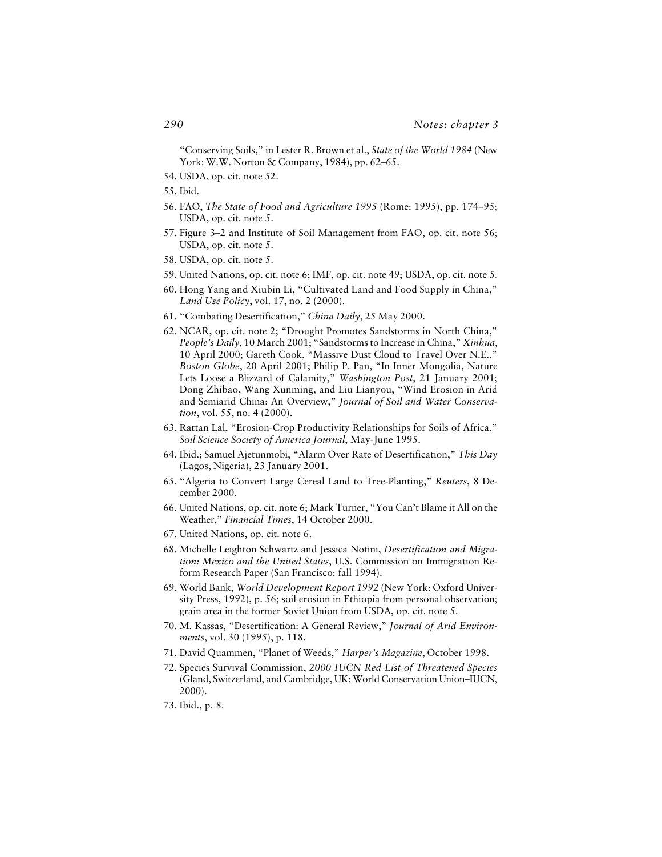"Conserving Soils," in Lester R. Brown et al., *State of the World 1984* (New York: W.W. Norton & Company, 1984), pp. 62–65.

- 54. USDA, op. cit. note 52.
- 55. Ibid.
- 56. FAO, *The State of Food and Agriculture 1995* (Rome: 1995), pp. 174–95; USDA, op. cit. note 5.
- 57. Figure 3–2 and Institute of Soil Management from FAO, op. cit. note 56; USDA, op. cit. note 5.
- 58. USDA, op. cit. note 5.
- 59. United Nations, op. cit. note 6; IMF, op. cit. note 49; USDA, op. cit. note 5.
- 60. Hong Yang and Xiubin Li, "Cultivated Land and Food Supply in China," *Land Use Policy*, vol. 17, no. 2 (2000).
- 61. "Combating Desertification," *China Daily*, 25 May 2000.
- 62. NCAR, op. cit. note 2; "Drought Promotes Sandstorms in North China," *People's Daily*, 10 March 2001; "Sandstorms to Increase in China," *Xinhua*, 10 April 2000; Gareth Cook, "Massive Dust Cloud to Travel Over N.E.," *Boston Globe*, 20 April 2001; Philip P. Pan, "In Inner Mongolia, Nature Lets Loose a Blizzard of Calamity," *Washington Post*, 21 January 2001; Dong Zhibao, Wang Xunming, and Liu Lianyou, "Wind Erosion in Arid and Semiarid China: An Overview," *Journal of Soil and Water Conservation*, vol. 55, no. 4 (2000).
- 63. Rattan Lal, "Erosion-Crop Productivity Relationships for Soils of Africa," *Soil Science Society of America Journal*, May-June 1995.
- 64. Ibid.; Samuel Ajetunmobi, "Alarm Over Rate of Desertification," *This Day* (Lagos, Nigeria), 23 January 2001.
- 65. "Algeria to Convert Large Cereal Land to Tree-Planting," *Reuters*, 8 December 2000.
- 66. United Nations, op. cit. note 6; Mark Turner, "You Can't Blame it All on the Weather," *Financial Times*, 14 October 2000.
- 67. United Nations, op. cit. note 6.
- 68. Michelle Leighton Schwartz and Jessica Notini, *Desertification and Migration: Mexico and the United States*, U.S. Commission on Immigration Reform Research Paper (San Francisco: fall 1994).
- 69. World Bank, *World Development Report 1992* (New York: Oxford University Press, 1992), p. 56; soil erosion in Ethiopia from personal observation; grain area in the former Soviet Union from USDA, op. cit. note 5.
- 70. M. Kassas, "Desertification: A General Review," *Journal of Arid Environments*, vol. 30 (1995), p. 118.
- 71. David Quammen, "Planet of Weeds," *Harper's Magazine*, October 1998.
- 72. Species Survival Commission, *2000 IUCN Red List of Threatened Species* (Gland, Switzerland, and Cambridge, UK: World Conservation Union–IUCN, 2000).
- 73. Ibid., p. 8.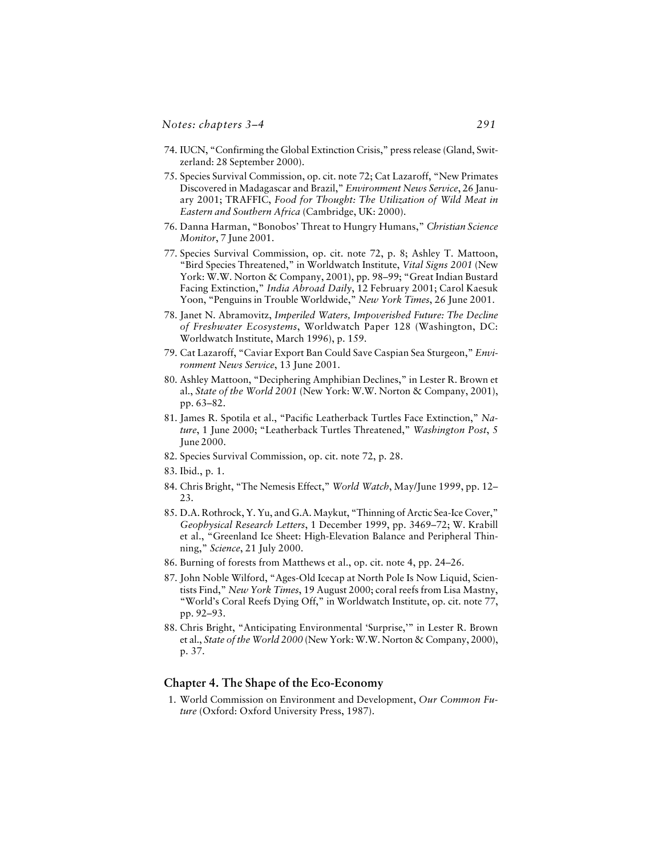- 74. IUCN, "Confirming the Global Extinction Crisis," press release (Gland, Switzerland: 28 September 2000).
- 75. Species Survival Commission, op. cit. note 72; Cat Lazaroff, "New Primates Discovered in Madagascar and Brazil," *Environment News Service*, 26 January 2001; TRAFFIC, *Food for Thought: The Utilization of Wild Meat in Eastern and Southern Africa* (Cambridge, UK: 2000).
- 76. Danna Harman, "Bonobos' Threat to Hungry Humans," *Christian Science Monitor*, 7 June 2001.
- 77. Species Survival Commission, op. cit. note 72, p. 8; Ashley T. Mattoon, "Bird Species Threatened," in Worldwatch Institute, *Vital Signs 2001* (New York: W.W. Norton & Company, 2001), pp. 98–99; "Great Indian Bustard Facing Extinction," *India Abroad Daily*, 12 February 2001; Carol Kaesuk Yoon, "Penguins in Trouble Worldwide," *New York Times*, 26 June 2001.
- 78. Janet N. Abramovitz, *Imperiled Waters, Impoverished Future: The Decline of Freshwater Ecosystems*, Worldwatch Paper 128 (Washington, DC: Worldwatch Institute, March 1996), p. 159.
- 79. Cat Lazaroff, "Caviar Export Ban Could Save Caspian Sea Sturgeon," *Environment News Service*, 13 June 2001.
- 80. Ashley Mattoon, "Deciphering Amphibian Declines," in Lester R. Brown et al., *State of the World 2001* (New York: W.W. Norton & Company, 2001), pp. 63–82.
- 81. James R. Spotila et al., "Pacific Leatherback Turtles Face Extinction," *Nature*, 1 June 2000; "Leatherback Turtles Threatened," *Washington Post*, 5 June 2000.
- 82. Species Survival Commission, op. cit. note 72, p. 28.
- 83. Ibid., p. 1.
- 84. Chris Bright, "The Nemesis Effect," *World Watch*, May/June 1999, pp. 12– 23.
- 85. D.A. Rothrock, Y. Yu, and G.A. Maykut, "Thinning of Arctic Sea-Ice Cover," *Geophysical Research Letters*, 1 December 1999, pp. 3469–72; W. Krabill et al., "Greenland Ice Sheet: High-Elevation Balance and Peripheral Thinning," *Science*, 21 July 2000.
- 86. Burning of forests from Matthews et al., op. cit. note 4, pp. 24–26.
- 87. John Noble Wilford, "Ages-Old Icecap at North Pole Is Now Liquid, Scientists Find," *New York Times*, 19 August 2000; coral reefs from Lisa Mastny, "World's Coral Reefs Dying Off," in Worldwatch Institute, op. cit. note 77, pp. 92–93.
- 88. Chris Bright, "Anticipating Environmental 'Surprise,'" in Lester R. Brown et al., *State of the World 2000* (New York: W.W. Norton & Company, 2000), p. 37.

#### **Chapter 4. The Shape of the Eco-Economy**

1. World Commission on Environment and Development, *Our Common Future* (Oxford: Oxford University Press, 1987).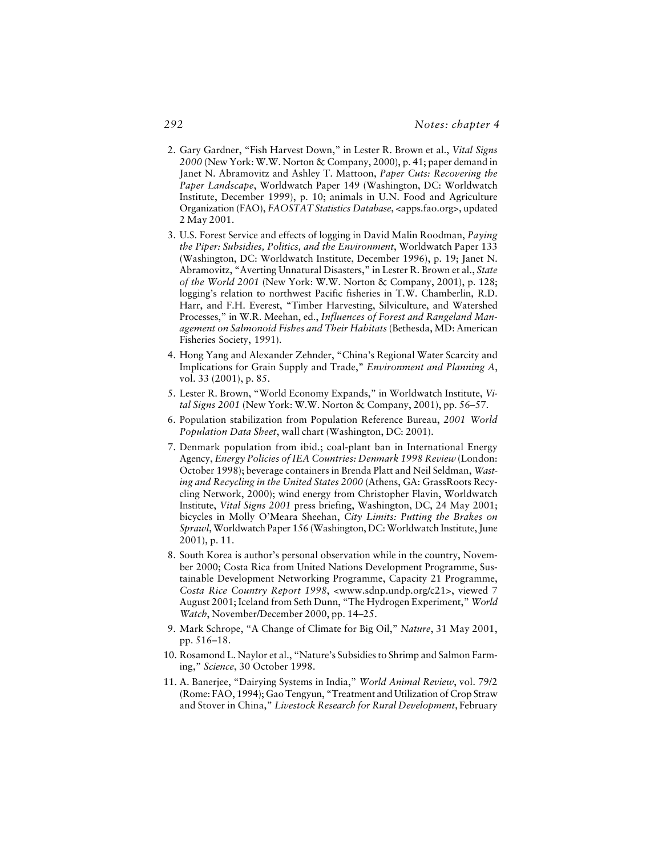- 2. Gary Gardner, "Fish Harvest Down," in Lester R. Brown et al., *Vital Signs 2000* (New York: W.W. Norton & Company, 2000), p. 41; paper demand in Janet N. Abramovitz and Ashley T. Mattoon, *Paper Cuts: Recovering the Paper Landscape*, Worldwatch Paper 149 (Washington, DC: Worldwatch Institute, December 1999), p. 10; animals in U.N. Food and Agriculture Organization (FAO), *FAOSTAT Statistics Database*, <apps.fao.org>, updated 2 May 2001.
- 3. U.S. Forest Service and effects of logging in David Malin Roodman, *Paying the Piper: Subsidies, Politics, and the Environment*, Worldwatch Paper 133 (Washington, DC: Worldwatch Institute, December 1996), p. 19; Janet N. Abramovitz, "Averting Unnatural Disasters," in Lester R. Brown et al., *State of the World 2001* (New York: W.W. Norton & Company, 2001), p. 128; logging's relation to northwest Pacific fisheries in T.W. Chamberlin, R.D. Harr, and F.H. Everest, "Timber Harvesting, Silviculture, and Watershed Processes," in W.R. Meehan, ed., *Influences of Forest and Rangeland Management on Salmonoid Fishes and Their Habitats* (Bethesda, MD: American Fisheries Society, 1991).
- 4. Hong Yang and Alexander Zehnder, "China's Regional Water Scarcity and Implications for Grain Supply and Trade," *Environment and Planning A*, vol. 33 (2001), p. 85.
- 5. Lester R. Brown, "World Economy Expands," in Worldwatch Institute, *Vital Signs 2001* (New York: W.W. Norton & Company, 2001), pp. 56–57.
- 6. Population stabilization from Population Reference Bureau, *2001 World Population Data Sheet*, wall chart (Washington, DC: 2001).
- 7. Denmark population from ibid.; coal-plant ban in International Energy Agency, *Energy Policies of IEA Countries: Denmark 1998 Review* (London: October 1998); beverage containers in Brenda Platt and Neil Seldman, *Wasting and Recycling in the United States 2000* (Athens, GA: GrassRoots Recycling Network, 2000); wind energy from Christopher Flavin, Worldwatch Institute, *Vital Signs 2001* press briefing, Washington, DC, 24 May 2001; bicycles in Molly O'Meara Sheehan, *City Limits: Putting the Brakes on Sprawl*, Worldwatch Paper 156 (Washington, DC: Worldwatch Institute, June 2001), p. 11.
- 8. South Korea is author's personal observation while in the country, November 2000; Costa Rica from United Nations Development Programme, Sustainable Development Networking Programme, Capacity 21 Programme, *Costa Rice Country Report 1998*, <www.sdnp.undp.org/c21>, viewed 7 August 2001; Iceland from Seth Dunn, "The Hydrogen Experiment," *World Watch*, November/December 2000, pp. 14–25.
- 9. Mark Schrope, "A Change of Climate for Big Oil," *Nature*, 31 May 2001, pp. 516–18.
- 10. Rosamond L. Naylor et al., "Nature's Subsidies to Shrimp and Salmon Farming," *Science*, 30 October 1998.
- 11. A. Banerjee, "Dairying Systems in India," *World Animal Review*, vol. 79/2 (Rome: FAO, 1994); Gao Tengyun, "Treatment and Utilization of Crop Straw and Stover in China," *Livestock Research for Rural Development*, February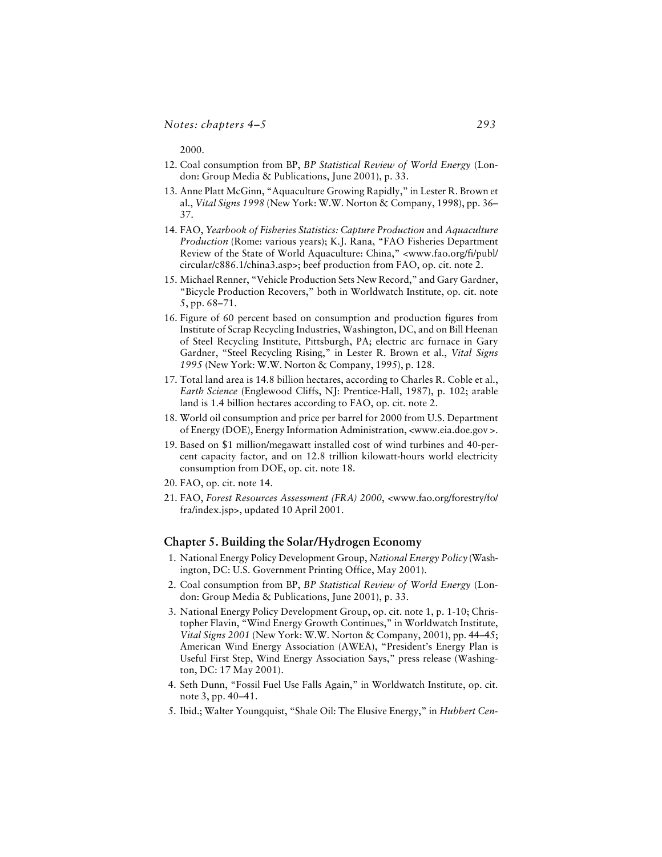2000.

- 12. Coal consumption from BP, *BP Statistical Review of World Energy* (London: Group Media & Publications, June 2001), p. 33.
- 13. Anne Platt McGinn, "Aquaculture Growing Rapidly," in Lester R. Brown et al., *Vital Signs 1998* (New York: W.W. Norton & Company, 1998), pp. 36– 37.
- 14. FAO, *Yearbook of Fisheries Statistics: Capture Production* and *Aquaculture Production* (Rome: various years); K.J. Rana, "FAO Fisheries Department Review of the State of World Aquaculture: China," <www.fao.org/fi/publ/ circular/c886.1/china3.asp>; beef production from FAO, op. cit. note 2.
- 15. Michael Renner, "Vehicle Production Sets New Record," and Gary Gardner, "Bicycle Production Recovers," both in Worldwatch Institute, op. cit. note 5, pp. 68–71.
- 16. Figure of 60 percent based on consumption and production figures from Institute of Scrap Recycling Industries, Washington, DC, and on Bill Heenan of Steel Recycling Institute, Pittsburgh, PA; electric arc furnace in Gary Gardner, "Steel Recycling Rising," in Lester R. Brown et al., *Vital Signs 1995* (New York: W.W. Norton & Company, 1995), p. 128.
- 17. Total land area is 14.8 billion hectares, according to Charles R. Coble et al., *Earth Science* (Englewood Cliffs, NJ: Prentice-Hall, 1987), p. 102; arable land is 1.4 billion hectares according to FAO, op. cit. note 2.
- 18. World oil consumption and price per barrel for 2000 from U.S. Department of Energy (DOE), Energy Information Administration, <www.eia.doe.gov >.
- 19. Based on \$1 million/megawatt installed cost of wind turbines and 40-percent capacity factor, and on 12.8 trillion kilowatt-hours world electricity consumption from DOE, op. cit. note 18.
- 20. FAO, op. cit. note 14.
- 21. FAO, *Forest Resources Assessment (FRA) 2000*, <www.fao.org/forestry/fo/ fra/index.jsp>, updated 10 April 2001.

#### **Chapter 5. Building the Solar/Hydrogen Economy**

- 1. National Energy Policy Development Group, *National Energy Policy* (Washington, DC: U.S. Government Printing Office, May 2001).
- 2. Coal consumption from BP, *BP Statistical Review of World Energy* (London: Group Media & Publications, June 2001), p. 33.
- 3. National Energy Policy Development Group, op. cit. note 1, p. 1-10; Christopher Flavin, "Wind Energy Growth Continues," in Worldwatch Institute, *Vital Signs 2001* (New York: W.W. Norton & Company, 2001), pp. 44–45; American Wind Energy Association (AWEA), "President's Energy Plan is Useful First Step, Wind Energy Association Says," press release (Washington, DC: 17 May 2001).
- 4. Seth Dunn, "Fossil Fuel Use Falls Again," in Worldwatch Institute, op. cit. note 3, pp. 40–41.
- 5. Ibid.; Walter Youngquist, "Shale Oil: The Elusive Energy," in *Hubbert Cen-*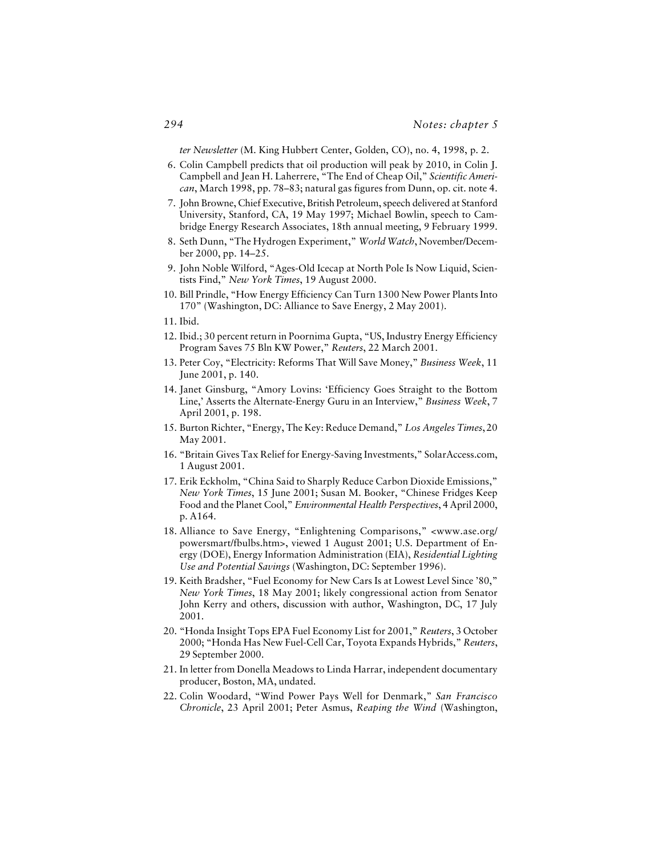*ter Newsletter* (M. King Hubbert Center, Golden, CO), no. 4, 1998, p. 2.

- 6. Colin Campbell predicts that oil production will peak by 2010, in Colin J. Campbell and Jean H. Laherrere, "The End of Cheap Oil," *Scientific American*, March 1998, pp. 78–83; natural gas figures from Dunn, op. cit. note 4.
- 7. John Browne, Chief Executive, British Petroleum, speech delivered at Stanford University, Stanford, CA, 19 May 1997; Michael Bowlin, speech to Cambridge Energy Research Associates, 18th annual meeting, 9 February 1999.
- 8. Seth Dunn, "The Hydrogen Experiment," *World Watch*, November/December 2000, pp. 14–25.
- 9. John Noble Wilford, "Ages-Old Icecap at North Pole Is Now Liquid, Scientists Find," *New York Times*, 19 August 2000.
- 10. Bill Prindle, "How Energy Efficiency Can Turn 1300 New Power Plants Into 170" (Washington, DC: Alliance to Save Energy, 2 May 2001).
- 11. Ibid.
- 12. Ibid.; 30 percent return in Poornima Gupta, "US, Industry Energy Efficiency Program Saves 75 Bln KW Power," *Reuters*, 22 March 2001.
- 13. Peter Coy, "Electricity: Reforms That Will Save Money," *Business Week*, 11 June 2001, p. 140.
- 14. Janet Ginsburg, "Amory Lovins: 'Efficiency Goes Straight to the Bottom Line,' Asserts the Alternate-Energy Guru in an Interview," *Business Week*, 7 April 2001, p. 198.
- 15. Burton Richter, "Energy, The Key: Reduce Demand," *Los Angeles Times*, 20 May 2001.
- 16. "Britain Gives Tax Relief for Energy-Saving Investments," SolarAccess.com, 1 August 2001.
- 17. Erik Eckholm, "China Said to Sharply Reduce Carbon Dioxide Emissions," *New York Times*, 15 June 2001; Susan M. Booker, "Chinese Fridges Keep Food and the Planet Cool," *Environmental Health Perspectives*, 4 April 2000, p. A164.
- 18. Alliance to Save Energy, "Enlightening Comparisons," <www.ase.org/ powersmart/fbulbs.htm>, viewed 1 August 2001; U.S. Department of Energy (DOE), Energy Information Administration (EIA), *Residential Lighting Use and Potential Savings* (Washington, DC: September 1996).
- 19. Keith Bradsher, "Fuel Economy for New Cars Is at Lowest Level Since '80," *New York Times*, 18 May 2001; likely congressional action from Senator John Kerry and others, discussion with author, Washington, DC, 17 July 2001.
- 20. "Honda Insight Tops EPA Fuel Economy List for 2001," *Reuters*, 3 October 2000; "Honda Has New Fuel-Cell Car, Toyota Expands Hybrids," *Reuters*, 29 September 2000.
- 21. In letter from Donella Meadows to Linda Harrar, independent documentary producer, Boston, MA, undated.
- 22. Colin Woodard, "Wind Power Pays Well for Denmark," *San Francisco Chronicle*, 23 April 2001; Peter Asmus, *Reaping the Wind* (Washington,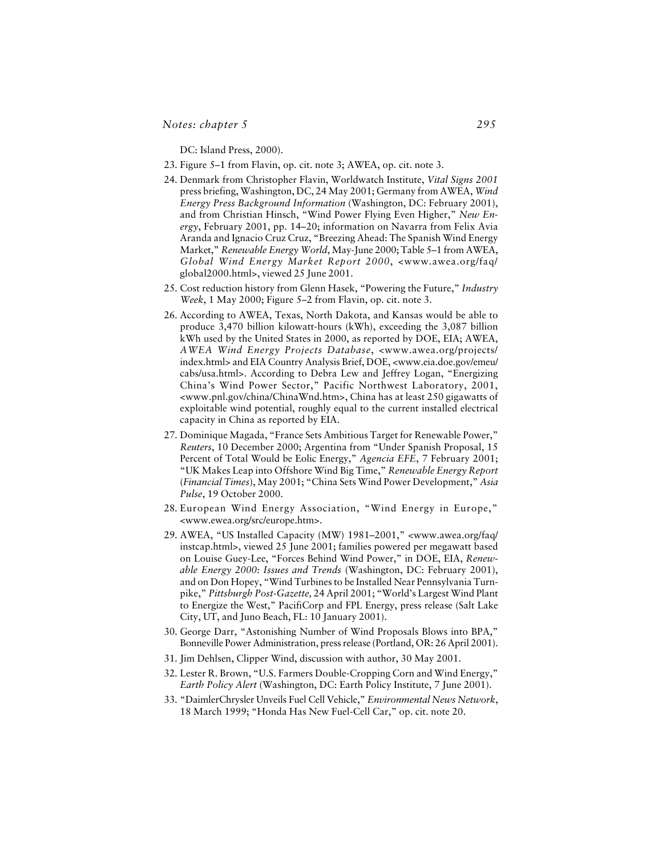DC: Island Press, 2000).

- 23. Figure 5–1 from Flavin, op. cit. note 3; AWEA, op. cit. note 3.
- 24. Denmark from Christopher Flavin, Worldwatch Institute, *Vital Signs 2001* press briefing, Washington, DC, 24 May 2001; Germany from AWEA, *Wind Energy Press Background Information* (Washington, DC: February 2001), and from Christian Hinsch, "Wind Power Flying Even Higher," *New Energy*, February 2001, pp. 14–20; information on Navarra from Felix Avia Aranda and Ignacio Cruz Cruz, "Breezing Ahead: The Spanish Wind Energy Market," *Renewable Energy World*, May-June 2000; Table 5–1 from AWEA, *Global Wind Energy Market Report 2000*, <www.awea.org/faq/ global2000.html>, viewed 25 June 2001.
- 25. Cost reduction history from Glenn Hasek, "Powering the Future," *Industry Week*, 1 May 2000; Figure 5–2 from Flavin, op. cit. note 3.
- 26. According to AWEA, Texas, North Dakota, and Kansas would be able to produce 3,470 billion kilowatt-hours (kWh), exceeding the 3,087 billion kWh used by the United States in 2000, as reported by DOE, EIA; AWEA, *AWEA Wind Energy Projects Database*, <www.awea.org/projects/ index.html> and EIA Country Analysis Brief, DOE, <www.eia.doe.gov/emeu/ cabs/usa.html>. According to Debra Lew and Jeffrey Logan, "Energizing China's Wind Power Sector," Pacific Northwest Laboratory, 2001, <www.pnl.gov/china/ChinaWnd.htm>, China has at least 250 gigawatts of exploitable wind potential, roughly equal to the current installed electrical capacity in China as reported by EIA.
- 27. Dominique Magada, "France Sets Ambitious Target for Renewable Power," *Reuters*, 10 December 2000; Argentina from "Under Spanish Proposal, 15 Percent of Total Would be Eolic Energy," *Agencia EFE*, 7 February 2001; "UK Makes Leap into Offshore Wind Big Time," *Renewable Energy Report* (*Financial Times*), May 2001; "China Sets Wind Power Development," *Asia Pulse*, 19 October 2000.
- 28. European Wind Energy Association, "Wind Energy in Europe," <www.ewea.org/src/europe.htm>.
- 29. AWEA, "US Installed Capacity (MW) 1981–2001," <www.awea.org/faq/ instcap.html>, viewed 25 June 2001; families powered per megawatt based on Louise Guey-Lee, "Forces Behind Wind Power," in DOE, EIA, *Renewable Energy 2000: Issues and Trends* (Washington, DC: February 2001), and on Don Hopey, "Wind Turbines to be Installed Near Pennsylvania Turnpike," *Pittsburgh Post-Gazette,* 24 April 2001; "World's Largest Wind Plant to Energize the West," PacifiCorp and FPL Energy, press release (Salt Lake City, UT, and Juno Beach, FL: 10 January 2001).
- 30. George Darr, "Astonishing Number of Wind Proposals Blows into BPA," Bonneville Power Administration, press release (Portland, OR: 26 April 2001).
- 31. Jim Dehlsen, Clipper Wind, discussion with author, 30 May 2001.
- 32. Lester R. Brown, "U.S. Farmers Double-Cropping Corn and Wind Energy," *Earth Policy Alert* (Washington, DC: Earth Policy Institute, 7 June 2001).
- 33. "DaimlerChrysler Unveils Fuel Cell Vehicle," *Environmental News Network*, 18 March 1999; "Honda Has New Fuel-Cell Car," op. cit. note 20.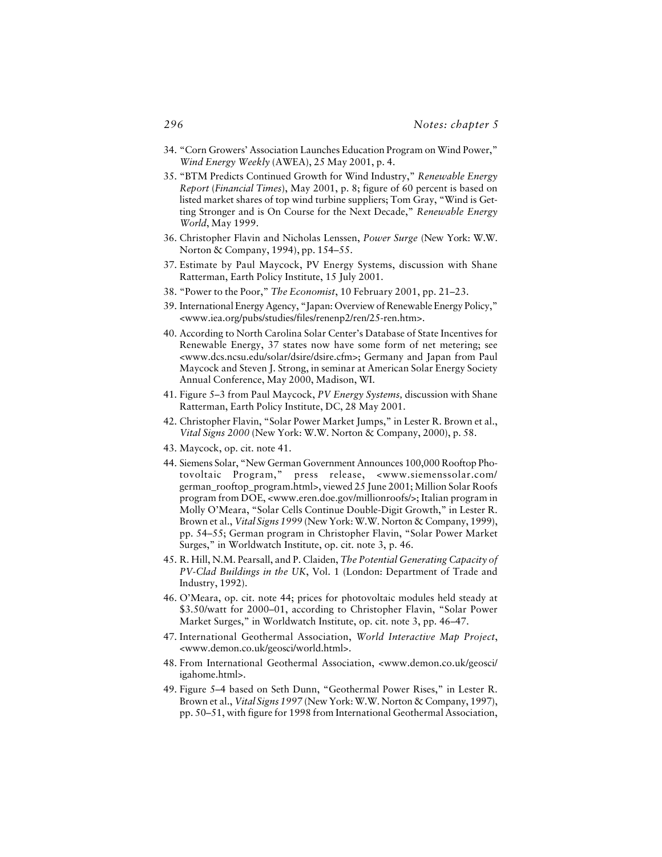- 34. "Corn Growers' Association Launches Education Program on Wind Power," *Wind Energy Weekly* (AWEA), 25 May 2001, p. 4.
- 35. "BTM Predicts Continued Growth for Wind Industry," *Renewable Energy Report* (*Financial Times*), May 2001, p. 8; figure of 60 percent is based on listed market shares of top wind turbine suppliers; Tom Gray, "Wind is Getting Stronger and is On Course for the Next Decade," *Renewable Energy World*, May 1999.
- 36. Christopher Flavin and Nicholas Lenssen, *Power Surge* (New York: W.W. Norton & Company, 1994), pp. 154–55.
- 37. Estimate by Paul Maycock, PV Energy Systems, discussion with Shane Ratterman, Earth Policy Institute, 15 July 2001.
- 38. "Power to the Poor," *The Economist*, 10 February 2001, pp. 21–23.
- 39. International Energy Agency, "Japan: Overview of Renewable Energy Policy," <www.iea.org/pubs/studies/files/renenp2/ren/25-ren.htm>.
- 40. According to North Carolina Solar Center's Database of State Incentives for Renewable Energy, 37 states now have some form of net metering; see <www.dcs.ncsu.edu/solar/dsire/dsire.cfm>; Germany and Japan from Paul Maycock and Steven J. Strong, in seminar at American Solar Energy Society Annual Conference, May 2000, Madison, WI.
- 41. Figure 5–3 from Paul Maycock, *PV Energy Systems,* discussion with Shane Ratterman, Earth Policy Institute, DC, 28 May 2001.
- 42. Christopher Flavin, "Solar Power Market Jumps," in Lester R. Brown et al., *Vital Signs 2000* (New York: W.W. Norton & Company, 2000), p. 58.
- 43. Maycock, op. cit. note 41.
- 44. Siemens Solar, "New German Government Announces 100,000 Rooftop Photovoltaic Program," press release, <www.siemenssolar.com/ german\_rooftop\_program.html>, viewed 25 June 2001; Million Solar Roofs program from DOE, <www.eren.doe.gov/millionroofs/>; Italian program in Molly O'Meara, "Solar Cells Continue Double-Digit Growth," in Lester R. Brown et al., *Vital Signs 1999* (New York: W.W. Norton & Company, 1999), pp. 54–55; German program in Christopher Flavin, "Solar Power Market Surges," in Worldwatch Institute, op. cit. note 3, p. 46.
- 45. R. Hill, N.M. Pearsall, and P. Claiden, *The Potential Generating Capacity of PV-Clad Buildings in the UK*, Vol. 1 (London: Department of Trade and Industry, 1992).
- 46. O'Meara, op. cit. note 44; prices for photovoltaic modules held steady at \$3.50/watt for 2000–01, according to Christopher Flavin, "Solar Power Market Surges," in Worldwatch Institute, op. cit. note 3, pp. 46–47.
- 47. International Geothermal Association, *World Interactive Map Project*, <www.demon.co.uk/geosci/world.html>.
- 48. From International Geothermal Association, <www.demon.co.uk/geosci/ igahome.html>.
- 49. Figure 5–4 based on Seth Dunn, "Geothermal Power Rises," in Lester R. Brown et al., *Vital Signs 1997* (New York: W.W. Norton & Company, 1997), pp. 50–51, with figure for 1998 from International Geothermal Association,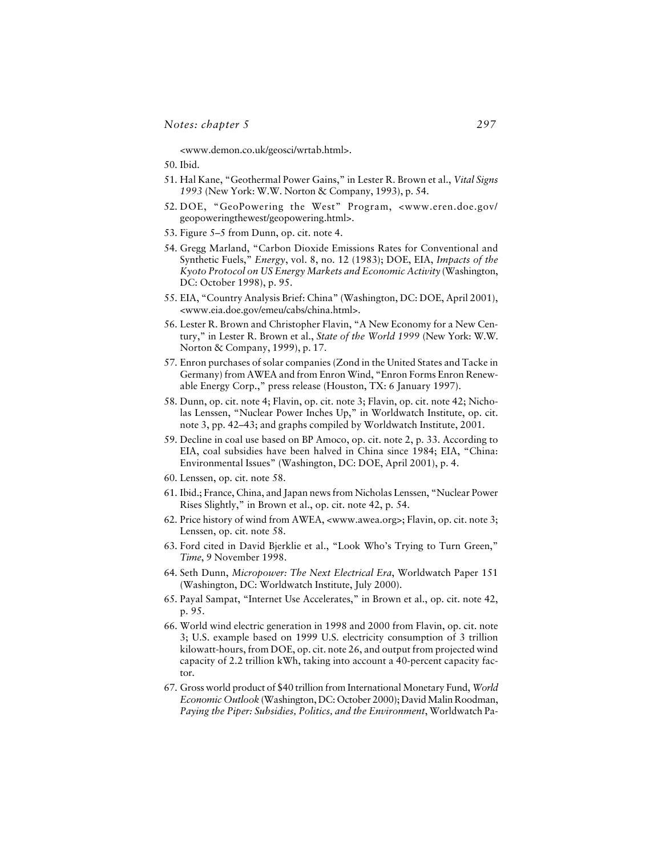<www.demon.co.uk/geosci/wrtab.html>.

50. Ibid.

- 51. Hal Kane, "Geothermal Power Gains," in Lester R. Brown et al., *Vital Signs 1993* (New York: W.W. Norton & Company, 1993), p. 54.
- 52. DOE, "GeoPowering the West" Program, <www.eren.doe.gov/ geopoweringthewest/geopowering.html>.
- 53. Figure 5–5 from Dunn, op. cit. note 4.
- 54. Gregg Marland, "Carbon Dioxide Emissions Rates for Conventional and Synthetic Fuels," *Energy*, vol. 8, no. 12 (1983); DOE, EIA, *Impacts of the Kyoto Protocol on US Energy Markets and Economic Activity* (Washington, DC: October 1998), p. 95.
- 55. EIA, "Country Analysis Brief: China" (Washington, DC: DOE, April 2001), <www.eia.doe.gov/emeu/cabs/china.html>.
- 56. Lester R. Brown and Christopher Flavin, "A New Economy for a New Century," in Lester R. Brown et al., *State of the World 1999* (New York: W.W. Norton & Company, 1999), p. 17.
- 57. Enron purchases of solar companies (Zond in the United States and Tacke in Germany) from AWEA and from Enron Wind, "Enron Forms Enron Renewable Energy Corp.," press release (Houston, TX: 6 January 1997).
- 58. Dunn, op. cit. note 4; Flavin, op. cit. note 3; Flavin, op. cit. note 42; Nicholas Lenssen, "Nuclear Power Inches Up," in Worldwatch Institute, op. cit. note 3, pp. 42–43; and graphs compiled by Worldwatch Institute, 2001.
- 59. Decline in coal use based on BP Amoco, op. cit. note 2, p. 33. According to EIA, coal subsidies have been halved in China since 1984; EIA, "China: Environmental Issues" (Washington, DC: DOE, April 2001), p. 4.
- 60. Lenssen, op. cit. note 58.
- 61. Ibid.; France, China, and Japan news from Nicholas Lenssen, "Nuclear Power Rises Slightly," in Brown et al., op. cit. note 42, p. 54.
- 62. Price history of wind from AWEA, <www.awea.org>; Flavin, op. cit. note 3; Lenssen, op. cit. note 58.
- 63. Ford cited in David Bjerklie et al., "Look Who's Trying to Turn Green," *Time*, 9 November 1998.
- 64. Seth Dunn, *Micropower: The Next Electrical Era*, Worldwatch Paper 151 (Washington, DC: Worldwatch Institute, July 2000).
- 65. Payal Sampat, "Internet Use Accelerates," in Brown et al., op. cit. note 42, p. 95.
- 66. World wind electric generation in 1998 and 2000 from Flavin, op. cit. note 3; U.S. example based on 1999 U.S. electricity consumption of 3 trillion kilowatt-hours, from DOE, op. cit. note 26, and output from projected wind capacity of 2.2 trillion kWh, taking into account a 40-percent capacity factor.
- 67. Gross world product of \$40 trillion from International Monetary Fund, *World Economic Outlook* (Washington, DC: October 2000); David Malin Roodman, *Paying the Piper: Subsidies, Politics, and the Environment*, Worldwatch Pa-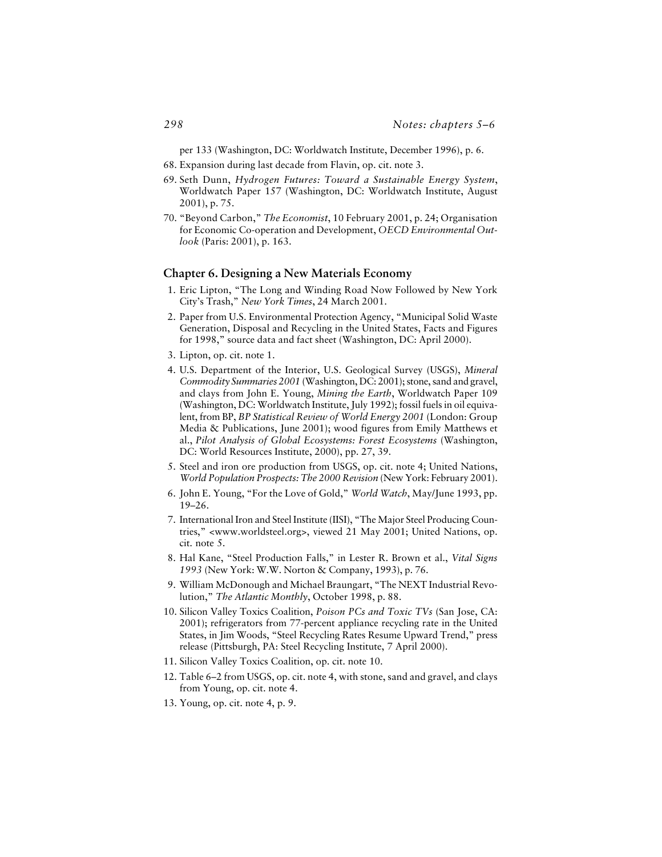per 133 (Washington, DC: Worldwatch Institute, December 1996), p. 6.

- 68. Expansion during last decade from Flavin, op. cit. note 3.
- 69. Seth Dunn, *Hydrogen Futures: Toward a Sustainable Energy System*, Worldwatch Paper 157 (Washington, DC: Worldwatch Institute, August 2001), p. 75.
- 70. "Beyond Carbon," *The Economist*, 10 February 2001, p. 24; Organisation for Economic Co-operation and Development, *OECD Environmental Outlook* (Paris: 2001), p. 163.

#### **Chapter 6. Designing a New Materials Economy**

- 1. Eric Lipton, "The Long and Winding Road Now Followed by New York City's Trash," *New York Times*, 24 March 2001.
- 2. Paper from U.S. Environmental Protection Agency, "Municipal Solid Waste Generation, Disposal and Recycling in the United States, Facts and Figures for 1998," source data and fact sheet (Washington, DC: April 2000).
- 3. Lipton, op. cit. note 1.
- 4. U.S. Department of the Interior, U.S. Geological Survey (USGS), *Mineral Commodity Summaries 2001* (Washington, DC: 2001); stone, sand and gravel, and clays from John E. Young, *Mining the Earth*, Worldwatch Paper 109 (Washington, DC: Worldwatch Institute, July 1992); fossil fuels in oil equivalent, from BP, *BP Statistical Review of World Energy 2001* (London: Group Media & Publications, June 2001); wood figures from Emily Matthews et al., *Pilot Analysis of Global Ecosystems: Forest Ecosystems* (Washington, DC: World Resources Institute, 2000), pp. 27, 39.
- 5. Steel and iron ore production from USGS, op. cit. note 4; United Nations, *World Population Prospects: The 2000 Revision* (New York: February 2001).
- 6. John E. Young, "For the Love of Gold," *World Watch*, May/June 1993, pp. 19–26.
- 7. International Iron and Steel Institute (IISI), "The Major Steel Producing Countries," <www.worldsteel.org>, viewed 21 May 2001; United Nations, op. cit. note 5.
- 8. Hal Kane, "Steel Production Falls," in Lester R. Brown et al., *Vital Signs 1993* (New York: W.W. Norton & Company, 1993), p. 76.
- 9. William McDonough and Michael Braungart, "The NEXT Industrial Revolution," *The Atlantic Monthly*, October 1998, p. 88.
- 10. Silicon Valley Toxics Coalition, *Poison PCs and Toxic TVs* (San Jose, CA: 2001); refrigerators from 77-percent appliance recycling rate in the United States, in Jim Woods, "Steel Recycling Rates Resume Upward Trend," press release (Pittsburgh, PA: Steel Recycling Institute, 7 April 2000).
- 11. Silicon Valley Toxics Coalition, op. cit. note 10.
- 12. Table 6–2 from USGS, op. cit. note 4, with stone, sand and gravel, and clays from Young, op. cit. note 4.
- 13. Young, op. cit. note 4, p. 9.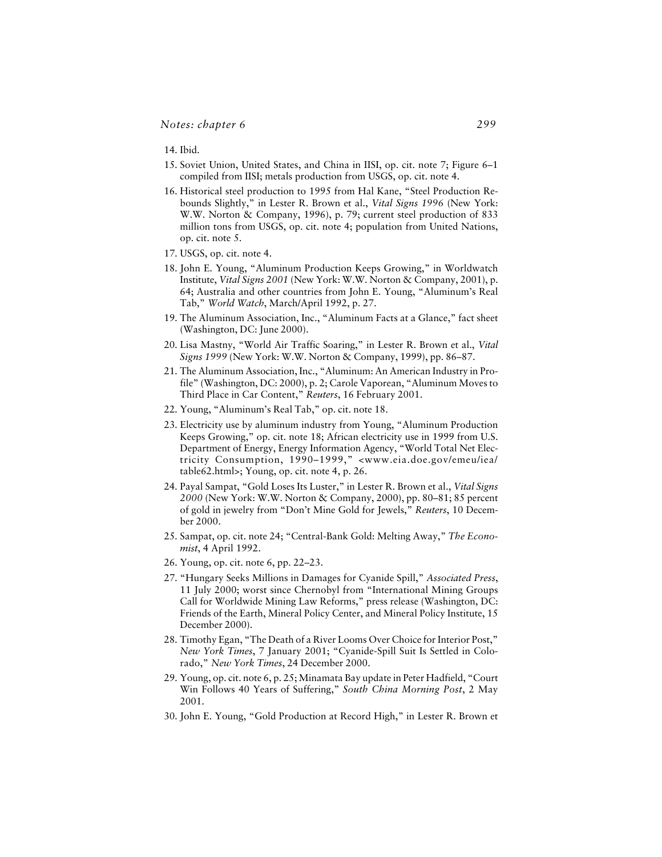14. Ibid.

- 15. Soviet Union, United States, and China in IISI, op. cit. note 7; Figure 6–1 compiled from IISI; metals production from USGS, op. cit. note 4.
- 16. Historical steel production to 1995 from Hal Kane, "Steel Production Rebounds Slightly," in Lester R. Brown et al., *Vital Signs 1996* (New York: W.W. Norton & Company, 1996), p. 79; current steel production of 833 million tons from USGS, op. cit. note 4; population from United Nations, op. cit. note 5.
- 17. USGS, op. cit. note 4.
- 18. John E. Young, "Aluminum Production Keeps Growing," in Worldwatch Institute, *Vital Signs 2001* (New York: W.W. Norton & Company, 2001), p. 64; Australia and other countries from John E. Young, "Aluminum's Real Tab," *World Watch*, March/April 1992, p. 27.
- 19. The Aluminum Association, Inc., "Aluminum Facts at a Glance," fact sheet (Washington, DC: June 2000).
- 20. Lisa Mastny, "World Air Traffic Soaring," in Lester R. Brown et al., *Vital Signs 1999* (New York: W.W. Norton & Company, 1999), pp. 86–87.
- 21. The Aluminum Association, Inc., "Aluminum: An American Industry in Profile" (Washington, DC: 2000), p. 2; Carole Vaporean, "Aluminum Moves to Third Place in Car Content," *Reuters*, 16 February 2001.
- 22. Young, "Aluminum's Real Tab," op. cit. note 18.
- 23. Electricity use by aluminum industry from Young, "Aluminum Production Keeps Growing," op. cit. note 18; African electricity use in 1999 from U.S. Department of Energy, Energy Information Agency, "World Total Net Electricity Consumption, 1990–1999," <www.eia.doe.gov/emeu/iea/ table62.html>; Young, op. cit. note 4, p. 26.
- 24. Payal Sampat, "Gold Loses Its Luster," in Lester R. Brown et al., *Vital Signs 2000* (New York: W.W. Norton & Company, 2000), pp. 80–81; 85 percent of gold in jewelry from "Don't Mine Gold for Jewels," *Reuters*, 10 December 2000.
- 25. Sampat, op. cit. note 24; "Central-Bank Gold: Melting Away," *The Economist*, 4 April 1992.
- 26. Young, op. cit. note 6, pp. 22–23.
- 27. "Hungary Seeks Millions in Damages for Cyanide Spill," *Associated Press*, 11 July 2000; worst since Chernobyl from "International Mining Groups Call for Worldwide Mining Law Reforms," press release (Washington, DC: Friends of the Earth, Mineral Policy Center, and Mineral Policy Institute, 15 December 2000).
- 28. Timothy Egan, "The Death of a River Looms Over Choice for Interior Post," *New York Times*, 7 January 2001; "Cyanide-Spill Suit Is Settled in Colorado," *New York Times*, 24 December 2000.
- 29. Young, op. cit. note 6, p. 25; Minamata Bay update in Peter Hadfield, "Court Win Follows 40 Years of Suffering," *South China Morning Post*, 2 May 2001.
- 30. John E. Young, "Gold Production at Record High," in Lester R. Brown et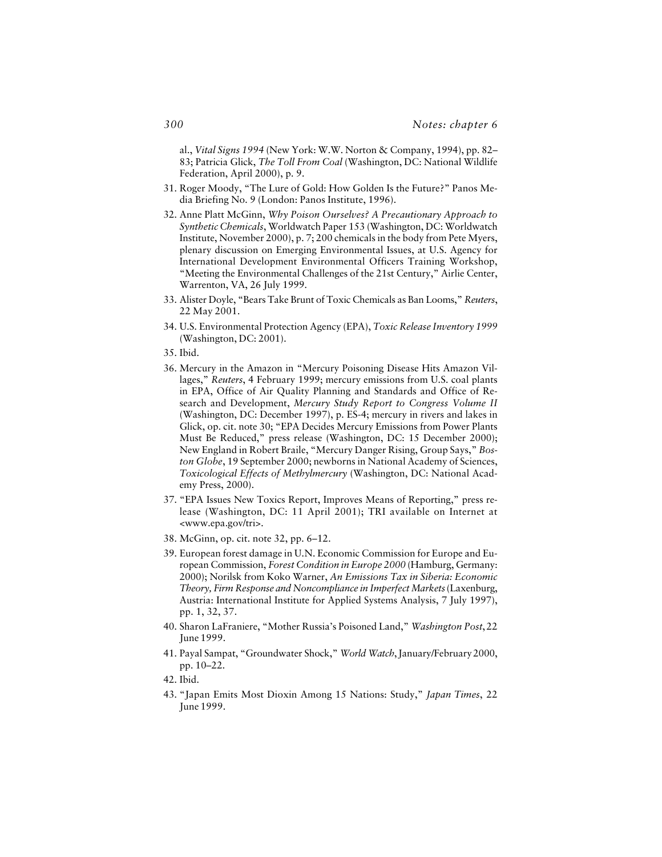al., *Vital Signs 1994* (New York: W.W. Norton & Company, 1994), pp. 82– 83; Patricia Glick, *The Toll From Coal* (Washington, DC: National Wildlife Federation, April 2000), p. 9.

- 31. Roger Moody, "The Lure of Gold: How Golden Is the Future?" Panos Media Briefing No. 9 (London: Panos Institute, 1996).
- 32. Anne Platt McGinn, *Why Poison Ourselves? A Precautionary Approach to Synthetic Chemicals*, Worldwatch Paper 153 (Washington, DC: Worldwatch Institute, November 2000), p. 7; 200 chemicals in the body from Pete Myers, plenary discussion on Emerging Environmental Issues, at U.S. Agency for International Development Environmental Officers Training Workshop, "Meeting the Environmental Challenges of the 21st Century," Airlie Center, Warrenton, VA, 26 July 1999.
- 33. Alister Doyle, "Bears Take Brunt of Toxic Chemicals as Ban Looms," *Reuters*, 22 May 2001.
- 34. U.S. Environmental Protection Agency (EPA), *Toxic Release Inventory 1999* (Washington, DC: 2001).
- 35. Ibid.
- 36. Mercury in the Amazon in "Mercury Poisoning Disease Hits Amazon Villages," *Reuters*, 4 February 1999; mercury emissions from U.S. coal plants in EPA, Office of Air Quality Planning and Standards and Office of Research and Development, *Mercury Study Report to Congress Volume II* (Washington, DC: December 1997), p. ES-4; mercury in rivers and lakes in Glick, op. cit. note 30; "EPA Decides Mercury Emissions from Power Plants Must Be Reduced," press release (Washington, DC: 15 December 2000); New England in Robert Braile, "Mercury Danger Rising, Group Says," *Boston Globe*, 19 September 2000; newborns in National Academy of Sciences, *Toxicological Effects of Methylmercury* (Washington, DC: National Academy Press, 2000).
- 37. "EPA Issues New Toxics Report, Improves Means of Reporting," press release (Washington, DC: 11 April 2001); TRI available on Internet at <www.epa.gov/tri>.
- 38. McGinn, op. cit. note 32, pp. 6–12.
- 39. European forest damage in U.N. Economic Commission for Europe and European Commission, *Forest Condition in Europe 2000* (Hamburg, Germany: 2000); Norilsk from Koko Warner, *An Emissions Tax in Siberia: Economic Theory, Firm Response and Noncompliance in Imperfect Markets* (Laxenburg, Austria: International Institute for Applied Systems Analysis, 7 July 1997), pp. 1, 32, 37.
- 40. Sharon LaFraniere, "Mother Russia's Poisoned Land," *Washington Post*, 22 June 1999.
- 41. Payal Sampat, "Groundwater Shock," *World Watch*, January/February 2000, pp. 10–22.
- 42. Ibid.
- 43. "Japan Emits Most Dioxin Among 15 Nations: Study," *Japan Times*, 22 June 1999.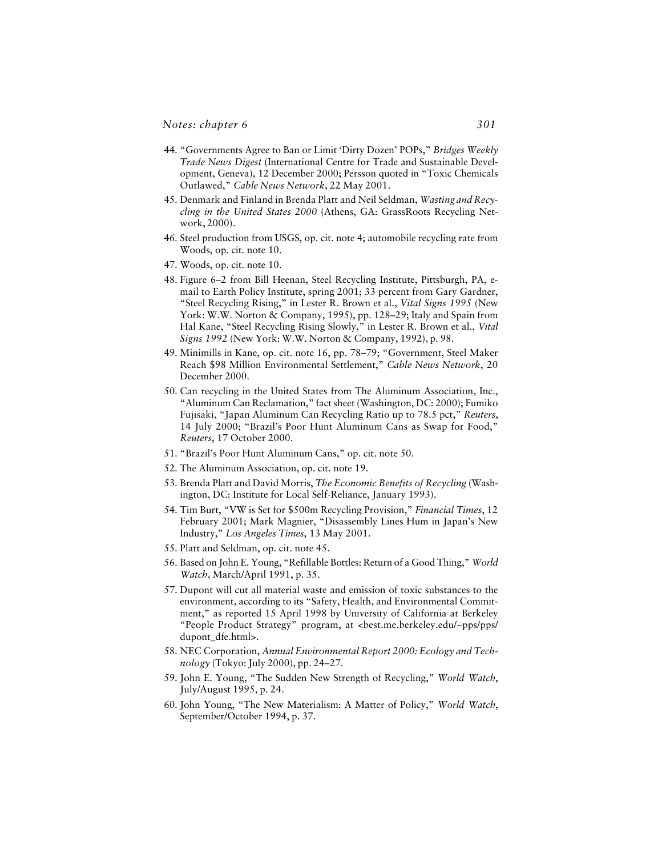- 44. "Governments Agree to Ban or Limit 'Dirty Dozen' POPs," *Bridges Weekly Trade News Digest* (International Centre for Trade and Sustainable Development, Geneva), 12 December 2000; Persson quoted in "Toxic Chemicals Outlawed," *Cable News Network*, 22 May 2001.
- 45. Denmark and Finland in Brenda Platt and Neil Seldman, *Wasting and Recycling in the United States 2000* (Athens, GA: GrassRoots Recycling Network, 2000).
- 46. Steel production from USGS, op. cit. note 4; automobile recycling rate from Woods, op. cit. note 10.
- 47. Woods, op. cit. note 10.
- 48. Figure 6–2 from Bill Heenan, Steel Recycling Institute, Pittsburgh, PA, email to Earth Policy Institute, spring 2001; 33 percent from Gary Gardner, "Steel Recycling Rising," in Lester R. Brown et al., *Vital Signs 1995* (New York: W.W. Norton & Company, 1995), pp. 128–29; Italy and Spain from Hal Kane, "Steel Recycling Rising Slowly," in Lester R. Brown et al., *Vital Signs 1992* (New York: W.W. Norton & Company, 1992), p. 98.
- 49. Minimills in Kane, op. cit. note 16, pp. 78–79; "Government, Steel Maker Reach \$98 Million Environmental Settlement," *Cable News Network*, 20 December 2000.
- 50. Can recycling in the United States from The Aluminum Association, Inc., "Aluminum Can Reclamation," fact sheet (Washington, DC: 2000); Fumiko Fujisaki, "Japan Aluminum Can Recycling Ratio up to 78.5 pct," *Reuters*, 14 July 2000; "Brazil's Poor Hunt Aluminum Cans as Swap for Food," *Reuters*, 17 October 2000.
- 51. "Brazil's Poor Hunt Aluminum Cans," op. cit. note 50.
- 52. The Aluminum Association, op. cit. note 19.
- 53. Brenda Platt and David Morris, *The Economic Benefits of Recycling* (Washington, DC: Institute for Local Self-Reliance, January 1993).
- 54. Tim Burt, "VW is Set for \$500m Recycling Provision," *Financial Times*, 12 February 2001; Mark Magnier, "Disassembly Lines Hum in Japan's New Industry," *Los Angeles Times*, 13 May 2001.
- 55. Platt and Seldman, op. cit. note 45.
- 56. Based on John E. Young, "Refillable Bottles: Return of a Good Thing," *World Watch*, March/April 1991, p. 35.
- 57. Dupont will cut all material waste and emission of toxic substances to the environment, according to its "Safety, Health, and Environmental Commitment," as reported 15 April 1998 by University of California at Berkeley "People Product Strategy" program, at <best.me.berkeley.edu/~pps/pps/ dupont\_dfe.html>.
- 58. NEC Corporation, *Annual Environmental Report 2000: Ecology and Technology* (Tokyo: July 2000), pp. 24–27.
- 59. John E. Young, "The Sudden New Strength of Recycling," *World Watch*, July/August 1995, p. 24.
- 60. John Young, "The New Materialism: A Matter of Policy," *World Watch*, September/October 1994, p. 37.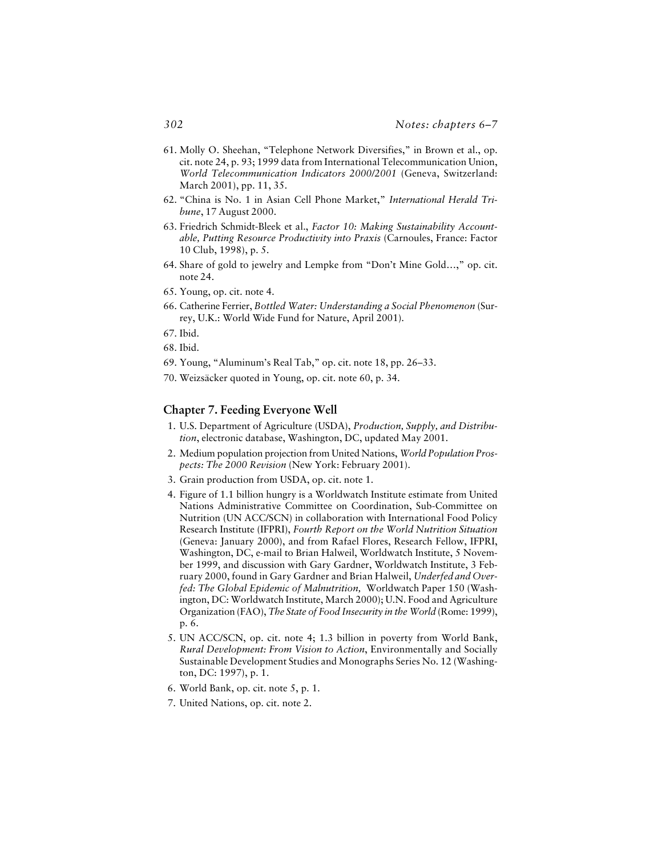- 61. Molly O. Sheehan, "Telephone Network Diversifies," in Brown et al., op. cit. note 24, p. 93; 1999 data from International Telecommunication Union, *World Telecommunication Indicators 2000/2001* (Geneva, Switzerland: March 2001), pp. 11, 35.
- 62. "China is No. 1 in Asian Cell Phone Market," *International Herald Tribune*, 17 August 2000.
- 63. Friedrich Schmidt-Bleek et al., *Factor 10: Making Sustainability Accountable, Putting Resource Productivity into Praxis* (Carnoules, France: Factor 10 Club, 1998), p. 5.
- 64. Share of gold to jewelry and Lempke from "Don't Mine Gold…," op. cit. note 24.
- 65. Young, op. cit. note 4.
- 66. Catherine Ferrier, *Bottled Water: Understanding a Social Phenomenon* (Surrey, U.K.: World Wide Fund for Nature, April 2001).
- 67. Ibid.
- 68. Ibid.
- 69. Young, "Aluminum's Real Tab," op. cit. note 18, pp. 26–33.
- 70. Weizsäcker quoted in Young, op. cit. note 60, p. 34.

## **Chapter 7. Feeding Everyone Well**

- 1. U.S. Department of Agriculture (USDA), *Production, Supply, and Distribution*, electronic database, Washington, DC, updated May 2001.
- 2. Medium population projection from United Nations, *World Population Prospects: The 2000 Revision* (New York: February 2001).
- 3. Grain production from USDA, op. cit. note 1.
- 4. Figure of 1.1 billion hungry is a Worldwatch Institute estimate from United Nations Administrative Committee on Coordination, Sub-Committee on Nutrition (UN ACC/SCN) in collaboration with International Food Policy Research Institute (IFPRI), *Fourth Report on the World Nutrition Situation* (Geneva: January 2000), and from Rafael Flores, Research Fellow, IFPRI, Washington, DC, e-mail to Brian Halweil, Worldwatch Institute, 5 November 1999, and discussion with Gary Gardner, Worldwatch Institute, 3 February 2000, found in Gary Gardner and Brian Halweil, *Underfed and Overfed: The Global Epidemic of Malnutrition,* Worldwatch Paper 150 (Washington, DC: Worldwatch Institute, March 2000); U.N. Food and Agriculture Organization (FAO), *The State of Food Insecurity in the World* (Rome: 1999), p. 6.
- 5. UN ACC/SCN, op. cit. note 4; 1.3 billion in poverty from World Bank, *Rural Development: From Vision to Action*, Environmentally and Socially Sustainable Development Studies and Monographs Series No. 12 (Washington, DC: 1997), p. 1.
- 6. World Bank, op. cit. note 5, p. 1.
- 7. United Nations, op. cit. note 2.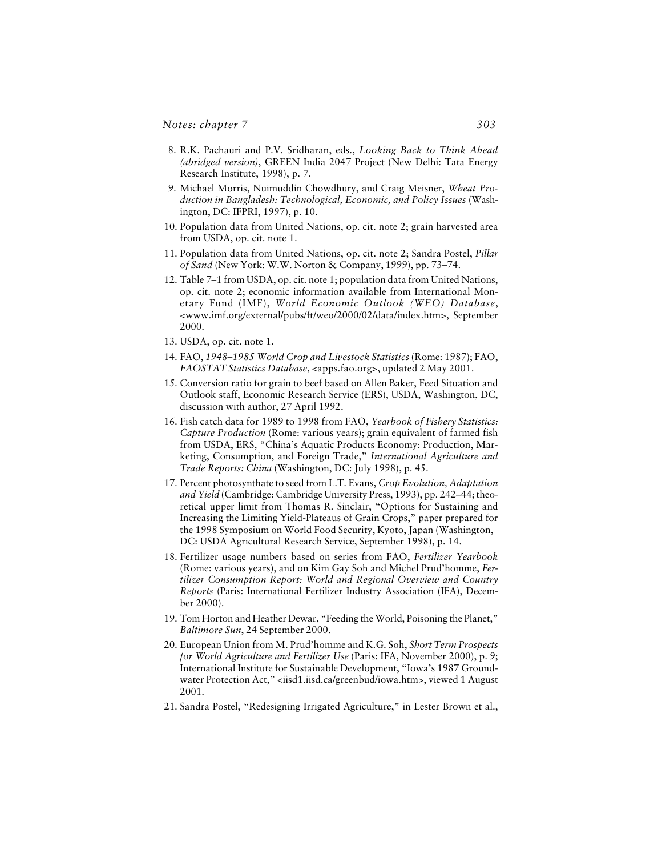- 8. R.K. Pachauri and P.V. Sridharan, eds., *Looking Back to Think Ahead (abridged version)*, GREEN India 2047 Project (New Delhi: Tata Energy Research Institute, 1998), p. 7.
- 9. Michael Morris, Nuimuddin Chowdhury, and Craig Meisner, *Wheat Production in Bangladesh: Technological, Economic, and Policy Issues* (Washington, DC: IFPRI, 1997), p. 10.
- 10. Population data from United Nations, op. cit. note 2; grain harvested area from USDA, op. cit. note 1.
- 11. Population data from United Nations, op. cit. note 2; Sandra Postel, *Pillar of Sand* (New York: W.W. Norton & Company, 1999), pp. 73–74.
- 12. Table 7–1 from USDA, op. cit. note 1; population data from United Nations, op. cit. note 2; economic information available from International Monetary Fund (IMF), *World Economic Outlook (WEO) Database*, <www.imf.org/external/pubs/ft/weo/2000/02/data/index.htm>, September 2000.
- 13. USDA, op. cit. note 1.
- 14. FAO, *1948–1985 World Crop and Livestock Statistics* (Rome: 1987); FAO, *FAOSTAT Statistics Database*, <apps.fao.org>, updated 2 May 2001.
- 15. Conversion ratio for grain to beef based on Allen Baker, Feed Situation and Outlook staff, Economic Research Service (ERS), USDA, Washington, DC, discussion with author, 27 April 1992.
- 16. Fish catch data for 1989 to 1998 from FAO, *Yearbook of Fishery Statistics: Capture Production* (Rome: various years); grain equivalent of farmed fish from USDA, ERS, "China's Aquatic Products Economy: Production, Marketing, Consumption, and Foreign Trade," *International Agriculture and Trade Reports: China* (Washington, DC: July 1998), p. 45.
- 17. Percent photosynthate to seed from L.T. Evans, *Crop Evolution, Adaptation and Yield* (Cambridge: Cambridge University Press, 1993), pp. 242–44; theoretical upper limit from Thomas R. Sinclair, "Options for Sustaining and Increasing the Limiting Yield-Plateaus of Grain Crops," paper prepared for the 1998 Symposium on World Food Security, Kyoto, Japan (Washington, DC: USDA Agricultural Research Service, September 1998), p. 14.
- 18. Fertilizer usage numbers based on series from FAO, *Fertilizer Yearbook* (Rome: various years), and on Kim Gay Soh and Michel Prud'homme, *Fertilizer Consumption Report: World and Regional Overview and Country Reports* (Paris: International Fertilizer Industry Association (IFA), December 2000).
- 19. Tom Horton and Heather Dewar, "Feeding the World, Poisoning the Planet," *Baltimore Sun*, 24 September 2000.
- 20. European Union from M. Prud'homme and K.G. Soh, *Short Term Prospects for World Agriculture and Fertilizer Use* (Paris: IFA, November 2000), p. 9; International Institute for Sustainable Development, "Iowa's 1987 Groundwater Protection Act," <iisd1.iisd.ca/greenbud/iowa.htm>, viewed 1 August 2001.
- 21. Sandra Postel, "Redesigning Irrigated Agriculture," in Lester Brown et al.,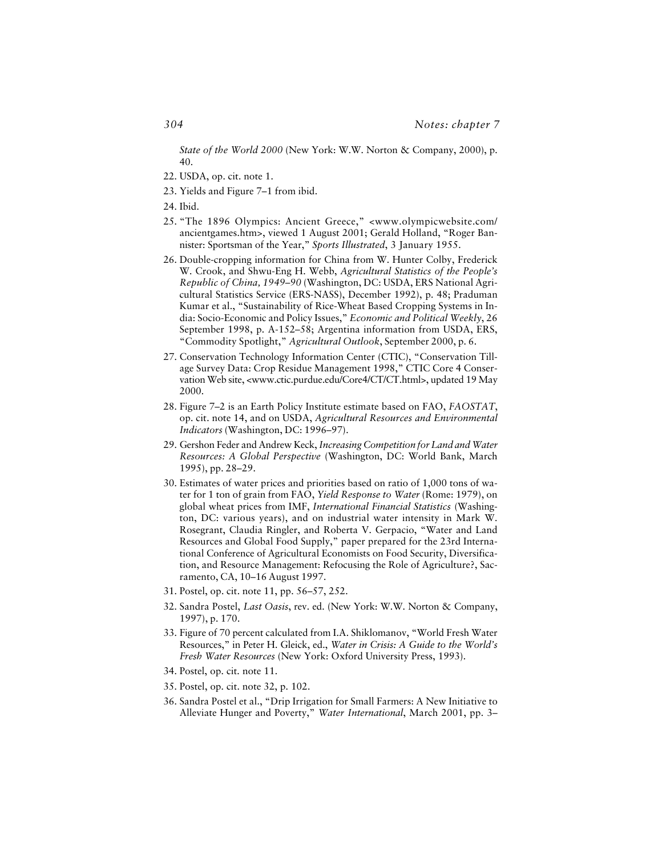*State of the World 2000* (New York: W.W. Norton & Company, 2000), p. 40.

- 22. USDA, op. cit. note 1.
- 23. Yields and Figure 7–1 from ibid.
- 24. Ibid.
- 25. "The 1896 Olympics: Ancient Greece," <www.olympicwebsite.com/ ancientgames.htm>, viewed 1 August 2001; Gerald Holland, "Roger Bannister: Sportsman of the Year," *Sports Illustrated*, 3 January 1955.
- 26. Double-cropping information for China from W. Hunter Colby, Frederick W. Crook, and Shwu-Eng H. Webb, *Agricultural Statistics of the People's Republic of China, 1949–90* (Washington, DC: USDA, ERS National Agricultural Statistics Service (ERS-NASS), December 1992), p. 48; Praduman Kumar et al., "Sustainability of Rice-Wheat Based Cropping Systems in India: Socio-Economic and Policy Issues," *Economic and Political Weekly*, 26 September 1998, p. A-152–58; Argentina information from USDA, ERS, "Commodity Spotlight," *Agricultural Outlook*, September 2000, p. 6.
- 27. Conservation Technology Information Center (CTIC), "Conservation Tillage Survey Data: Crop Residue Management 1998," CTIC Core 4 Conservation Web site, <www.ctic.purdue.edu/Core4/CT/CT.html>, updated 19 May 2000.
- 28. Figure 7–2 is an Earth Policy Institute estimate based on FAO, *FAOSTAT*, op. cit. note 14, and on USDA, *Agricultural Resources and Environmental Indicators* (Washington, DC: 1996–97).
- 29. Gershon Feder and Andrew Keck, *Increasing Competition for Land and Water Resources: A Global Perspective* (Washington, DC: World Bank, March 1995), pp. 28–29.
- 30. Estimates of water prices and priorities based on ratio of 1,000 tons of water for 1 ton of grain from FAO, *Yield Response to Water* (Rome: 1979), on global wheat prices from IMF, *International Financial Statistics* (Washington, DC: various years), and on industrial water intensity in Mark W. Rosegrant, Claudia Ringler, and Roberta V. Gerpacio, "Water and Land Resources and Global Food Supply," paper prepared for the 23rd International Conference of Agricultural Economists on Food Security, Diversification, and Resource Management: Refocusing the Role of Agriculture?, Sacramento, CA, 10–16 August 1997.
- 31. Postel, op. cit. note 11, pp. 56–57, 252.
- 32. Sandra Postel, *Last Oasis*, rev. ed. (New York: W.W. Norton & Company, 1997), p. 170.
- 33. Figure of 70 percent calculated from I.A. Shiklomanov, "World Fresh Water Resources," in Peter H. Gleick, ed., *Water in Crisis: A Guide to the World's Fresh Water Resources* (New York: Oxford University Press, 1993).
- 34. Postel, op. cit. note 11.
- 35. Postel, op. cit. note 32, p. 102.
- 36. Sandra Postel et al., "Drip Irrigation for Small Farmers: A New Initiative to Alleviate Hunger and Poverty," *Water International*, March 2001, pp. 3–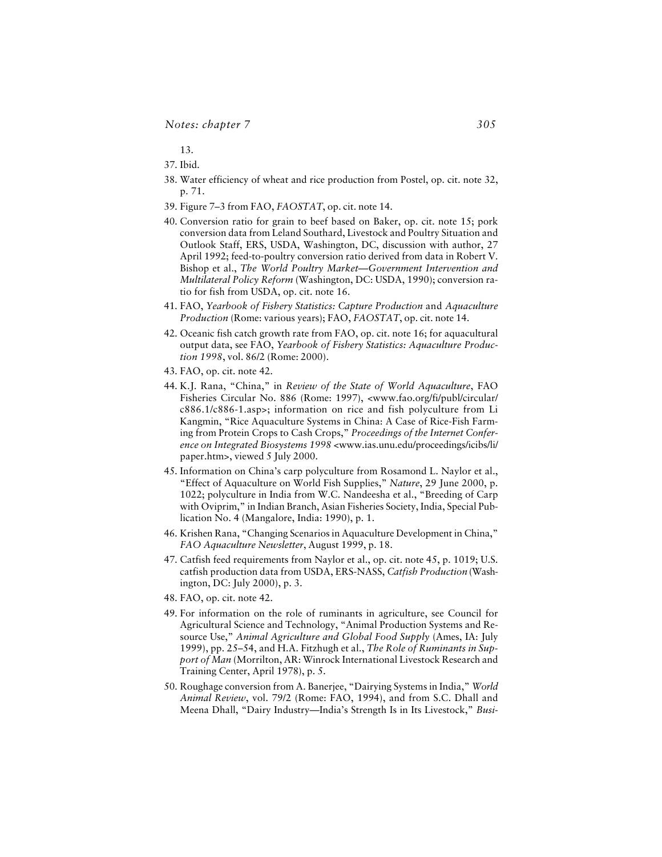13.

- 37. Ibid.
- 38. Water efficiency of wheat and rice production from Postel, op. cit. note 32, p. 71.
- 39. Figure 7–3 from FAO, *FAOSTAT*, op. cit. note 14.
- 40. Conversion ratio for grain to beef based on Baker, op. cit. note 15; pork conversion data from Leland Southard, Livestock and Poultry Situation and Outlook Staff, ERS, USDA, Washington, DC, discussion with author, 27 April 1992; feed-to-poultry conversion ratio derived from data in Robert V. Bishop et al., *The World Poultry Market—Government Intervention and Multilateral Policy Reform* (Washington, DC: USDA, 1990); conversion ratio for fish from USDA, op. cit. note 16.
- 41. FAO, *Yearbook of Fishery Statistics: Capture Production* and *Aquaculture Production* (Rome: various years); FAO, *FAOSTAT*, op. cit. note 14.
- 42. Oceanic fish catch growth rate from FAO, op. cit. note 16; for aquacultural output data, see FAO, *Yearbook of Fishery Statistics: Aquaculture Production 1998*, vol. 86/2 (Rome: 2000).
- 43. FAO, op. cit. note 42.
- 44. K.J. Rana, "China," in *Review of the State of World Aquaculture*, FAO Fisheries Circular No. 886 (Rome: 1997), <www.fao.org/fi/publ/circular/ c886.1/c886-1.asp>; information on rice and fish polyculture from Li Kangmin, "Rice Aquaculture Systems in China: A Case of Rice-Fish Farming from Protein Crops to Cash Crops," *Proceedings of the Internet Conference on Integrated Biosystems 1998* <www.ias.unu.edu/proceedings/icibs/li/ paper.htm>, viewed 5 July 2000.
- 45. Information on China's carp polyculture from Rosamond L. Naylor et al., "Effect of Aquaculture on World Fish Supplies," *Nature*, 29 June 2000, p. 1022; polyculture in India from W.C. Nandeesha et al., "Breeding of Carp with Oviprim," in Indian Branch, Asian Fisheries Society, India, Special Publication No. 4 (Mangalore, India: 1990), p. 1.
- 46. Krishen Rana, "Changing Scenarios in Aquaculture Development in China," *FAO Aquaculture Newsletter*, August 1999, p. 18.
- 47. Catfish feed requirements from Naylor et al., op. cit. note 45, p. 1019; U.S. catfish production data from USDA, ERS-NASS, *Catfish Production* (Washington, DC: July 2000), p. 3.
- 48. FAO, op. cit. note 42.
- 49. For information on the role of ruminants in agriculture, see Council for Agricultural Science and Technology, "Animal Production Systems and Resource Use," *Animal Agriculture and Global Food Supply* (Ames, IA: July 1999), pp. 25–54, and H.A. Fitzhugh et al., *The Role of Ruminants in Support of Man* (Morrilton, AR: Winrock International Livestock Research and Training Center, April 1978), p. 5.
- 50. Roughage conversion from A. Banerjee, "Dairying Systems in India," *World Animal Review*, vol. 79/2 (Rome: FAO, 1994), and from S.C. Dhall and Meena Dhall, "Dairy Industry—India's Strength Is in Its Livestock," *Busi-*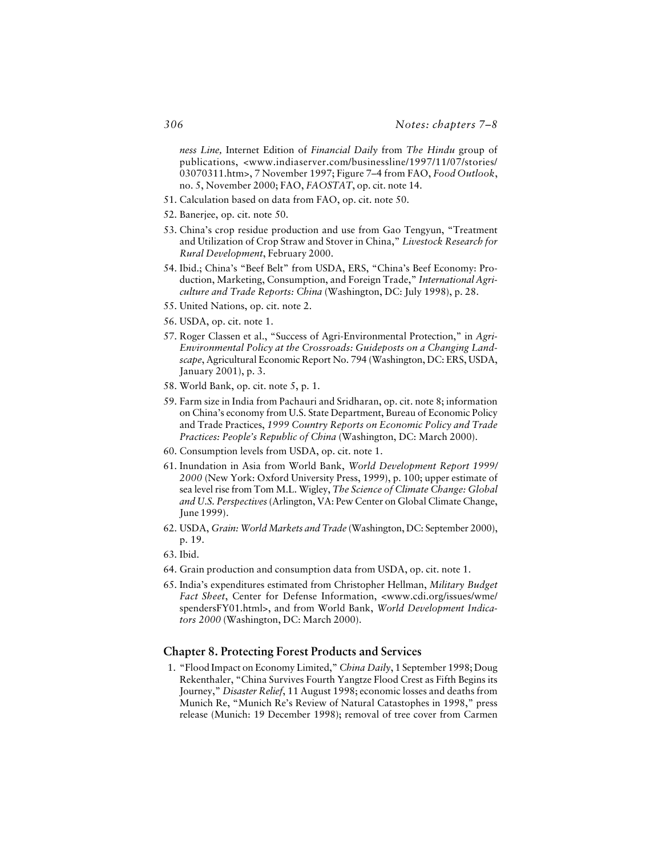*ness Line,* Internet Edition of *Financial Daily* from *The Hindu* group of publications, <www.indiaserver.com/businessline/1997/11/07/stories/ 03070311.htm>, 7 November 1997; Figure 7–4 from FAO, *Food Outlook*, no. 5, November 2000; FAO, *FAOSTAT*, op. cit. note 14.

- 51. Calculation based on data from FAO, op. cit. note 50.
- 52. Banerjee, op. cit. note 50.
- 53. China's crop residue production and use from Gao Tengyun, "Treatment and Utilization of Crop Straw and Stover in China," *Livestock Research for Rural Development*, February 2000.
- 54. Ibid.; China's "Beef Belt" from USDA, ERS, "China's Beef Economy: Production, Marketing, Consumption, and Foreign Trade," *International Agriculture and Trade Reports: China* (Washington, DC: July 1998), p. 28.
- 55. United Nations, op. cit. note 2.
- 56. USDA, op. cit. note 1.
- 57. Roger Classen et al., "Success of Agri-Environmental Protection," in *Agri-Environmental Policy at the Crossroads: Guideposts on a Changing Landscape*, Agricultural Economic Report No. 794 (Washington, DC: ERS, USDA, January 2001), p. 3.
- 58. World Bank, op. cit. note 5, p. 1.
- 59. Farm size in India from Pachauri and Sridharan, op. cit. note 8; information on China's economy from U.S. State Department, Bureau of Economic Policy and Trade Practices, *1999 Country Reports on Economic Policy and Trade Practices: People's Republic of China* (Washington, DC: March 2000).
- 60. Consumption levels from USDA, op. cit. note 1.
- 61. Inundation in Asia from World Bank, *World Development Report 1999/ 2000* (New York: Oxford University Press, 1999), p. 100; upper estimate of sea level rise from Tom M.L. Wigley, *The Science of Climate Change: Global and U.S. Perspectives* (Arlington, VA: Pew Center on Global Climate Change, June 1999).
- 62. USDA, *Grain: World Markets and Trade* (Washington, DC: September 2000), p. 19.
- 63. Ibid.
- 64. Grain production and consumption data from USDA, op. cit. note 1.
- 65. India's expenditures estimated from Christopher Hellman, *Military Budget Fact Sheet*, Center for Defense Information, <www.cdi.org/issues/wme/ spendersFY01.html>, and from World Bank, *World Development Indicators 2000* (Washington, DC: March 2000).

## **Chapter 8. Protecting Forest Products and Services**

1. "Flood Impact on Economy Limited," *China Daily*, 1 September 1998; Doug Rekenthaler, "China Survives Fourth Yangtze Flood Crest as Fifth Begins its Journey," *Disaster Relief*, 11 August 1998; economic losses and deaths from Munich Re, "Munich Re's Review of Natural Catastophes in 1998," press release (Munich: 19 December 1998); removal of tree cover from Carmen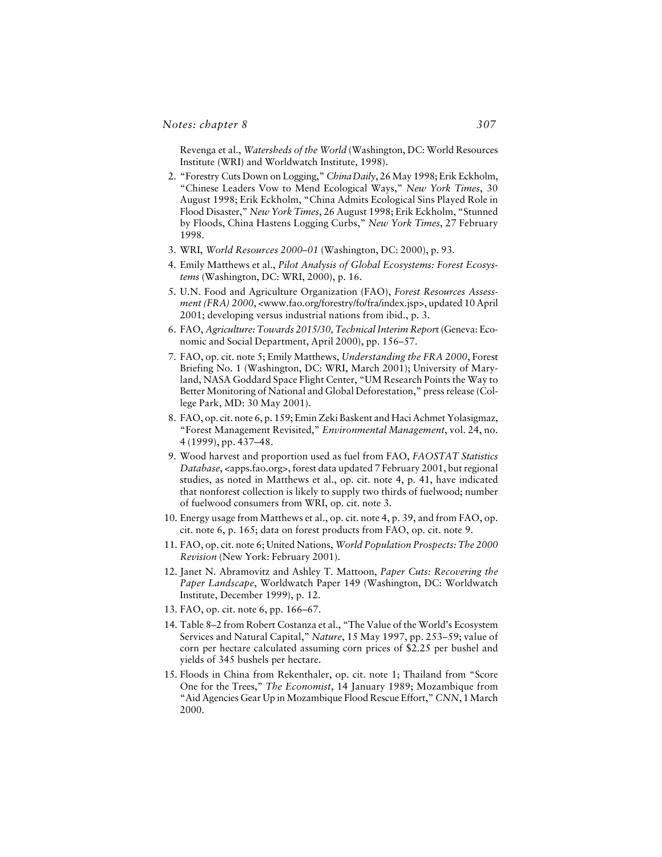#### *Notes: chapter 8*

Revenga et al., *Watersheds of the World* (Washington, DC: World Resources Institute (WRI) and Worldwatch Institute, 1998).

- 2. "Forestry Cuts Down on Logging," *China Daily*, 26 May 1998; Erik Eckholm, "Chinese Leaders Vow to Mend Ecological Ways," *New York Times*, 30 August 1998; Erik Eckholm, "China Admits Ecological Sins Played Role in Flood Disaster," *New York Times*, 26 August 1998; Erik Eckholm, "Stunned by Floods, China Hastens Logging Curbs," *New York Times*, 27 February 1998.
- 3. WRI, *World Resources 2000–01* (Washington, DC: 2000), p. 93.
- 4. Emily Matthews et al., *Pilot Analysis of Global Ecosystems: Forest Ecosystems* (Washington, DC: WRI, 2000), p. 16.
- 5. U.N. Food and Agriculture Organization (FAO), *Forest Resources Assessment (FRA) 2000*, <www.fao.org/forestry/fo/fra/index.jsp>, updated 10 April 2001; developing versus industrial nations from ibid., p. 3.
- 6. FAO, *Agriculture: Towards 2015/30, Technical Interim Repor*t (Geneva: Economic and Social Department, April 2000), pp. 156–57.
- 7. FAO, op. cit. note 5; Emily Matthews, *Understanding the FRA 2000*, Forest Briefing No. 1 (Washington, DC: WRI, March 2001); University of Maryland, NASA Goddard Space Flight Center, "UM Research Points the Way to Better Monitoring of National and Global Deforestation," press release (College Park, MD: 30 May 2001).
- 8. FAO, op. cit. note 6, p. 159; Emin Zeki Baskent and Haci Achmet Yolasigmaz, "Forest Management Revisited," *Environmental Management*, vol. 24, no. 4 (1999), pp. 437–48.
- 9. Wood harvest and proportion used as fuel from FAO, *FAOSTAT Statistics Database*, <apps.fao.org>, forest data updated 7 February 2001, but regional studies, as noted in Matthews et al., op. cit. note 4, p. 41, have indicated that nonforest collection is likely to supply two thirds of fuelwood; number of fuelwood consumers from WRI, op. cit. note 3.
- 10. Energy usage from Matthews et al., op. cit. note 4, p. 39, and from FAO, op. cit. note 6, p. 165; data on forest products from FAO, op. cit. note 9.
- 11. FAO, op. cit. note 6; United Nations, *World Population Prospects: The 2000 Revision* (New York: February 2001).
- 12. Janet N. Abramovitz and Ashley T. Mattoon, *Paper Cuts: Recovering the Paper Landscape*, Worldwatch Paper 149 (Washington, DC: Worldwatch Institute, December 1999), p. 12.
- 13. FAO, op. cit. note 6, pp. 166–67.
- 14. Table 8–2 from Robert Costanza et al., "The Value of the World's Ecosystem Services and Natural Capital," *Nature*, 15 May 1997, pp. 253–59; value of corn per hectare calculated assuming corn prices of \$2.25 per bushel and yields of 345 bushels per hectare.
- 15. Floods in China from Rekenthaler, op. cit. note 1; Thailand from "Score One for the Trees," *The Economist*, 14 January 1989; Mozambique from "Aid Agencies Gear Up in Mozambique Flood Rescue Effort," *CNN*, 1 March 2000.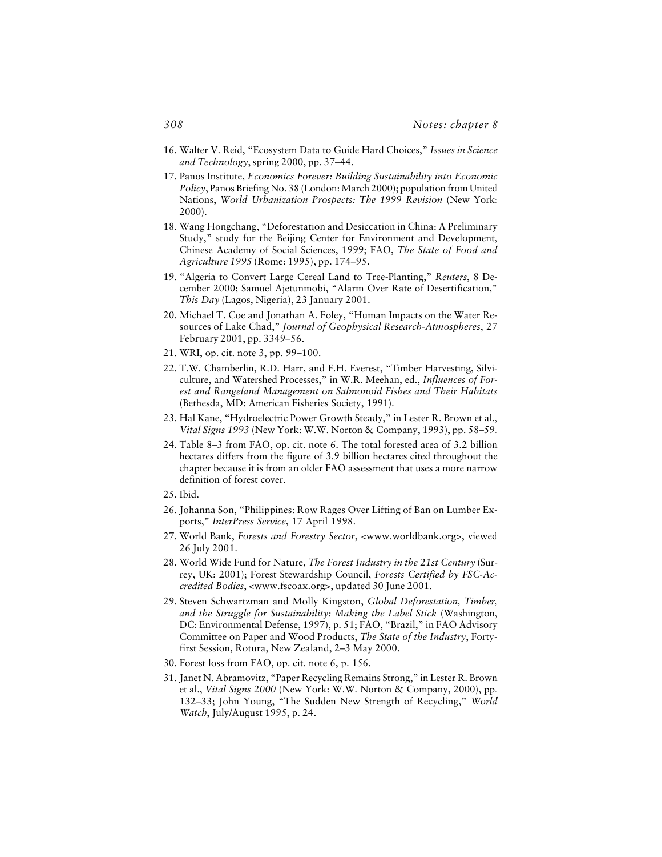- 16. Walter V. Reid, "Ecosystem Data to Guide Hard Choices," *Issues in Science and Technology*, spring 2000, pp. 37–44.
- 17. Panos Institute, *Economics Forever: Building Sustainability into Economic Policy*, Panos Briefing No. 38 (London: March 2000); population from United Nations, *World Urbanization Prospects: The 1999 Revision* (New York: 2000).
- 18. Wang Hongchang, "Deforestation and Desiccation in China: A Preliminary Study," study for the Beijing Center for Environment and Development, Chinese Academy of Social Sciences, 1999; FAO, *The State of Food and Agriculture 1995* (Rome: 1995), pp. 174–95.
- 19. "Algeria to Convert Large Cereal Land to Tree-Planting," *Reuters*, 8 December 2000; Samuel Ajetunmobi, "Alarm Over Rate of Desertification," *This Day* (Lagos, Nigeria), 23 January 2001.
- 20. Michael T. Coe and Jonathan A. Foley, "Human Impacts on the Water Resources of Lake Chad," *Journal of Geophysical Research-Atmospheres*, 27 February 2001, pp. 3349–56.
- 21. WRI, op. cit. note 3, pp. 99–100.
- 22. T.W. Chamberlin, R.D. Harr, and F.H. Everest, "Timber Harvesting, Silviculture, and Watershed Processes," in W.R. Meehan, ed., *Influences of Forest and Rangeland Management on Salmonoid Fishes and Their Habitats* (Bethesda, MD: American Fisheries Society, 1991).
- 23. Hal Kane, "Hydroelectric Power Growth Steady," in Lester R. Brown et al., *Vital Signs 1993* (New York: W.W. Norton & Company, 1993), pp. 58–59.
- 24. Table 8–3 from FAO, op. cit. note 6. The total forested area of 3.2 billion hectares differs from the figure of 3.9 billion hectares cited throughout the chapter because it is from an older FAO assessment that uses a more narrow definition of forest cover.
- 25. Ibid.
- 26. Johanna Son, "Philippines: Row Rages Over Lifting of Ban on Lumber Exports," *InterPress Service*, 17 April 1998.
- 27. World Bank, *Forests and Forestry Sector*, <www.worldbank.org>, viewed 26 July 2001.
- 28. World Wide Fund for Nature, *The Forest Industry in the 21st Century* (Surrey, UK: 2001); Forest Stewardship Council, *Forests Certified by FSC-Accredited Bodies*, <www.fscoax.org>, updated 30 June 2001.
- 29. Steven Schwartzman and Molly Kingston, *Global Deforestation, Timber, and the Struggle for Sustainability: Making the Label Stick* (Washington, DC: Environmental Defense, 1997), p. 51; FAO, "Brazil," in FAO Advisory Committee on Paper and Wood Products, *The State of the Industry*, Fortyfirst Session, Rotura, New Zealand, 2–3 May 2000.
- 30. Forest loss from FAO, op. cit. note 6, p. 156.
- 31. Janet N. Abramovitz, "Paper Recycling Remains Strong," in Lester R. Brown et al., *Vital Signs 2000* (New York: W.W. Norton & Company, 2000), pp. 132–33; John Young, "The Sudden New Strength of Recycling," *World Watch*, July/August 1995, p. 24.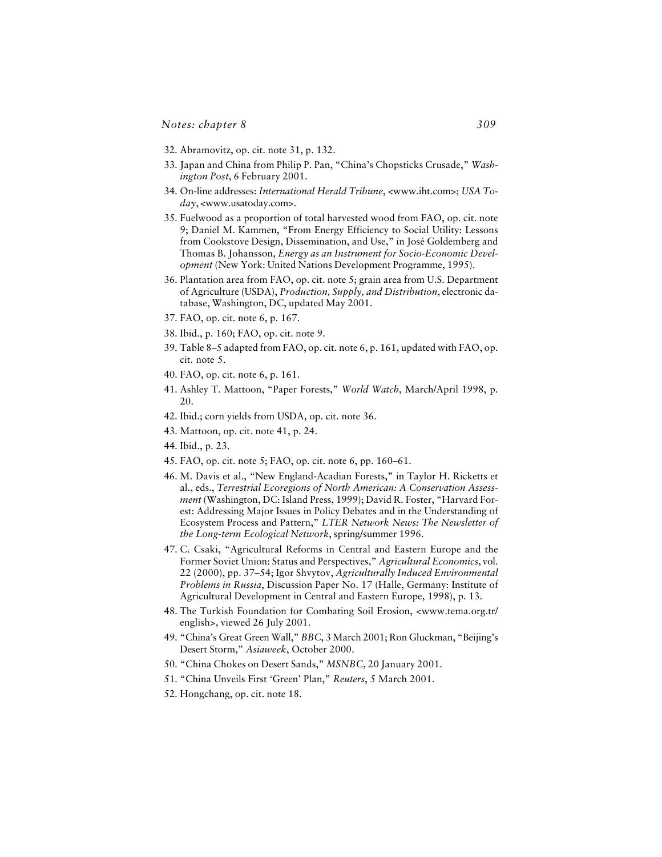- 32. Abramovitz, op. cit. note 31, p. 132.
- 33. Japan and China from Philip P. Pan, "China's Chopsticks Crusade," *Washington Post*, 6 February 2001.
- 34. On-line addresses: *International Herald Tribune*, <www.iht.com>; *USA Today*, <www.usatoday.com>.
- 35. Fuelwood as a proportion of total harvested wood from FAO, op. cit. note 9; Daniel M. Kammen, "From Energy Efficiency to Social Utility: Lessons from Cookstove Design, Dissemination, and Use," in José Goldemberg and Thomas B. Johansson, *Energy as an Instrument for Socio-Economic Development* (New York: United Nations Development Programme, 1995).
- 36. Plantation area from FAO, op. cit. note 5; grain area from U.S. Department of Agriculture (USDA), *Production, Supply, and Distribution*, electronic database, Washington, DC, updated May 2001.
- 37. FAO, op. cit. note 6, p. 167.
- 38. Ibid., p. 160; FAO, op. cit. note 9.
- 39. Table 8–5 adapted from FAO, op. cit. note 6, p. 161, updated with FAO, op. cit. note 5.
- 40. FAO, op. cit. note 6, p. 161.
- 41. Ashley T. Mattoon, "Paper Forests," *World Watch*, March/April 1998, p. 20.
- 42. Ibid.; corn yields from USDA, op. cit. note 36.
- 43. Mattoon, op. cit. note 41, p. 24.
- 44. Ibid., p. 23.
- 45. FAO, op. cit. note 5; FAO, op. cit. note 6, pp. 160–61.
- 46. M. Davis et al., "New England-Acadian Forests," in Taylor H. Ricketts et al., eds., *Terrestrial Ecoregions of North American: A Conservation Assessment* (Washington, DC: Island Press, 1999); David R. Foster, "Harvard Forest: Addressing Major Issues in Policy Debates and in the Understanding of Ecosystem Process and Pattern," *LTER Network News: The Newsletter of the Long-term Ecological Network*, spring/summer 1996.
- 47. C. Csaki, "Agricultural Reforms in Central and Eastern Europe and the Former Soviet Union: Status and Perspectives," *Agricultural Economics*, vol. 22 (2000), pp. 37–54; Igor Shvytov, *Agriculturally Induced Environmental Problems in Russia*, Discussion Paper No. 17 (Halle, Germany: Institute of Agricultural Development in Central and Eastern Europe, 1998), p. 13.
- 48. The Turkish Foundation for Combating Soil Erosion, <www.tema.org.tr/ english>, viewed 26 July 2001.
- 49. "China's Great Green Wall," *BBC*, 3 March 2001; Ron Gluckman, "Beijing's Desert Storm," *Asiaweek*, October 2000.
- 50. "China Chokes on Desert Sands," *MSNBC*, 20 January 2001.
- 51. "China Unveils First 'Green' Plan," *Reuters*, 5 March 2001.
- 52. Hongchang, op. cit. note 18.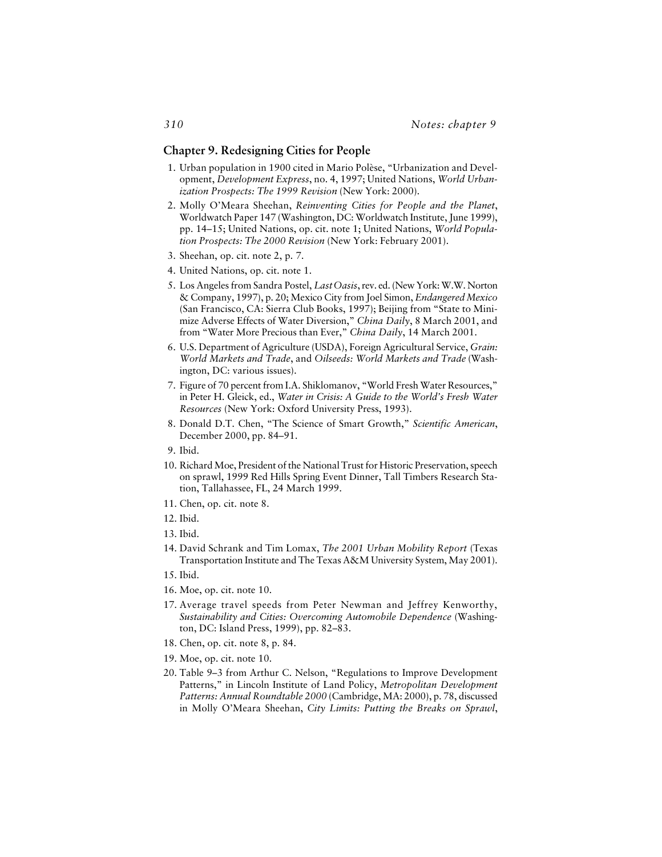#### **Chapter 9. Redesigning Cities for People**

- 1. Urban population in 1900 cited in Mario Polèse, "Urbanization and Development, *Development Express*, no. 4, 1997; United Nations, *World Urbanization Prospects: The 1999 Revision* (New York: 2000).
- 2. Molly O'Meara Sheehan, *Reinventing Cities for People and the Planet*, Worldwatch Paper 147 (Washington, DC: Worldwatch Institute, June 1999), pp. 14–15; United Nations, op. cit. note 1; United Nations, *World Population Prospects: The 2000 Revision* (New York: February 2001).
- 3. Sheehan, op. cit. note 2, p. 7.
- 4. United Nations, op. cit. note 1.
- 5. Los Angeles from Sandra Postel, *Last Oasis*, rev. ed. (New York: W.W. Norton & Company, 1997), p. 20; Mexico City from Joel Simon, *Endangered Mexico* (San Francisco, CA: Sierra Club Books, 1997); Beijing from "State to Minimize Adverse Effects of Water Diversion," *China Daily*, 8 March 2001, and from "Water More Precious than Ever," *China Daily*, 14 March 2001.
- 6. U.S. Department of Agriculture (USDA), Foreign Agricultural Service, *Grain: World Markets and Trade*, and *Oilseeds: World Markets and Trade* (Washington, DC: various issues).
- 7. Figure of 70 percent from I.A. Shiklomanov, "World Fresh Water Resources," in Peter H. Gleick, ed., *Water in Crisis: A Guide to the World's Fresh Water Resources* (New York: Oxford University Press, 1993).
- 8. Donald D.T. Chen, "The Science of Smart Growth," *Scientific American*, December 2000, pp. 84–91.
- 9. Ibid.
- 10. Richard Moe, President of the National Trust for Historic Preservation, speech on sprawl, 1999 Red Hills Spring Event Dinner, Tall Timbers Research Station, Tallahassee, FL, 24 March 1999.
- 11. Chen, op. cit. note 8.
- 12. Ibid.
- 13. Ibid.
- 14. David Schrank and Tim Lomax, *The 2001 Urban Mobility Report* (Texas Transportation Institute and The Texas A&M University System, May 2001).
- 15. Ibid.
- 16. Moe, op. cit. note 10.
- 17. Average travel speeds from Peter Newman and Jeffrey Kenworthy, *Sustainability and Cities: Overcoming Automobile Dependence* (Washington, DC: Island Press, 1999), pp. 82–83.
- 18. Chen, op. cit. note 8, p. 84.
- 19. Moe, op. cit. note 10.
- 20. Table 9–3 from Arthur C. Nelson, "Regulations to Improve Development Patterns," in Lincoln Institute of Land Policy, *Metropolitan Development Patterns: Annual Roundtable 2000* (Cambridge, MA: 2000), p. 78, discussed in Molly O'Meara Sheehan, *City Limits: Putting the Breaks on Sprawl*,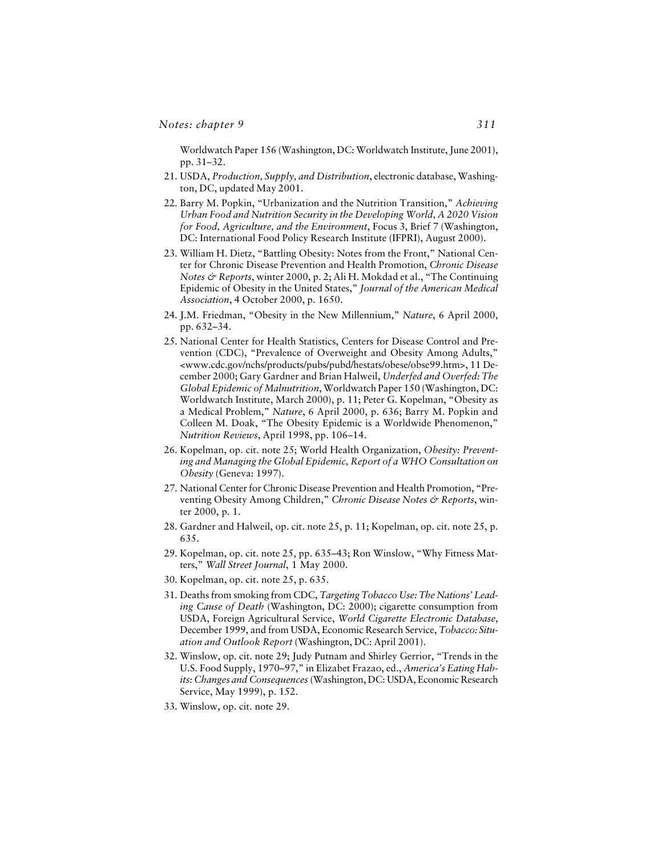Worldwatch Paper 156 (Washington, DC: Worldwatch Institute, June 2001), pp. 31–32.

- 21. USDA, *Production, Supply, and Distribution*, electronic database, Washington, DC, updated May 2001.
- 22. Barry M. Popkin, "Urbanization and the Nutrition Transition," *Achieving Urban Food and Nutrition Security in the Developing World, A 2020 Vision for Food, Agriculture, and the Environment*, Focus 3, Brief 7 (Washington, DC: International Food Policy Research Institute (IFPRI), August 2000).
- 23. William H. Dietz, "Battling Obesity: Notes from the Front," National Center for Chronic Disease Prevention and Health Promotion, *Chronic Disease Notes & Reports*, winter 2000, p. 2; Ali H. Mokdad et al., "The Continuing Epidemic of Obesity in the United States," *Journal of the American Medical Association*, 4 October 2000, p. 1650.
- 24. J.M. Friedman, "Obesity in the New Millennium," *Nature*, 6 April 2000, pp. 632–34.
- 25. National Center for Health Statistics, Centers for Disease Control and Prevention (CDC), "Prevalence of Overweight and Obesity Among Adults," <www.cdc.gov/nchs/products/pubs/pubd/hestats/obese/obse99.htm>, 11 December 2000; Gary Gardner and Brian Halweil, *Underfed and Overfed: The Global Epidemic of Malnutrition*, Worldwatch Paper 150 (Washington, DC: Worldwatch Institute, March 2000), p. 11; Peter G. Kopelman, "Obesity as a Medical Problem," *Nature*, 6 April 2000, p. 636; Barry M. Popkin and Colleen M. Doak, "The Obesity Epidemic is a Worldwide Phenomenon," *Nutrition Reviews*, April 1998, pp. 106–14.
- 26. Kopelman, op. cit. note 25; World Health Organization, *Obesity: Preventing and Managing the Global Epidemic, Report of a WHO Consultation on Obesity* (Geneva: 1997).
- 27. National Center for Chronic Disease Prevention and Health Promotion, "Preventing Obesity Among Children," Chronic Disease Notes & Reports, winter 2000, p. 1.
- 28. Gardner and Halweil, op. cit. note 25, p. 11; Kopelman, op. cit. note 25, p. 635.
- 29. Kopelman, op. cit. note 25, pp. 635–43; Ron Winslow, "Why Fitness Matters," *Wall Street Journal*, 1 May 2000.
- 30. Kopelman, op. cit. note 25, p. 635.
- 31. Deaths from smoking from CDC, *Targeting Tobacco Use: The Nations' Leading Cause of Death* (Washington, DC: 2000); cigarette consumption from USDA, Foreign Agricultural Service, *World Cigarette Electronic Database*, December 1999, and from USDA, Economic Research Service, *Tobacco: Situation and Outlook Report* (Washington, DC: April 2001).
- 32. Winslow, op. cit. note 29; Judy Putnam and Shirley Gerrior, "Trends in the U.S. Food Supply, 1970–97," in Elizabet Frazao, ed., *America's Eating Habits: Changes and Consequences* (Washington, DC: USDA, Economic Research Service, May 1999), p. 152.
- 33. Winslow, op. cit. note 29.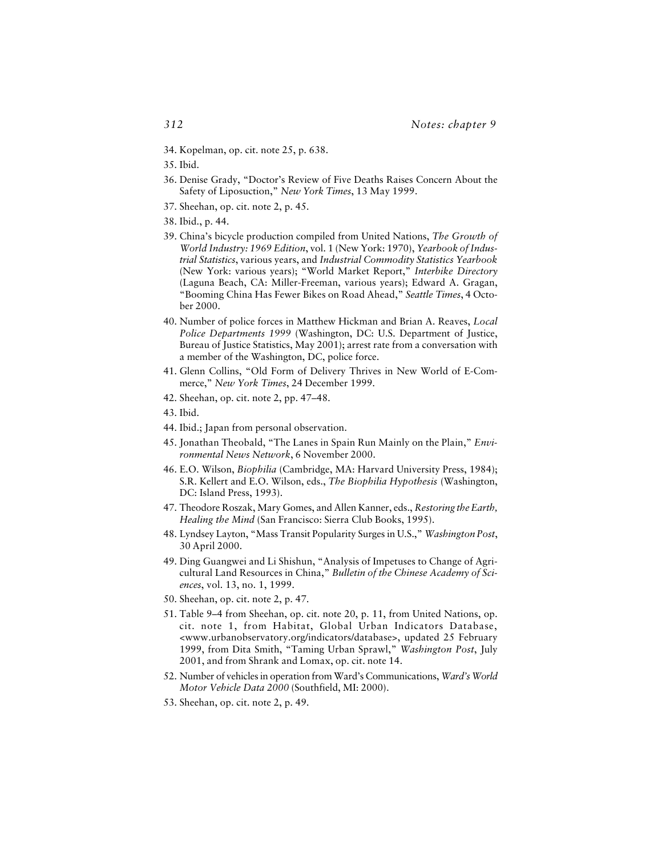- 34. Kopelman, op. cit. note 25, p. 638.
- 35. Ibid.
- 36. Denise Grady, "Doctor's Review of Five Deaths Raises Concern About the Safety of Liposuction," *New York Times*, 13 May 1999.
- 37. Sheehan, op. cit. note 2, p. 45.
- 38. Ibid., p. 44.
- 39. China's bicycle production compiled from United Nations, *The Growth of World Industry: 1969 Edition*, vol. 1 (New York: 1970), *Yearbook of Industrial Statistics*, various years, and *Industrial Commodity Statistics Yearbook* (New York: various years); "World Market Report," *Interbike Directory* (Laguna Beach, CA: Miller-Freeman, various years); Edward A. Gragan, "Booming China Has Fewer Bikes on Road Ahead," *Seattle Times*, 4 October 2000.
- 40. Number of police forces in Matthew Hickman and Brian A. Reaves, *Local Police Departments 1999* (Washington, DC: U.S. Department of Justice, Bureau of Justice Statistics, May 2001); arrest rate from a conversation with a member of the Washington, DC, police force.
- 41. Glenn Collins, "Old Form of Delivery Thrives in New World of E-Commerce," *New York Times*, 24 December 1999.
- 42. Sheehan, op. cit. note 2, pp. 47–48.
- 43. Ibid.
- 44. Ibid.; Japan from personal observation.
- 45. Jonathan Theobald, "The Lanes in Spain Run Mainly on the Plain," *Environmental News Network*, 6 November 2000.
- 46. E.O. Wilson, *Biophilia* (Cambridge, MA: Harvard University Press, 1984); S.R. Kellert and E.O. Wilson, eds., *The Biophilia Hypothesis* (Washington, DC: Island Press, 1993).
- 47. Theodore Roszak, Mary Gomes, and Allen Kanner, eds., *Restoring the Earth, Healing the Mind* (San Francisco: Sierra Club Books, 1995).
- 48. Lyndsey Layton, "Mass Transit Popularity Surges in U.S.," *Washington Post*, 30 April 2000.
- 49. Ding Guangwei and Li Shishun, "Analysis of Impetuses to Change of Agricultural Land Resources in China," *Bulletin of the Chinese Academy of Sciences*, vol. 13, no. 1, 1999.
- 50. Sheehan, op. cit. note 2, p. 47.
- 51. Table 9–4 from Sheehan, op. cit. note 20, p. 11, from United Nations, op. cit. note 1, from Habitat, Global Urban Indicators Database, <www.urbanobservatory.org/indicators/database>, updated 25 February 1999, from Dita Smith, "Taming Urban Sprawl," *Washington Post*, July 2001, and from Shrank and Lomax, op. cit. note 14.
- 52. Number of vehicles in operation from Ward's Communications, *Ward's World Motor Vehicle Data 2000* (Southfield, MI: 2000).
- 53. Sheehan, op. cit. note 2, p. 49.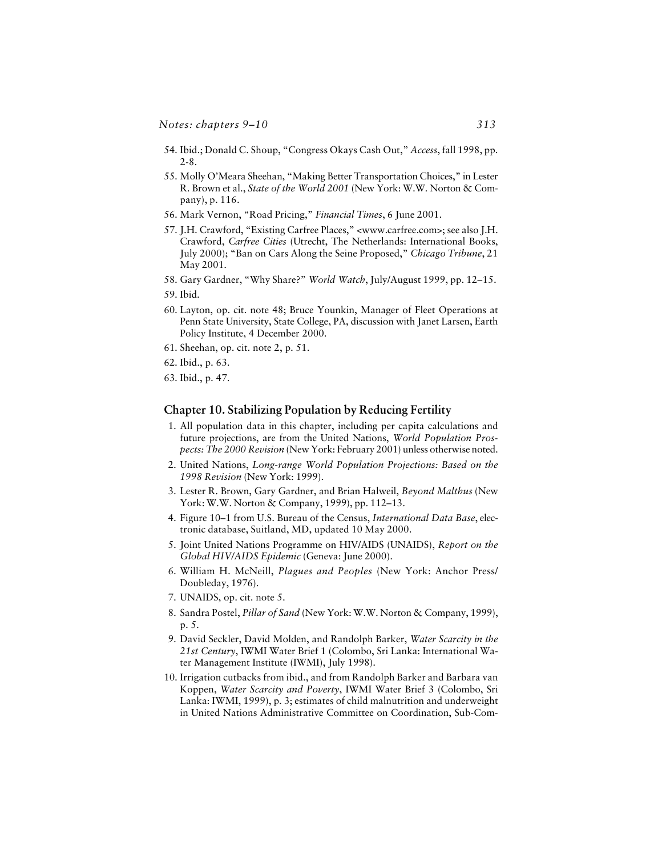- 54. Ibid.; Donald C. Shoup, "Congress Okays Cash Out," *Access*, fall 1998, pp. 2-8.
- 55. Molly O'Meara Sheehan, "Making Better Transportation Choices," in Lester R. Brown et al., *State of the World 2001* (New York: W.W. Norton & Company), p. 116.
- 56. Mark Vernon, "Road Pricing," *Financial Times*, 6 June 2001.
- 57. J.H. Crawford, "Existing Carfree Places," <www.carfree.com>; see also J.H. Crawford, *Carfree Cities* (Utrecht, The Netherlands: International Books, July 2000); "Ban on Cars Along the Seine Proposed," *Chicago Tribune*, 21 May 2001.
- 58. Gary Gardner, "Why Share?" *World Watch*, July/August 1999, pp. 12–15.
- 59. Ibid.
- 60. Layton, op. cit. note 48; Bruce Younkin, Manager of Fleet Operations at Penn State University, State College, PA, discussion with Janet Larsen, Earth Policy Institute, 4 December 2000.
- 61. Sheehan, op. cit. note 2, p. 51.
- 62. Ibid., p. 63.
- 63. Ibid., p. 47.

## **Chapter 10. Stabilizing Population by Reducing Fertility**

- 1. All population data in this chapter, including per capita calculations and future projections, are from the United Nations, *World Population Prospects: The 2000 Revision* (New York: February 2001) unless otherwise noted.
- 2. United Nations, *Long-range World Population Projections: Based on the 1998 Revision* (New York: 1999).
- 3. Lester R. Brown, Gary Gardner, and Brian Halweil, *Beyond Malthus* (New York: W.W. Norton & Company, 1999), pp. 112–13.
- 4. Figure 10–1 from U.S. Bureau of the Census, *International Data Base*, electronic database, Suitland, MD, updated 10 May 2000.
- 5. Joint United Nations Programme on HIV/AIDS (UNAIDS), *Report on the Global HIV/AIDS Epidemic* (Geneva: June 2000).
- 6. William H. McNeill, *Plagues and Peoples* (New York: Anchor Press/ Doubleday, 1976).
- 7. UNAIDS, op. cit. note 5.
- 8. Sandra Postel, *Pillar of Sand* (New York: W.W. Norton & Company, 1999), p. 5.
- 9. David Seckler, David Molden, and Randolph Barker, *Water Scarcity in the 21st Century*, IWMI Water Brief 1 (Colombo, Sri Lanka: International Water Management Institute (IWMI), July 1998).
- 10. Irrigation cutbacks from ibid., and from Randolph Barker and Barbara van Koppen, *Water Scarcity and Poverty*, IWMI Water Brief 3 (Colombo, Sri Lanka: IWMI, 1999), p. 3; estimates of child malnutrition and underweight in United Nations Administrative Committee on Coordination, Sub-Com-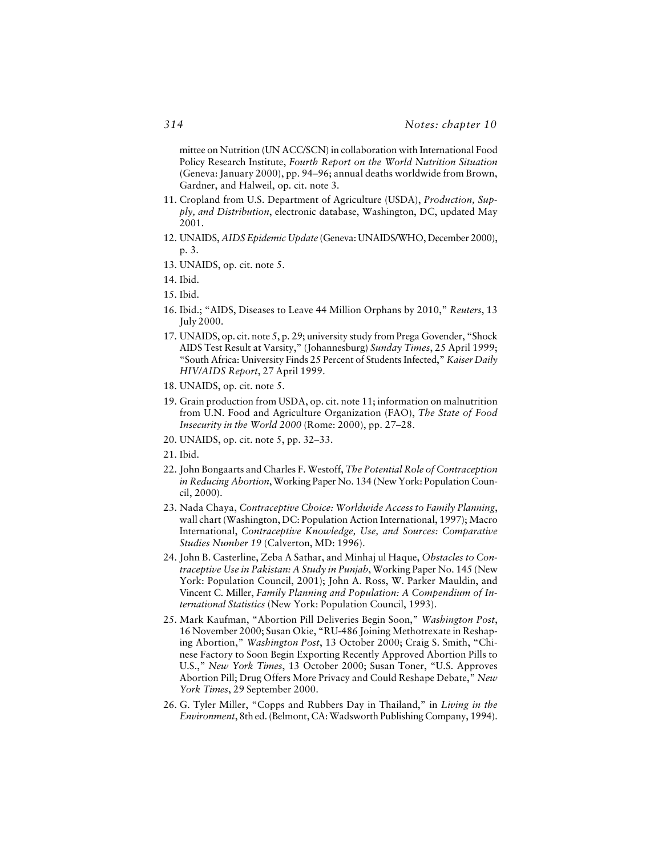mittee on Nutrition (UN ACC/SCN) in collaboration with International Food Policy Research Institute, *Fourth Report on the World Nutrition Situation* (Geneva: January 2000), pp. 94–96; annual deaths worldwide from Brown, Gardner, and Halweil, op. cit. note 3.

- 11. Cropland from U.S. Department of Agriculture (USDA), *Production, Supply, and Distribution*, electronic database, Washington, DC, updated May 2001.
- 12. UNAIDS, *AIDS Epidemic Update* (Geneva: UNAIDS/WHO, December 2000), p. 3.
- 13. UNAIDS, op. cit. note 5.
- 14. Ibid.
- 15. Ibid.
- 16. Ibid.; "AIDS, Diseases to Leave 44 Million Orphans by 2010," *Reuters*, 13 July 2000.
- 17. UNAIDS, op. cit. note 5, p. 29; university study from Prega Govender, "Shock AIDS Test Result at Varsity," (Johannesburg) *Sunday Times*, 25 April 1999; "South Africa: University Finds 25 Percent of Students Infected," *Kaiser Daily HIV/AIDS Report*, 27 April 1999.
- 18. UNAIDS, op. cit. note 5.
- 19. Grain production from USDA, op. cit. note 11; information on malnutrition from U.N. Food and Agriculture Organization (FAO), *The State of Food Insecurity in the World 2000* (Rome: 2000), pp. 27–28.
- 20. UNAIDS, op. cit. note 5, pp. 32–33.
- 21. Ibid.
- 22. John Bongaarts and Charles F. Westoff, *The Potential Role of Contraception in Reducing Abortion*, Working Paper No. 134 (New York: Population Council, 2000).
- 23. Nada Chaya, *Contraceptive Choice: Worldwide Access to Family Planning*, wall chart (Washington, DC: Population Action International, 1997); Macro International, *Contraceptive Knowledge, Use, and Sources: Comparative Studies Number 19* (Calverton, MD: 1996).
- 24. John B. Casterline, Zeba A Sathar, and Minhaj ul Haque, *Obstacles to Contraceptive Use in Pakistan: A Study in Punjab*, Working Paper No. 145 (New York: Population Council, 2001); John A. Ross, W. Parker Mauldin, and Vincent C. Miller, *Family Planning and Population: A Compendium of International Statistics* (New York: Population Council, 1993).
- 25. Mark Kaufman, "Abortion Pill Deliveries Begin Soon," *Washington Post*, 16 November 2000; Susan Okie, "RU-486 Joining Methotrexate in Reshaping Abortion," *Washington Post*, 13 October 2000; Craig S. Smith, "Chinese Factory to Soon Begin Exporting Recently Approved Abortion Pills to U.S.," *New York Times*, 13 October 2000; Susan Toner, "U.S. Approves Abortion Pill; Drug Offers More Privacy and Could Reshape Debate," *New York Times*, 29 September 2000.
- 26. G. Tyler Miller, "Copps and Rubbers Day in Thailand," in *Living in the Environment*, 8th ed. (Belmont, CA: Wadsworth Publishing Company, 1994).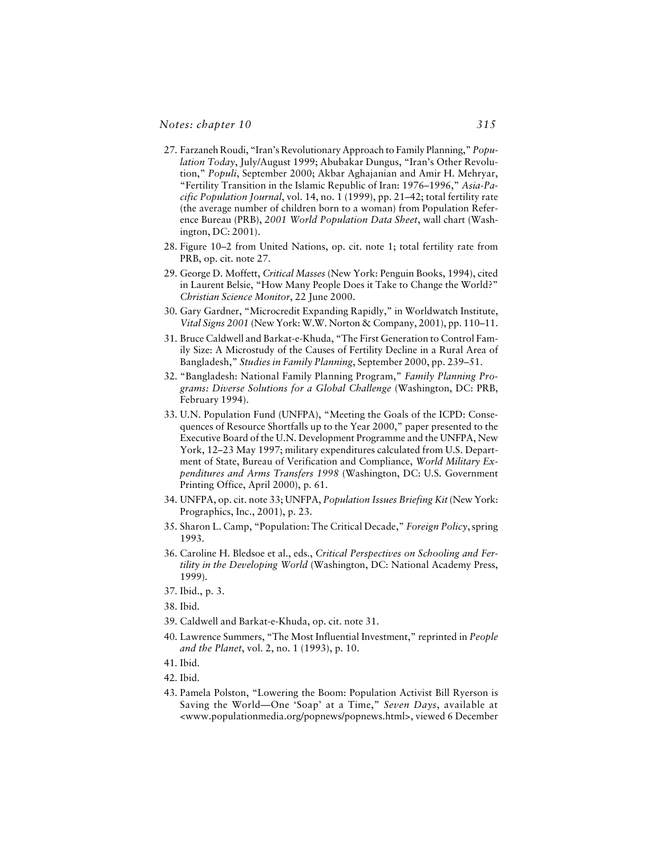- 27. Farzaneh Roudi, "Iran's Revolutionary Approach to Family Planning," *Population Today*, July/August 1999; Abubakar Dungus, "Iran's Other Revolution," *Populi*, September 2000; Akbar Aghajanian and Amir H. Mehryar, "Fertility Transition in the Islamic Republic of Iran: 1976–1996," *Asia-Pacific Population Journal*, vol. 14, no. 1 (1999), pp. 21–42; total fertility rate (the average number of children born to a woman) from Population Reference Bureau (PRB), *2001 World Population Data Sheet*, wall chart (Washington, DC: 2001).
- 28. Figure 10–2 from United Nations, op. cit. note 1; total fertility rate from PRB, op. cit. note 27.
- 29. George D. Moffett, *Critical Masses* (New York: Penguin Books, 1994), cited in Laurent Belsie, "How Many People Does it Take to Change the World?" *Christian Science Monitor*, 22 June 2000.
- 30. Gary Gardner, "Microcredit Expanding Rapidly," in Worldwatch Institute, *Vital Signs 2001* (New York: W.W. Norton & Company, 2001), pp. 110–11.
- 31. Bruce Caldwell and Barkat-e-Khuda, "The First Generation to Control Family Size: A Microstudy of the Causes of Fertility Decline in a Rural Area of Bangladesh," *Studies in Family Planning*, September 2000, pp. 239–51.
- 32. "Bangladesh: National Family Planning Program," *Family Planning Programs: Diverse Solutions for a Global Challenge* (Washington, DC: PRB, February 1994).
- 33. U.N. Population Fund (UNFPA), "Meeting the Goals of the ICPD: Consequences of Resource Shortfalls up to the Year 2000," paper presented to the Executive Board of the U.N. Development Programme and the UNFPA, New York, 12–23 May 1997; military expenditures calculated from U.S. Department of State, Bureau of Verification and Compliance, *World Military Expenditures and Arms Transfers 1998* (Washington, DC: U.S. Government Printing Office, April 2000), p. 61.
- 34. UNFPA, op. cit. note 33; UNFPA, *Population Issues Briefing Kit* (New York: Prographics, Inc., 2001), p. 23.
- 35. Sharon L. Camp, "Population: The Critical Decade," *Foreign Policy*, spring 1993.
- 36. Caroline H. Bledsoe et al., eds., *Critical Perspectives on Schooling and Fertility in the Developing World* (Washington, DC: National Academy Press, 1999).

- 38. Ibid.
- 39. Caldwell and Barkat-e-Khuda, op. cit. note 31.
- 40. Lawrence Summers, "The Most Influential Investment," reprinted in *People and the Planet*, vol. 2, no. 1 (1993), p. 10.
- 41. Ibid.
- 42. Ibid.
- 43. Pamela Polston, "Lowering the Boom: Population Activist Bill Ryerson is Saving the World—One 'Soap' at a Time," *Seven Days*, available at <www.populationmedia.org/popnews/popnews.html>, viewed 6 December

<sup>37.</sup> Ibid., p. 3.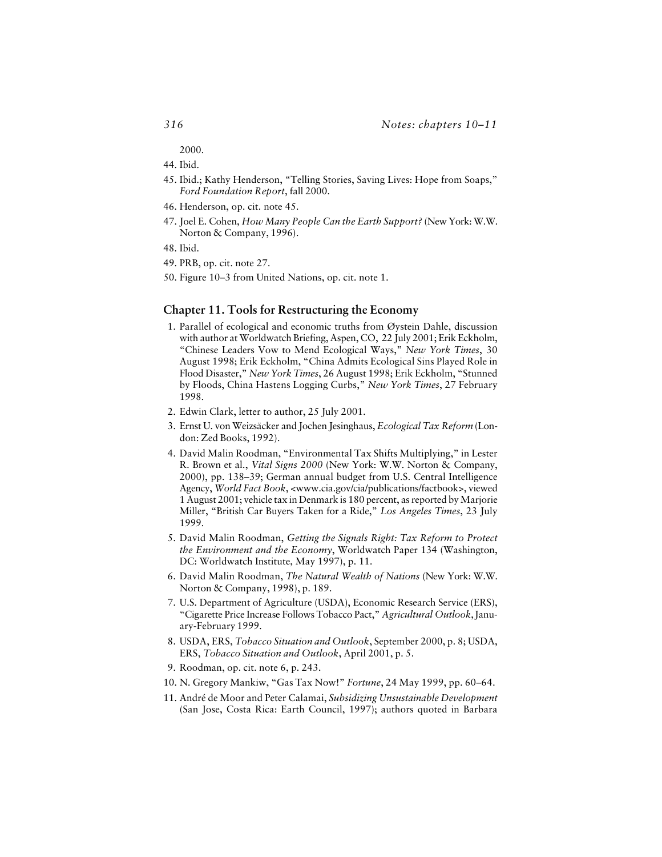2000.

- 44. Ibid.
- 45. Ibid.; Kathy Henderson, "Telling Stories, Saving Lives: Hope from Soaps," *Ford Foundation Report*, fall 2000.
- 46. Henderson, op. cit. note 45.
- 47. Joel E. Cohen, *How Many People Can the Earth Support?* (New York: W.W. Norton & Company, 1996).
- 48. Ibid.
- 49. PRB, op. cit. note 27.
- 50. Figure 10–3 from United Nations, op. cit. note 1.

#### **Chapter 11. Tools for Restructuring the Economy**

- 1. Parallel of ecological and economic truths from Øystein Dahle, discussion with author at Worldwatch Briefing, Aspen, CO, 22 July 2001; Erik Eckholm, "Chinese Leaders Vow to Mend Ecological Ways," *New York Times*, 30 August 1998; Erik Eckholm, "China Admits Ecological Sins Played Role in Flood Disaster," *New York Times*, 26 August 1998; Erik Eckholm, "Stunned by Floods, China Hastens Logging Curbs," *New York Times*, 27 February 1998.
- 2. Edwin Clark, letter to author, 25 July 2001.
- 3. Ernst U. von Weizsäcker and Jochen Jesinghaus, *Ecological Tax Reform* (London: Zed Books, 1992).
- 4. David Malin Roodman, "Environmental Tax Shifts Multiplying," in Lester R. Brown et al., *Vital Signs 2000* (New York: W.W. Norton & Company, 2000), pp. 138–39; German annual budget from U.S. Central Intelligence Agency, *World Fact Book*, <www.cia.gov/cia/publications/factbook>, viewed 1 August 2001; vehicle tax in Denmark is 180 percent, as reported by Marjorie Miller, "British Car Buyers Taken for a Ride," *Los Angeles Times*, 23 July 1999.
- 5. David Malin Roodman, *Getting the Signals Right: Tax Reform to Protect the Environment and the Economy*, Worldwatch Paper 134 (Washington, DC: Worldwatch Institute, May 1997), p. 11.
- 6. David Malin Roodman, *The Natural Wealth of Nations* (New York: W.W. Norton & Company, 1998), p. 189.
- 7. U.S. Department of Agriculture (USDA), Economic Research Service (ERS), "Cigarette Price Increase Follows Tobacco Pact," *Agricultural Outlook*, January-February 1999.
- 8. USDA, ERS, *Tobacco Situation and Outlook*, September 2000, p. 8; USDA, ERS, *Tobacco Situation and Outlook*, April 2001, p. 5.
- 9. Roodman, op. cit. note 6, p. 243.
- 10. N. Gregory Mankiw, "Gas Tax Now!" *Fortune*, 24 May 1999, pp. 60–64.
- 11. André de Moor and Peter Calamai, *Subsidizing Unsustainable Development* (San Jose, Costa Rica: Earth Council, 1997); authors quoted in Barbara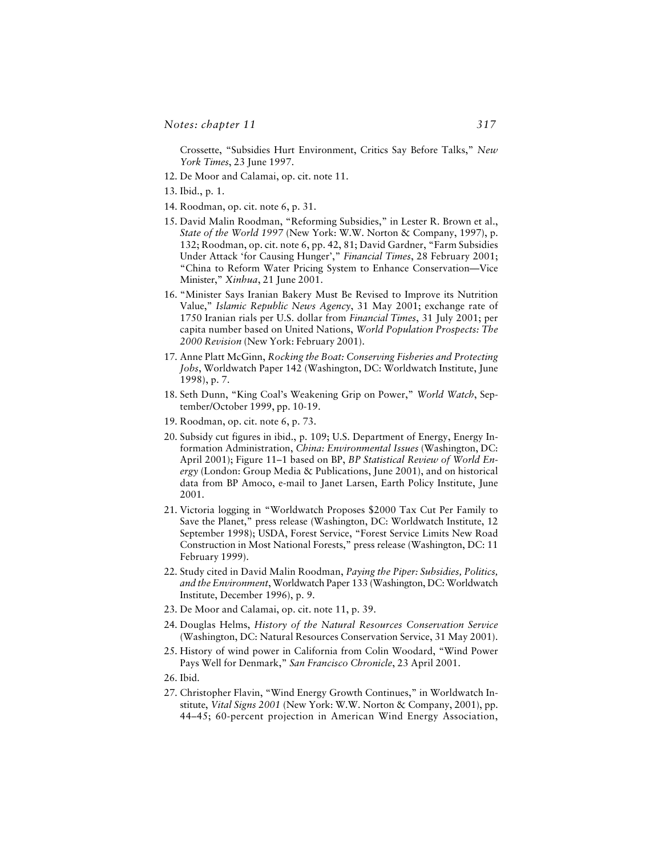Crossette, "Subsidies Hurt Environment, Critics Say Before Talks," *New York Times*, 23 June 1997.

- 12. De Moor and Calamai, op. cit. note 11.
- 13. Ibid., p. 1.
- 14. Roodman, op. cit. note 6, p. 31.
- 15. David Malin Roodman, "Reforming Subsidies," in Lester R. Brown et al., *State of the World 1997* (New York: W.W. Norton & Company, 1997), p. 132; Roodman, op. cit. note 6, pp. 42, 81; David Gardner, "Farm Subsidies Under Attack 'for Causing Hunger'," *Financial Times*, 28 February 2001; "China to Reform Water Pricing System to Enhance Conservation—Vice Minister," *Xinhua*, 21 June 2001.
- 16. "Minister Says Iranian Bakery Must Be Revised to Improve its Nutrition Value," *Islamic Republic News Agency*, 31 May 2001; exchange rate of 1750 Iranian rials per U.S. dollar from *Financial Times*, 31 July 2001; per capita number based on United Nations, *World Population Prospects: The 2000 Revision* (New York: February 2001).
- 17. Anne Platt McGinn, *Rocking the Boat: Conserving Fisheries and Protecting Jobs*, Worldwatch Paper 142 (Washington, DC: Worldwatch Institute, June 1998), p. 7.
- 18. Seth Dunn, "King Coal's Weakening Grip on Power," *World Watch*, September/October 1999, pp. 10-19.
- 19. Roodman, op. cit. note 6, p. 73.
- 20. Subsidy cut figures in ibid., p. 109; U.S. Department of Energy, Energy Information Administration, *China: Environmental Issues* (Washington, DC: April 2001); Figure 11–1 based on BP, *BP Statistical Review of World Energy* (London: Group Media & Publications, June 2001), and on historical data from BP Amoco, e-mail to Janet Larsen, Earth Policy Institute, June 2001.
- 21. Victoria logging in "Worldwatch Proposes \$2000 Tax Cut Per Family to Save the Planet," press release (Washington, DC: Worldwatch Institute, 12 September 1998); USDA, Forest Service, "Forest Service Limits New Road Construction in Most National Forests," press release (Washington, DC: 11 February 1999).
- 22. Study cited in David Malin Roodman, *Paying the Piper: Subsidies, Politics, and the Environment*, Worldwatch Paper 133 (Washington, DC: Worldwatch Institute, December 1996), p. 9.
- 23. De Moor and Calamai, op. cit. note 11, p. 39.
- 24. Douglas Helms, *History of the Natural Resources Conservation Service* (Washington, DC: Natural Resources Conservation Service, 31 May 2001).
- 25. History of wind power in California from Colin Woodard, "Wind Power Pays Well for Denmark," *San Francisco Chronicle*, 23 April 2001.
- 26. Ibid.
- 27. Christopher Flavin, "Wind Energy Growth Continues," in Worldwatch Institute, *Vital Signs 2001* (New York: W.W. Norton & Company, 2001), pp. 44–45; 60-percent projection in American Wind Energy Association,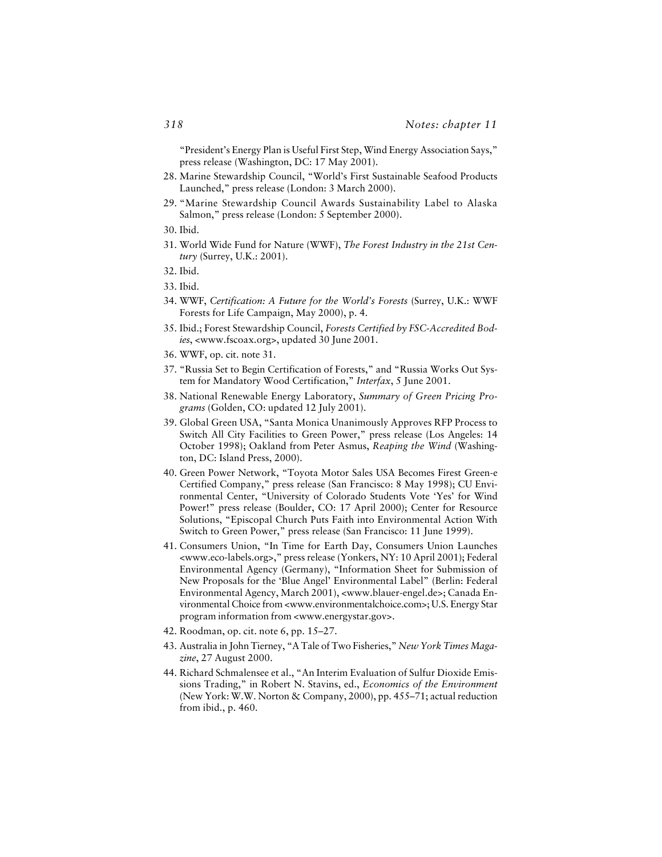"President's Energy Plan is Useful First Step, Wind Energy Association Says," press release (Washington, DC: 17 May 2001).

- 28. Marine Stewardship Council, "World's First Sustainable Seafood Products Launched," press release (London: 3 March 2000).
- 29. "Marine Stewardship Council Awards Sustainability Label to Alaska Salmon," press release (London: 5 September 2000).
- 30. Ibid.
- 31. World Wide Fund for Nature (WWF), *The Forest Industry in the 21st Century* (Surrey, U.K.: 2001).
- 32. Ibid.
- 33. Ibid.
- 34. WWF, *Certification: A Future for the World's Forests* (Surrey, U.K.: WWF Forests for Life Campaign, May 2000), p. 4.
- 35. Ibid.; Forest Stewardship Council, *Forests Certified by FSC-Accredited Bodies*, <www.fscoax.org>, updated 30 June 2001.
- 36. WWF, op. cit. note 31.
- 37. "Russia Set to Begin Certification of Forests," and "Russia Works Out System for Mandatory Wood Certification," *Interfax*, 5 June 2001.
- 38. National Renewable Energy Laboratory, *Summary of Green Pricing Programs* (Golden, CO: updated 12 July 2001).
- 39. Global Green USA, "Santa Monica Unanimously Approves RFP Process to Switch All City Facilities to Green Power," press release (Los Angeles: 14 October 1998); Oakland from Peter Asmus, *Reaping the Wind* (Washington, DC: Island Press, 2000).
- 40. Green Power Network, "Toyota Motor Sales USA Becomes Firest Green-e Certified Company," press release (San Francisco: 8 May 1998); CU Environmental Center, "University of Colorado Students Vote 'Yes' for Wind Power!" press release (Boulder, CO: 17 April 2000); Center for Resource Solutions, "Episcopal Church Puts Faith into Environmental Action With Switch to Green Power," press release (San Francisco: 11 June 1999).
- 41. Consumers Union, "In Time for Earth Day, Consumers Union Launches <www.eco-labels.org>," press release (Yonkers, NY: 10 April 2001); Federal Environmental Agency (Germany), "Information Sheet for Submission of New Proposals for the 'Blue Angel' Environmental Label" (Berlin: Federal Environmental Agency, March 2001), <www.blauer-engel.de>; Canada Environmental Choice from <www.environmentalchoice.com>; U.S. Energy Star program information from <www.energystar.gov>.
- 42. Roodman, op. cit. note 6, pp. 15–27.
- 43. Australia in John Tierney, "A Tale of Two Fisheries," *New York Times Magazine*, 27 August 2000.
- 44. Richard Schmalensee et al., "An Interim Evaluation of Sulfur Dioxide Emissions Trading," in Robert N. Stavins, ed., *Economics of the Environment* (New York: W.W. Norton & Company, 2000), pp. 455–71; actual reduction from ibid., p. 460.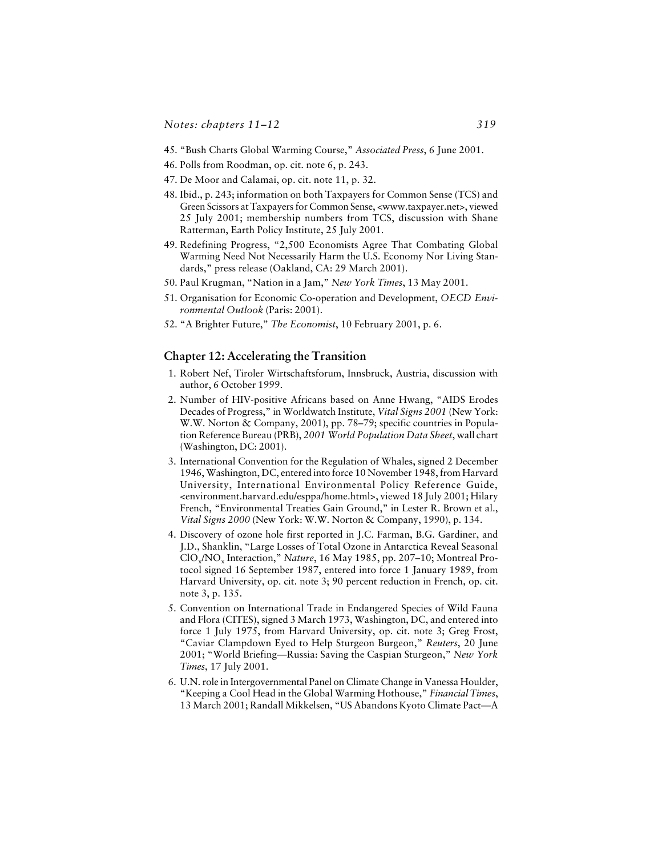- 45. "Bush Charts Global Warming Course," *Associated Press*, 6 June 2001.
- 46. Polls from Roodman, op. cit. note 6, p. 243.
- 47. De Moor and Calamai, op. cit. note 11, p. 32.
- 48. Ibid., p. 243; information on both Taxpayers for Common Sense (TCS) and Green Scissors at Taxpayers for Common Sense, <www.taxpayer.net>, viewed 25 July 2001; membership numbers from TCS, discussion with Shane Ratterman, Earth Policy Institute, 25 July 2001.
- 49. Redefining Progress, "2,500 Economists Agree That Combating Global Warming Need Not Necessarily Harm the U.S. Economy Nor Living Standards," press release (Oakland, CA: 29 March 2001).
- 50. Paul Krugman, "Nation in a Jam," *New York Times*, 13 May 2001.
- 51. Organisation for Economic Co-operation and Development, *OECD Environmental Outlook* (Paris: 2001).
- 52. "A Brighter Future," *The Economist*, 10 February 2001, p. 6.

#### **Chapter 12: Accelerating the Transition**

- 1. Robert Nef, Tiroler Wirtschaftsforum, Innsbruck, Austria, discussion with author, 6 October 1999.
- 2. Number of HIV-positive Africans based on Anne Hwang, "AIDS Erodes Decades of Progress," in Worldwatch Institute, *Vital Signs 2001* (New York: W.W. Norton & Company, 2001), pp. 78–79; specific countries in Population Reference Bureau (PRB), *2001 World Population Data Sheet*, wall chart (Washington, DC: 2001).
- 3. International Convention for the Regulation of Whales, signed 2 December 1946, Washington, DC, entered into force 10 November 1948, from Harvard University, International Environmental Policy Reference Guide, <environment.harvard.edu/esppa/home.html>, viewed 18 July 2001; Hilary French, "Environmental Treaties Gain Ground," in Lester R. Brown et al., *Vital Signs 2000* (New York: W.W. Norton & Company, 1990), p. 134.
- 4. Discovery of ozone hole first reported in J.C. Farman, B.G. Gardiner, and J.D., Shanklin, "Large Losses of Total Ozone in Antarctica Reveal Seasonal ClO<sub>x</sub>/NO<sub>x</sub> Interaction," *Nature*, 16 May 1985, pp. 207–10; Montreal Protocol signed 16 September 1987, entered into force 1 January 1989, from Harvard University, op. cit. note 3; 90 percent reduction in French, op. cit. note 3, p. 135.
- 5. Convention on International Trade in Endangered Species of Wild Fauna and Flora (CITES), signed 3 March 1973, Washington, DC, and entered into force 1 July 1975, from Harvard University, op. cit. note 3; Greg Frost, "Caviar Clampdown Eyed to Help Sturgeon Burgeon," *Reuters*, 20 June 2001; "World Briefing—Russia: Saving the Caspian Sturgeon," *New York Times*, 17 July 2001.
- 6. U.N. role in Intergovernmental Panel on Climate Change in Vanessa Houlder, "Keeping a Cool Head in the Global Warming Hothouse," *Financial Times*, 13 March 2001; Randall Mikkelsen, "US Abandons Kyoto Climate Pact—A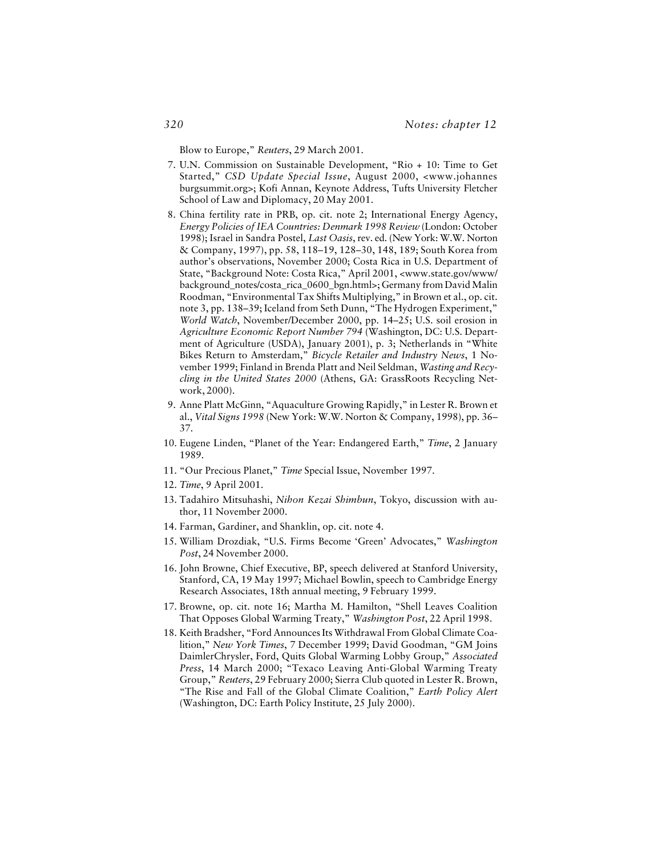Blow to Europe," *Reuters*, 29 March 2001.

- 7. U.N. Commission on Sustainable Development, "Rio + 10: Time to Get Started," *CSD Update Special Issue*, August 2000, <www.johannes burgsummit.org>; Kofi Annan, Keynote Address, Tufts University Fletcher School of Law and Diplomacy, 20 May 2001.
- 8. China fertility rate in PRB, op. cit. note 2; International Energy Agency, *Energy Policies of IEA Countries: Denmark 1998 Review* (London: October 1998); Israel in Sandra Postel, *Last Oasis*, rev. ed. (New York: W.W. Norton & Company, 1997), pp. 58, 118–19, 128–30, 148, 189; South Korea from author's observations, November 2000; Costa Rica in U.S. Department of State, "Background Note: Costa Rica," April 2001, <www.state.gov/www/ background\_notes/costa\_rica\_0600\_bgn.html>; Germany from David Malin Roodman, "Environmental Tax Shifts Multiplying," in Brown et al., op. cit. note 3, pp. 138–39; Iceland from Seth Dunn, "The Hydrogen Experiment," *World Watch*, November/December 2000, pp. 14–25; U.S. soil erosion in *Agriculture Economic Report Number 794* (Washington, DC: U.S. Department of Agriculture (USDA), January 2001), p. 3; Netherlands in "White Bikes Return to Amsterdam," *Bicycle Retailer and Industry News*, 1 November 1999; Finland in Brenda Platt and Neil Seldman, *Wasting and Recycling in the United States 2000* (Athens, GA: GrassRoots Recycling Network, 2000).
- 9. Anne Platt McGinn, "Aquaculture Growing Rapidly," in Lester R. Brown et al., *Vital Signs 1998* (New York: W.W. Norton & Company, 1998), pp. 36– 37.
- 10. Eugene Linden, "Planet of the Year: Endangered Earth," *Time*, 2 January 1989.
- 11. "Our Precious Planet," *Time* Special Issue, November 1997.
- 12. *Time*, 9 April 2001.
- 13. Tadahiro Mitsuhashi, *Nihon Kezai Shimbun*, Tokyo, discussion with author, 11 November 2000.
- 14. Farman, Gardiner, and Shanklin, op. cit. note 4.
- 15. William Drozdiak, "U.S. Firms Become 'Green' Advocates," *Washington Post*, 24 November 2000.
- 16. John Browne, Chief Executive, BP, speech delivered at Stanford University, Stanford, CA, 19 May 1997; Michael Bowlin, speech to Cambridge Energy Research Associates, 18th annual meeting, 9 February 1999.
- 17. Browne, op. cit. note 16; Martha M. Hamilton, "Shell Leaves Coalition That Opposes Global Warming Treaty," *Washington Post*, 22 April 1998.
- 18. Keith Bradsher, "Ford Announces Its Withdrawal From Global Climate Coalition," *New York Times*, 7 December 1999; David Goodman, "GM Joins DaimlerChrysler, Ford, Quits Global Warming Lobby Group," *Associated Press*, 14 March 2000; "Texaco Leaving Anti-Global Warming Treaty Group," *Reuters*, 29 February 2000; Sierra Club quoted in Lester R. Brown, "The Rise and Fall of the Global Climate Coalition," *Earth Policy Alert* (Washington, DC: Earth Policy Institute, 25 July 2000).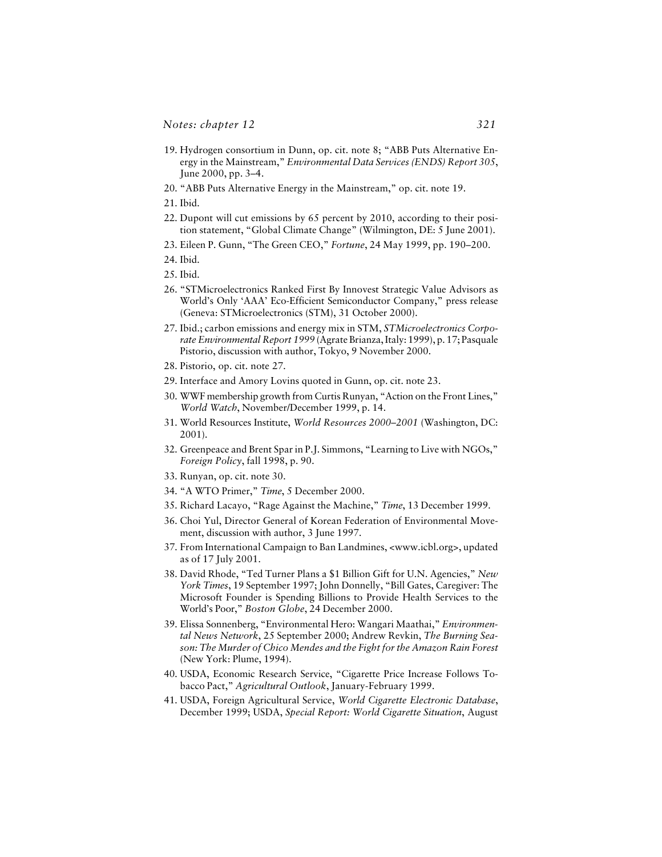- 19. Hydrogen consortium in Dunn, op. cit. note 8; "ABB Puts Alternative Energy in the Mainstream," *Environmental Data Services (ENDS) Report 305*, June 2000, pp. 3–4.
- 20. "ABB Puts Alternative Energy in the Mainstream," op. cit. note 19.
- 21. Ibid.
- 22. Dupont will cut emissions by 65 percent by 2010, according to their position statement, "Global Climate Change" (Wilmington, DE: 5 June 2001).
- 23. Eileen P. Gunn, "The Green CEO," *Fortune*, 24 May 1999, pp. 190–200.
- 24. Ibid.
- 25. Ibid.
- 26. "STMicroelectronics Ranked First By Innovest Strategic Value Advisors as World's Only 'AAA' Eco-Efficient Semiconductor Company," press release (Geneva: STMicroelectronics (STM), 31 October 2000).
- 27. Ibid.; carbon emissions and energy mix in STM, *STMicroelectronics Corporate Environmental Report 1999* (Agrate Brianza, Italy: 1999), p. 17; Pasquale Pistorio, discussion with author, Tokyo, 9 November 2000.
- 28. Pistorio, op. cit. note 27.
- 29. Interface and Amory Lovins quoted in Gunn, op. cit. note 23.
- 30. WWF membership growth from Curtis Runyan, "Action on the Front Lines," *World Watch*, November/December 1999, p. 14.
- 31. World Resources Institute, *World Resources 2000–2001* (Washington, DC: 2001).
- 32. Greenpeace and Brent Spar in P.J. Simmons, "Learning to Live with NGOs," *Foreign Policy*, fall 1998, p. 90.
- 33. Runyan, op. cit. note 30.
- 34. "A WTO Primer," *Time*, 5 December 2000.
- 35. Richard Lacayo, "Rage Against the Machine," *Time*, 13 December 1999.
- 36. Choi Yul, Director General of Korean Federation of Environmental Movement, discussion with author, 3 June 1997.
- 37. From International Campaign to Ban Landmines, <www.icbl.org>, updated as of 17 July 2001.
- 38. David Rhode, "Ted Turner Plans a \$1 Billion Gift for U.N. Agencies," *New York Times*, 19 September 1997; John Donnelly, "Bill Gates, Caregiver: The Microsoft Founder is Spending Billions to Provide Health Services to the World's Poor," *Boston Globe*, 24 December 2000.
- 39. Elissa Sonnenberg, "Environmental Hero: Wangari Maathai," *Environmental News Network*, 25 September 2000; Andrew Revkin, *The Burning Season: The Murder of Chico Mendes and the Fight for the Amazon Rain Forest* (New York: Plume, 1994).
- 40. USDA, Economic Research Service, "Cigarette Price Increase Follows Tobacco Pact," *Agricultural Outlook*, January-February 1999.
- 41. USDA, Foreign Agricultural Service, *World Cigarette Electronic Database*, December 1999; USDA, *Special Report: World Cigarette Situation*, August